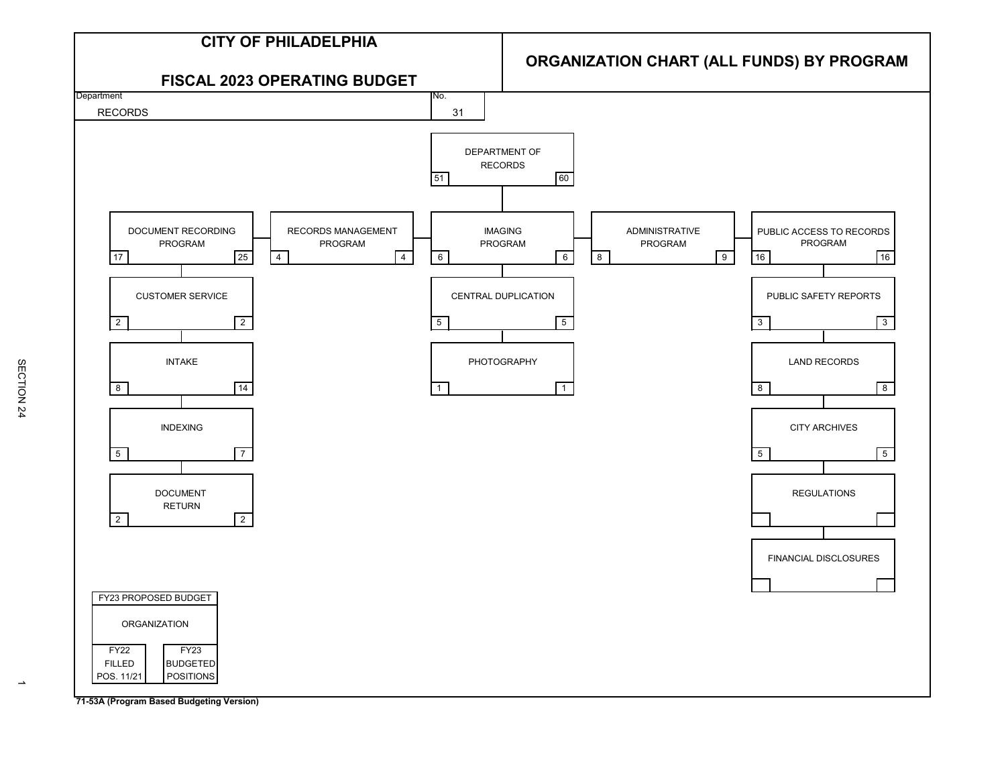

**71-53A (Program Based Budgeting Version)**

SECTION<sub>24</sub> SECTION 24

 $\rightarrow$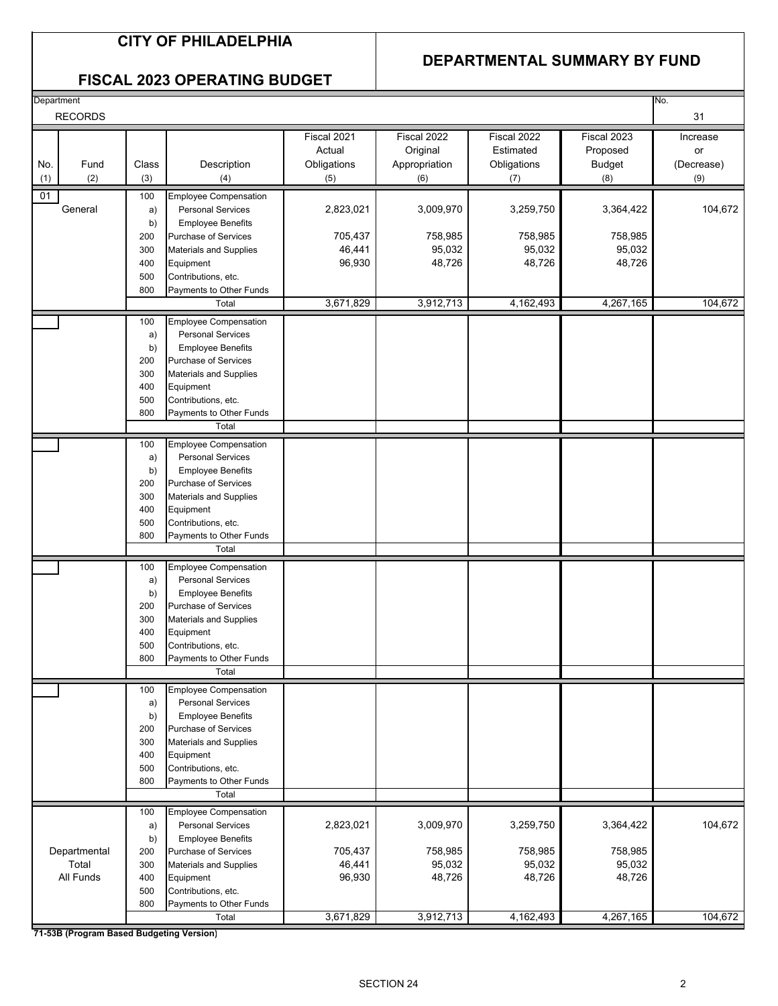## **CITY OF PHILADELPHIA**

## **DEPARTMENTAL SUMMARY BY FUND**

## **FISCAL 2023 OPERATING BUDGET**

| Department     |       |                                  |             |               |             |               | No.        |
|----------------|-------|----------------------------------|-------------|---------------|-------------|---------------|------------|
| <b>RECORDS</b> |       |                                  |             |               |             |               | 31         |
|                |       |                                  | Fiscal 2021 | Fiscal 2022   | Fiscal 2022 | Fiscal 2023   | Increase   |
|                |       |                                  | Actual      | Original      | Estimated   | Proposed      |            |
|                |       |                                  |             |               |             |               | or         |
| Fund<br>No.    | Class | Description                      | Obligations | Appropriation | Obligations | <b>Budget</b> | (Decrease) |
| (2)<br>(1)     | (3)   | (4)                              | (5)         | (6)           | (7)         | (8)           | (9)        |
| 01             | 100   | <b>Employee Compensation</b>     |             |               |             |               |            |
| General        | a)    | <b>Personal Services</b>         | 2,823,021   | 3,009,970     | 3,259,750   | 3,364,422     | 104,672    |
|                | b)    | <b>Employee Benefits</b>         |             |               |             |               |            |
|                | 200   | Purchase of Services             | 705,437     | 758,985       | 758,985     | 758,985       |            |
|                | 300   | <b>Materials and Supplies</b>    | 46,441      | 95,032        | 95,032      | 95,032        |            |
|                | 400   | Equipment                        | 96,930      | 48,726        | 48,726      | 48,726        |            |
|                | 500   | Contributions, etc.              |             |               |             |               |            |
|                | 800   | Payments to Other Funds          |             |               |             |               |            |
|                |       | Total                            | 3,671,829   | 3,912,713     | 4,162,493   | 4,267,165     | 104,672    |
|                | 100   | <b>Employee Compensation</b>     |             |               |             |               |            |
|                | a)    | <b>Personal Services</b>         |             |               |             |               |            |
|                | b)    | <b>Employee Benefits</b>         |             |               |             |               |            |
|                | 200   | <b>Purchase of Services</b>      |             |               |             |               |            |
|                | 300   | <b>Materials and Supplies</b>    |             |               |             |               |            |
|                | 400   | Equipment                        |             |               |             |               |            |
|                | 500   | Contributions, etc.              |             |               |             |               |            |
|                | 800   | Payments to Other Funds          |             |               |             |               |            |
|                |       | Total                            |             |               |             |               |            |
|                | 100   | <b>Employee Compensation</b>     |             |               |             |               |            |
|                | a)    | <b>Personal Services</b>         |             |               |             |               |            |
|                | b)    | <b>Employee Benefits</b>         |             |               |             |               |            |
|                | 200   | Purchase of Services             |             |               |             |               |            |
|                | 300   | <b>Materials and Supplies</b>    |             |               |             |               |            |
|                | 400   | Equipment                        |             |               |             |               |            |
|                | 500   | Contributions, etc.              |             |               |             |               |            |
|                | 800   | Payments to Other Funds          |             |               |             |               |            |
|                |       | Total                            |             |               |             |               |            |
|                | 100   | <b>Employee Compensation</b>     |             |               |             |               |            |
|                | a)    | <b>Personal Services</b>         |             |               |             |               |            |
|                | b)    | <b>Employee Benefits</b>         |             |               |             |               |            |
|                | 200   | <b>Purchase of Services</b>      |             |               |             |               |            |
|                | 300   | <b>Materials and Supplies</b>    |             |               |             |               |            |
|                | 400   | Equipment                        |             |               |             |               |            |
|                | 500   | Contributions, etc.              |             |               |             |               |            |
|                | 800   | Payments to Other Funds          |             |               |             |               |            |
|                |       | Total                            |             |               |             |               |            |
|                | 100   | <b>Employee Compensation</b>     |             |               |             |               |            |
|                | a)    | <b>Personal Services</b>         |             |               |             |               |            |
|                | b)    | <b>Employee Benefits</b>         |             |               |             |               |            |
|                | 200   | Purchase of Services             |             |               |             |               |            |
|                | 300   | <b>Materials and Supplies</b>    |             |               |             |               |            |
|                | 400   | Equipment                        |             |               |             |               |            |
|                | 500   | Contributions, etc.              |             |               |             |               |            |
|                | 800   | Payments to Other Funds<br>Total |             |               |             |               |            |
|                |       |                                  |             |               |             |               |            |
|                | 100   | <b>Employee Compensation</b>     |             |               |             |               |            |
|                | a)    | <b>Personal Services</b>         | 2,823,021   | 3,009,970     | 3,259,750   | 3,364,422     | 104,672    |
|                | b)    | <b>Employee Benefits</b>         |             |               |             |               |            |
| Departmental   | 200   | Purchase of Services             | 705,437     | 758,985       | 758,985     | 758,985       |            |
| Total          | 300   | <b>Materials and Supplies</b>    | 46,441      | 95,032        | 95,032      | 95,032        |            |
| All Funds      | 400   | Equipment                        | 96,930      | 48,726        | 48,726      | 48,726        |            |
|                | 500   | Contributions, etc.              |             |               |             |               |            |
|                | 800   | Payments to Other Funds          | 3,671,829   | 3,912,713     |             | 4,267,165     | 104,672    |
|                |       | Total                            |             |               | 4,162,493   |               |            |

**71-53B (Program Based Budgeting Version)**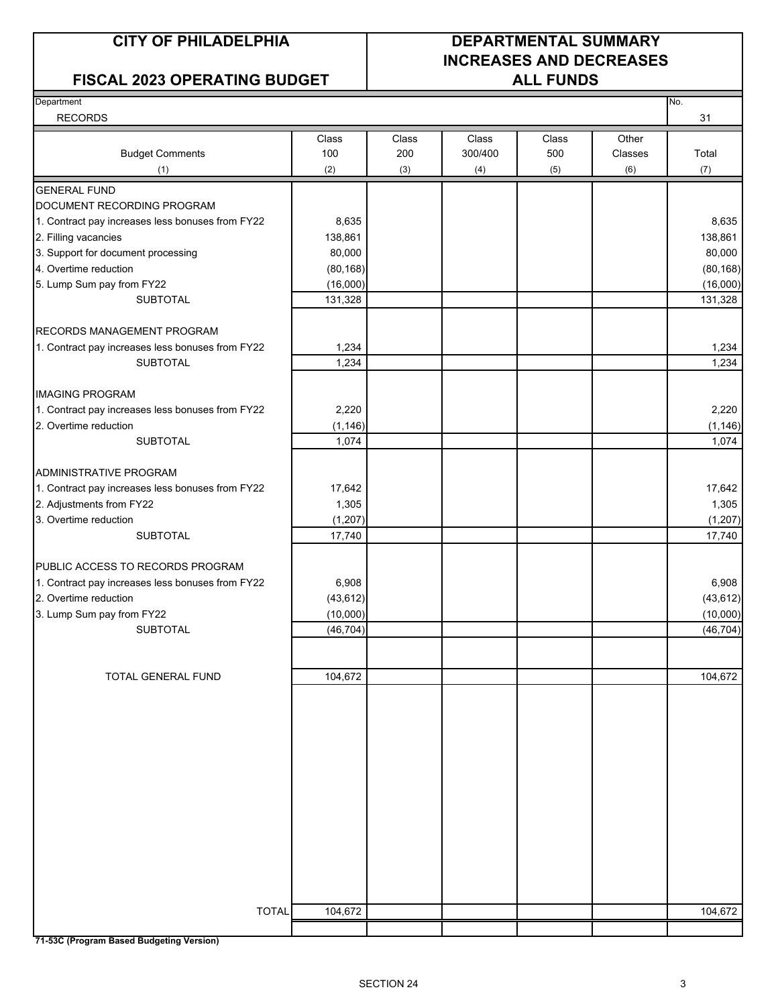## **FISCAL 2023 OPERATING BUDGET ALL FUNDS**

## **CITY OF PHILADELPHIA DEPARTMENTAL SUMMARY INCREASES AND DECREASES**

| Department                                                                |                   |       |         |       |         | No.               |
|---------------------------------------------------------------------------|-------------------|-------|---------|-------|---------|-------------------|
| <b>RECORDS</b>                                                            |                   |       |         |       |         | 31                |
|                                                                           | Class             | Class | Class   | Class | Other   |                   |
| <b>Budget Comments</b>                                                    | 100               | 200   | 300/400 | 500   | Classes | Total             |
| (1)                                                                       | (2)               | (3)   | (4)     | (5)   | (6)     | (7)               |
| <b>GENERAL FUND</b>                                                       |                   |       |         |       |         |                   |
| DOCUMENT RECORDING PROGRAM                                                |                   |       |         |       |         |                   |
| 1. Contract pay increases less bonuses from FY22                          | 8,635             |       |         |       |         | 8,635             |
| 2. Filling vacancies                                                      | 138,861           |       |         |       |         | 138,861           |
| 3. Support for document processing                                        | 80,000            |       |         |       |         | 80,000            |
| 4. Overtime reduction                                                     | (80, 168)         |       |         |       |         | (80, 168)         |
| 5. Lump Sum pay from FY22                                                 | (16,000)          |       |         |       |         | (16,000)          |
| <b>SUBTOTAL</b>                                                           | 131,328           |       |         |       |         | 131,328           |
|                                                                           |                   |       |         |       |         |                   |
| RECORDS MANAGEMENT PROGRAM                                                |                   |       |         |       |         |                   |
| 1. Contract pay increases less bonuses from FY22                          | 1,234             |       |         |       |         | 1,234             |
| <b>SUBTOTAL</b>                                                           | 1,234             |       |         |       |         | 1,234             |
| <b>IMAGING PROGRAM</b>                                                    |                   |       |         |       |         |                   |
|                                                                           |                   |       |         |       |         |                   |
| 1. Contract pay increases less bonuses from FY22<br>2. Overtime reduction | 2,220             |       |         |       |         | 2,220             |
| <b>SUBTOTAL</b>                                                           | (1, 146)<br>1,074 |       |         |       |         | (1, 146)<br>1,074 |
|                                                                           |                   |       |         |       |         |                   |
| <b>ADMINISTRATIVE PROGRAM</b>                                             |                   |       |         |       |         |                   |
| 1. Contract pay increases less bonuses from FY22                          | 17,642            |       |         |       |         | 17,642            |
| 2. Adjustments from FY22                                                  | 1,305             |       |         |       |         | 1,305             |
| 3. Overtime reduction                                                     | (1, 207)          |       |         |       |         | (1, 207)          |
| <b>SUBTOTAL</b>                                                           | 17,740            |       |         |       |         | 17,740            |
|                                                                           |                   |       |         |       |         |                   |
| PUBLIC ACCESS TO RECORDS PROGRAM                                          |                   |       |         |       |         |                   |
| 1. Contract pay increases less bonuses from FY22                          | 6,908             |       |         |       |         | 6,908             |
| 2. Overtime reduction                                                     | (43, 612)         |       |         |       |         | (43, 612)         |
| 3. Lump Sum pay from FY22                                                 | (10,000)          |       |         |       |         | (10,000)          |
| <b>SUBTOTAL</b>                                                           | (46, 704)         |       |         |       |         | (46, 704)         |
|                                                                           |                   |       |         |       |         |                   |
| <b>TOTAL GENERAL FUND</b>                                                 | 104,672           |       |         |       |         | 104,672           |
|                                                                           |                   |       |         |       |         |                   |
|                                                                           |                   |       |         |       |         |                   |
|                                                                           |                   |       |         |       |         |                   |
|                                                                           |                   |       |         |       |         |                   |
|                                                                           |                   |       |         |       |         |                   |
|                                                                           |                   |       |         |       |         |                   |
|                                                                           |                   |       |         |       |         |                   |
|                                                                           |                   |       |         |       |         |                   |
|                                                                           |                   |       |         |       |         |                   |
|                                                                           |                   |       |         |       |         |                   |
|                                                                           |                   |       |         |       |         |                   |
|                                                                           |                   |       |         |       |         |                   |
|                                                                           |                   |       |         |       |         |                   |
|                                                                           |                   |       |         |       |         |                   |
| <b>TOTAL</b>                                                              | 104,672           |       |         |       |         | 104,672           |
|                                                                           |                   |       |         |       |         |                   |

**71-53C (Program Based Budgeting Version)**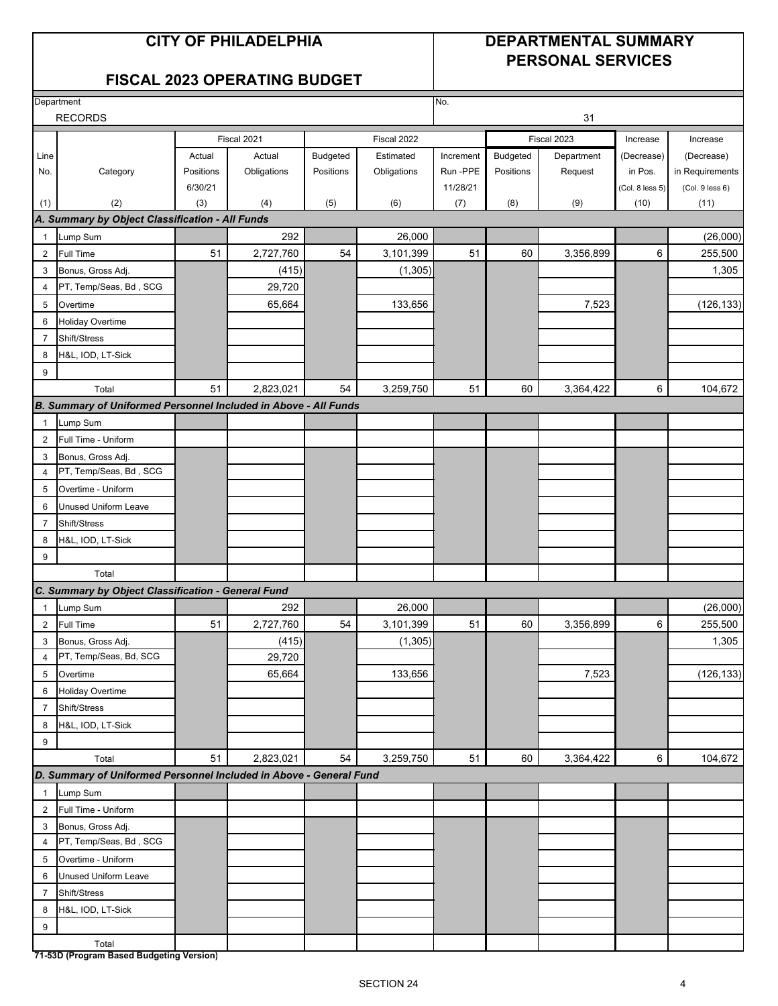## **CITY OF PHILADELPHIA DEPARTMENTAL SUMMARY PERSONAL SERVICES**

## **FISCAL 2023 OPERATING BUDGET**

|                | Department                                                         |           |             |           |             | No.       |           |             |                 |                 |
|----------------|--------------------------------------------------------------------|-----------|-------------|-----------|-------------|-----------|-----------|-------------|-----------------|-----------------|
|                | <b>RECORDS</b>                                                     |           |             |           |             |           |           | 31          |                 |                 |
|                |                                                                    |           | Fiscal 2021 |           | Fiscal 2022 |           |           | Fiscal 2023 | Increase        | Increase        |
| Line           |                                                                    | Actual    | Actual      | Budgeted  | Estimated   | Increment | Budgeted  | Department  | (Decrease)      | (Decrease)      |
| No.            | Category                                                           | Positions | Obligations | Positions | Obligations | Run-PPE   | Positions | Request     | in Pos.         | in Requirements |
|                |                                                                    | 6/30/21   |             |           |             | 11/28/21  |           |             | (Col. 8 less 5) | (Col. 9 less 6) |
| (1)            | (2)                                                                | (3)       | (4)         | (5)       | (6)         | (7)       | (8)       | (9)         | (10)            | (11)            |
|                | A. Summary by Object Classification - All Funds                    |           |             |           |             |           |           |             |                 |                 |
| $\mathbf{1}$   | Lump Sum                                                           |           | 292         |           | 26,000      |           |           |             |                 | (26,000)        |
| $\overline{2}$ | <b>Full Time</b>                                                   | 51        | 2,727,760   | 54        | 3,101,399   | 51        | 60        | 3,356,899   | 6               | 255,500         |
| 3              | Bonus, Gross Adj.                                                  |           | (415)       |           | (1, 305)    |           |           |             |                 | 1,305           |
| $\overline{4}$ | PT, Temp/Seas, Bd, SCG                                             |           | 29,720      |           |             |           |           |             |                 |                 |
| 5              | Overtime                                                           |           | 65,664      |           | 133,656     |           |           | 7,523       |                 | (126, 133)      |
| 6              | <b>Holiday Overtime</b>                                            |           |             |           |             |           |           |             |                 |                 |
| $\overline{7}$ | Shift/Stress                                                       |           |             |           |             |           |           |             |                 |                 |
| 8              | H&L, IOD, LT-Sick                                                  |           |             |           |             |           |           |             |                 |                 |
| 9              |                                                                    |           |             |           |             |           |           |             |                 |                 |
|                | Total                                                              | 51        | 2,823,021   | 54        | 3,259,750   | 51        | 60        | 3,364,422   | 6               | 104,672         |
|                | B. Summary of Uniformed Personnel Included in Above - All Funds    |           |             |           |             |           |           |             |                 |                 |
| $\mathbf{1}$   | Lump Sum                                                           |           |             |           |             |           |           |             |                 |                 |
| $\overline{2}$ | Full Time - Uniform                                                |           |             |           |             |           |           |             |                 |                 |
| 3              | Bonus, Gross Adj.                                                  |           |             |           |             |           |           |             |                 |                 |
| 4              | PT, Temp/Seas, Bd, SCG                                             |           |             |           |             |           |           |             |                 |                 |
| 5              | Overtime - Uniform                                                 |           |             |           |             |           |           |             |                 |                 |
| 6              | <b>Unused Uniform Leave</b>                                        |           |             |           |             |           |           |             |                 |                 |
| 7              | Shift/Stress                                                       |           |             |           |             |           |           |             |                 |                 |
| 8              | H&L, IOD, LT-Sick                                                  |           |             |           |             |           |           |             |                 |                 |
| 9              |                                                                    |           |             |           |             |           |           |             |                 |                 |
|                | Total                                                              |           |             |           |             |           |           |             |                 |                 |
|                | C. Summary by Object Classification - General Fund                 |           |             |           |             |           |           |             |                 |                 |
| $\mathbf{1}$   | Lump Sum                                                           |           | 292         |           | 26.000      |           |           |             |                 | (26,000)        |
| $\overline{2}$ | <b>Full Time</b>                                                   | 51        | 2,727,760   | 54        | 3,101,399   | 51        | 60        | 3,356,899   | 6               | 255,500         |
| 3              | Bonus, Gross Adj.                                                  |           | (415)       |           | (1, 305)    |           |           |             |                 | 1,305           |
| 4              | PT, Temp/Seas, Bd, SCG                                             |           | 29,720      |           |             |           |           |             |                 |                 |
| 5              | Overtime                                                           |           | 65,664      |           | 133,656     |           |           | 7,523       |                 | (126, 133)      |
| 6              | <b>Holiday Overtime</b>                                            |           |             |           |             |           |           |             |                 |                 |
| $\overline{7}$ | Shift/Stress                                                       |           |             |           |             |           |           |             |                 |                 |
| 8              | H&L, IOD, LT-Sick                                                  |           |             |           |             |           |           |             |                 |                 |
| 9              |                                                                    |           |             |           |             |           |           |             |                 |                 |
|                | Total                                                              | 51        | 2,823,021   | 54        | 3,259,750   | 51        | 60        | 3,364,422   | 6               | 104,672         |
|                | D. Summary of Uniformed Personnel Included in Above - General Fund |           |             |           |             |           |           |             |                 |                 |
| $\mathbf{1}$   | Lump Sum                                                           |           |             |           |             |           |           |             |                 |                 |
| $\overline{2}$ | Full Time - Uniform                                                |           |             |           |             |           |           |             |                 |                 |
| 3              | Bonus, Gross Adj.                                                  |           |             |           |             |           |           |             |                 |                 |
| $\overline{4}$ | PT, Temp/Seas, Bd, SCG                                             |           |             |           |             |           |           |             |                 |                 |
| 5              | Overtime - Uniform                                                 |           |             |           |             |           |           |             |                 |                 |
| 6              | <b>Unused Uniform Leave</b>                                        |           |             |           |             |           |           |             |                 |                 |
| $\overline{7}$ | Shift/Stress                                                       |           |             |           |             |           |           |             |                 |                 |
| 8              | H&L, IOD, LT-Sick                                                  |           |             |           |             |           |           |             |                 |                 |
| 9              |                                                                    |           |             |           |             |           |           |             |                 |                 |
|                | Total                                                              |           |             |           |             |           |           |             |                 |                 |
|                | 71-53D (Program Based Budgeting Version)                           |           |             |           |             |           |           |             |                 |                 |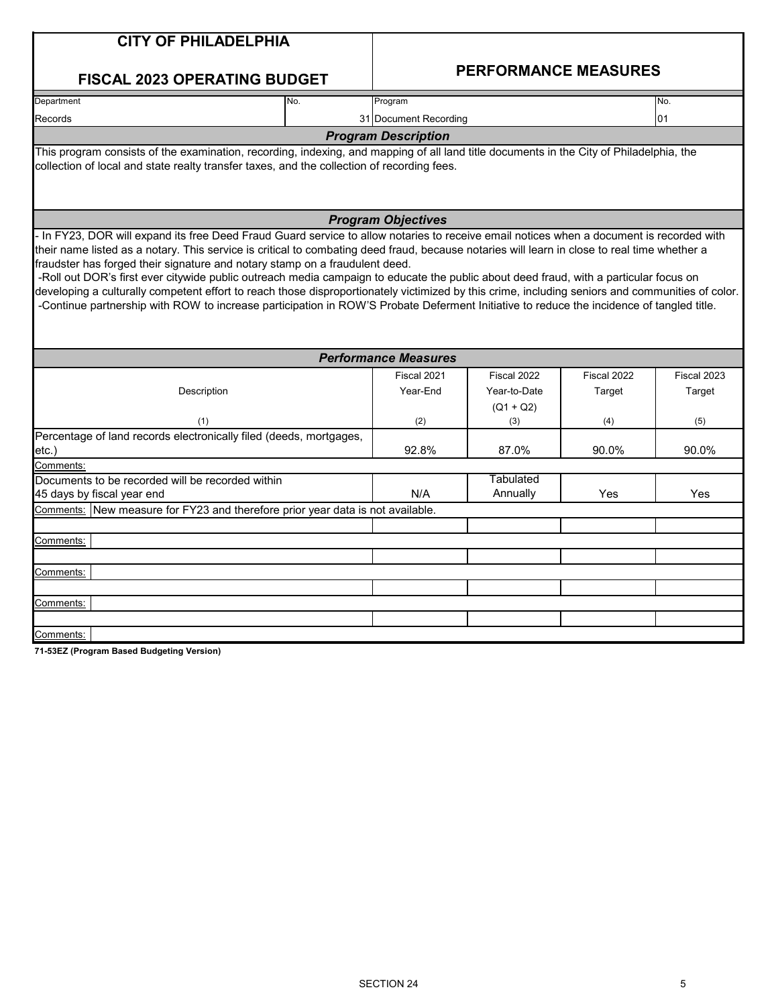| <b>CITY OF PHILADELPHIA</b>                                                                                                                                                                                                                                                                                                                                                                                                                                                                                                                                                                                                                                                                                                                                                                                      |     |                             |                  |             |             |  |  |
|------------------------------------------------------------------------------------------------------------------------------------------------------------------------------------------------------------------------------------------------------------------------------------------------------------------------------------------------------------------------------------------------------------------------------------------------------------------------------------------------------------------------------------------------------------------------------------------------------------------------------------------------------------------------------------------------------------------------------------------------------------------------------------------------------------------|-----|-----------------------------|------------------|-------------|-------------|--|--|
| <b>FISCAL 2023 OPERATING BUDGET</b>                                                                                                                                                                                                                                                                                                                                                                                                                                                                                                                                                                                                                                                                                                                                                                              |     | <b>PERFORMANCE MEASURES</b> |                  |             |             |  |  |
| Department                                                                                                                                                                                                                                                                                                                                                                                                                                                                                                                                                                                                                                                                                                                                                                                                       | No. | Program                     |                  |             | No.         |  |  |
| Records                                                                                                                                                                                                                                                                                                                                                                                                                                                                                                                                                                                                                                                                                                                                                                                                          |     | 31 Document Recording       |                  |             | 01          |  |  |
|                                                                                                                                                                                                                                                                                                                                                                                                                                                                                                                                                                                                                                                                                                                                                                                                                  |     | <b>Program Description</b>  |                  |             |             |  |  |
| This program consists of the examination, recording, indexing, and mapping of all land title documents in the City of Philadelphia, the<br>collection of local and state realty transfer taxes, and the collection of recording fees.                                                                                                                                                                                                                                                                                                                                                                                                                                                                                                                                                                            |     |                             |                  |             |             |  |  |
|                                                                                                                                                                                                                                                                                                                                                                                                                                                                                                                                                                                                                                                                                                                                                                                                                  |     | <b>Program Objectives</b>   |                  |             |             |  |  |
| - In FY23, DOR will expand its free Deed Fraud Guard service to allow notaries to receive email notices when a document is recorded with<br>their name listed as a notary. This service is critical to combating deed fraud, because notaries will learn in close to real time whether a<br>fraudster has forged their signature and notary stamp on a fraudulent deed.<br>-Roll out DOR's first ever citywide public outreach media campaign to educate the public about deed fraud, with a particular focus on<br>developing a culturally competent effort to reach those disproportionately victimized by this crime, including seniors and communities of color.<br>-Continue partnership with ROW to increase participation in ROW'S Probate Deferment Initiative to reduce the incidence of tangled title. |     |                             |                  |             |             |  |  |
|                                                                                                                                                                                                                                                                                                                                                                                                                                                                                                                                                                                                                                                                                                                                                                                                                  |     | <b>Performance Measures</b> |                  |             |             |  |  |
|                                                                                                                                                                                                                                                                                                                                                                                                                                                                                                                                                                                                                                                                                                                                                                                                                  |     | Fiscal 2021                 | Fiscal 2022      | Fiscal 2022 | Fiscal 2023 |  |  |
| Description                                                                                                                                                                                                                                                                                                                                                                                                                                                                                                                                                                                                                                                                                                                                                                                                      |     | Year-End                    | Year-to-Date     | Target      | Target      |  |  |
|                                                                                                                                                                                                                                                                                                                                                                                                                                                                                                                                                                                                                                                                                                                                                                                                                  |     |                             | $(Q1 + Q2)$      |             |             |  |  |
| (1)                                                                                                                                                                                                                                                                                                                                                                                                                                                                                                                                                                                                                                                                                                                                                                                                              |     | (2)                         | (3)              | (4)         | (5)         |  |  |
| Percentage of land records electronically filed (deeds, mortgages,                                                                                                                                                                                                                                                                                                                                                                                                                                                                                                                                                                                                                                                                                                                                               |     |                             |                  |             |             |  |  |
| etc.)<br>Comments:                                                                                                                                                                                                                                                                                                                                                                                                                                                                                                                                                                                                                                                                                                                                                                                               |     | 92.8%                       | 87.0%            | 90.0%       | 90.0%       |  |  |
| Documents to be recorded will be recorded within                                                                                                                                                                                                                                                                                                                                                                                                                                                                                                                                                                                                                                                                                                                                                                 |     |                             | <b>Tabulated</b> |             |             |  |  |
| 45 days by fiscal year end                                                                                                                                                                                                                                                                                                                                                                                                                                                                                                                                                                                                                                                                                                                                                                                       |     | N/A                         | Annually         | Yes         | Yes         |  |  |
| Comments: New measure for FY23 and therefore prior year data is not available.                                                                                                                                                                                                                                                                                                                                                                                                                                                                                                                                                                                                                                                                                                                                   |     |                             |                  |             |             |  |  |
|                                                                                                                                                                                                                                                                                                                                                                                                                                                                                                                                                                                                                                                                                                                                                                                                                  |     |                             |                  |             |             |  |  |
| Comments:                                                                                                                                                                                                                                                                                                                                                                                                                                                                                                                                                                                                                                                                                                                                                                                                        |     |                             |                  |             |             |  |  |
|                                                                                                                                                                                                                                                                                                                                                                                                                                                                                                                                                                                                                                                                                                                                                                                                                  |     |                             |                  |             |             |  |  |
| Comments:                                                                                                                                                                                                                                                                                                                                                                                                                                                                                                                                                                                                                                                                                                                                                                                                        |     |                             |                  |             |             |  |  |
|                                                                                                                                                                                                                                                                                                                                                                                                                                                                                                                                                                                                                                                                                                                                                                                                                  |     |                             |                  |             |             |  |  |
| Comments:                                                                                                                                                                                                                                                                                                                                                                                                                                                                                                                                                                                                                                                                                                                                                                                                        |     |                             |                  |             |             |  |  |
|                                                                                                                                                                                                                                                                                                                                                                                                                                                                                                                                                                                                                                                                                                                                                                                                                  |     |                             |                  |             |             |  |  |
| Comments:                                                                                                                                                                                                                                                                                                                                                                                                                                                                                                                                                                                                                                                                                                                                                                                                        |     |                             |                  |             |             |  |  |
| 71-53EZ (Program Based Budgeting Version)                                                                                                                                                                                                                                                                                                                                                                                                                                                                                                                                                                                                                                                                                                                                                                        |     |                             |                  |             |             |  |  |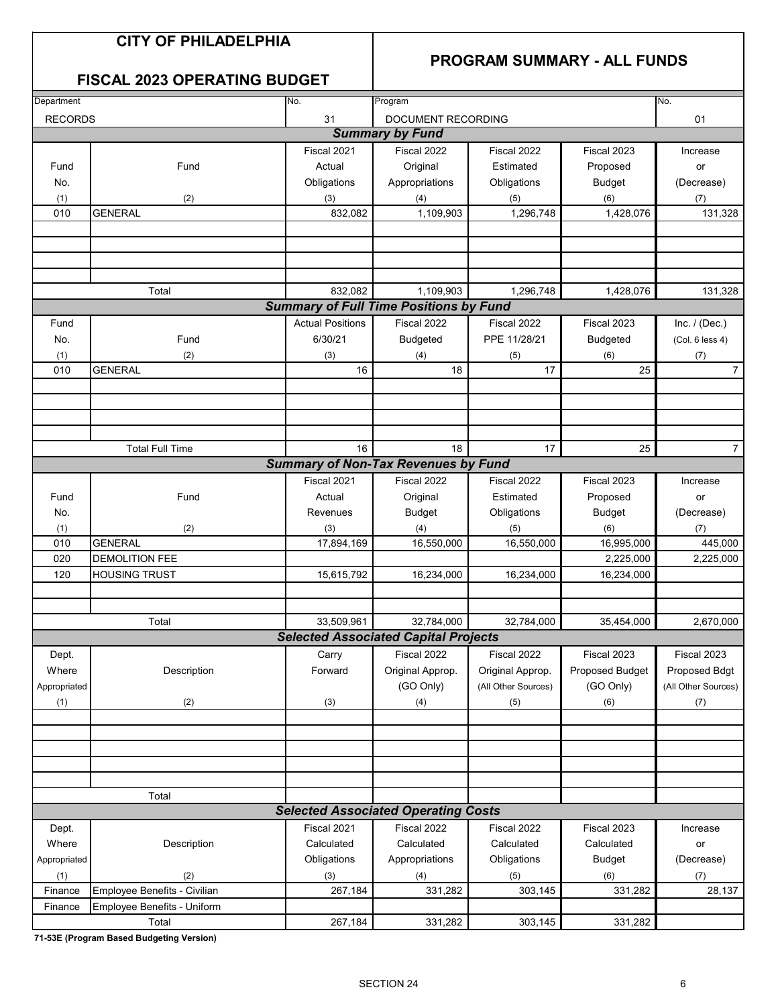## **CITY OF PHILADELPHIA**

## **PROGRAM SUMMARY - ALL FUNDS**

## **FISCAL 2023 OPERATING BUDGET**

| Department     |                              | No.                     | Program                                       |                     |                 | No.                 |
|----------------|------------------------------|-------------------------|-----------------------------------------------|---------------------|-----------------|---------------------|
|                |                              | 31                      |                                               |                     |                 | 01                  |
| <b>RECORDS</b> |                              |                         | DOCUMENT RECORDING<br><b>Summary by Fund</b>  |                     |                 |                     |
|                |                              |                         |                                               |                     |                 |                     |
|                |                              | Fiscal 2021             | Fiscal 2022                                   | Fiscal 2022         | Fiscal 2023     | Increase            |
| Fund           | Fund                         | Actual                  | Original                                      | Estimated           | Proposed        | or                  |
| No.            |                              | Obligations             | Appropriations                                | Obligations         | <b>Budget</b>   | (Decrease)          |
| (1)            | (2)                          | (3)                     | (4)                                           | (5)                 | (6)             | (7)                 |
| 010            | <b>GENERAL</b>               | 832,082                 | 1,109,903                                     | 1,296,748           | 1,428,076       | 131,328             |
|                |                              |                         |                                               |                     |                 |                     |
|                |                              |                         |                                               |                     |                 |                     |
|                |                              |                         |                                               |                     |                 |                     |
|                |                              |                         |                                               |                     |                 |                     |
|                | Total                        | 832,082                 | 1,109,903                                     | 1,296,748           | 1,428,076       | 131,328             |
|                |                              |                         | <b>Summary of Full Time Positions by Fund</b> |                     |                 |                     |
| Fund           |                              | <b>Actual Positions</b> | Fiscal 2022                                   | Fiscal 2022         | Fiscal 2023     | Inc. $/$ (Dec.)     |
| No.            | Fund                         | 6/30/21                 | <b>Budgeted</b>                               | PPE 11/28/21        | <b>Budgeted</b> | (Col. 6 less 4)     |
| (1)            | (2)                          | (3)                     | (4)                                           | (5)                 | (6)             | (7)                 |
| 010            | <b>GENERAL</b>               | 16                      | 18                                            | 17                  | 25              | $\overline{7}$      |
|                |                              |                         |                                               |                     |                 |                     |
|                |                              |                         |                                               |                     |                 |                     |
|                |                              |                         |                                               |                     |                 |                     |
|                |                              |                         |                                               |                     |                 |                     |
|                | <b>Total Full Time</b>       | 16                      | 18                                            | 17                  | 25              | $\overline{7}$      |
|                |                              |                         | <b>Summary of Non-Tax Revenues by Fund</b>    |                     |                 |                     |
|                |                              |                         |                                               |                     |                 |                     |
|                |                              | Fiscal 2021             | Fiscal 2022                                   | Fiscal 2022         | Fiscal 2023     | Increase            |
| Fund           | Fund                         | Actual                  | Original                                      | Estimated           | Proposed        | or                  |
| No.            |                              | Revenues                | <b>Budget</b>                                 | Obligations         | <b>Budget</b>   | (Decrease)          |
| (1)            | (2)                          | (3)                     | (4)                                           | (5)                 | (6)             | (7)                 |
| 010            | <b>GENERAL</b>               | 17,894,169              | 16,550,000                                    | 16,550,000          | 16,995,000      | 445,000             |
| 020            | <b>DEMOLITION FEE</b>        |                         |                                               |                     | 2,225,000       | 2,225,000           |
| 120            | <b>HOUSING TRUST</b>         | 15,615,792              | 16,234,000                                    | 16,234,000          | 16,234,000      |                     |
|                |                              |                         |                                               |                     |                 |                     |
|                |                              |                         |                                               |                     |                 |                     |
|                | Total                        | 33,509,961              | 32,784,000                                    | 32,784,000          | 35,454,000      | 2,670,000           |
|                |                              |                         | <b>Selected Associated Capital Projects</b>   |                     |                 |                     |
| Dept.          |                              | Carry                   | Fiscal 2022                                   | Fiscal 2022         | Fiscal 2023     | Fiscal 2023         |
| Where          | Description                  | Forward                 | Original Approp.                              | Original Approp.    | Proposed Budget | Proposed Bdgt       |
| Appropriated   |                              |                         | (GO Only)                                     | (All Other Sources) | (GO Only)       | (All Other Sources) |
| (1)            | (2)                          | (3)                     | (4)                                           | (5)                 | (6)             | (7)                 |
|                |                              |                         |                                               |                     |                 |                     |
|                |                              |                         |                                               |                     |                 |                     |
|                |                              |                         |                                               |                     |                 |                     |
|                |                              |                         |                                               |                     |                 |                     |
|                |                              |                         |                                               |                     |                 |                     |
|                | Total                        |                         |                                               |                     |                 |                     |
|                |                              |                         | <b>Selected Associated Operating Costs</b>    |                     |                 |                     |
|                |                              |                         | Fiscal 2022                                   |                     |                 |                     |
| Dept.          |                              | Fiscal 2021             |                                               | Fiscal 2022         | Fiscal 2023     | Increase            |
| Where          | Description                  | Calculated              | Calculated                                    | Calculated          | Calculated      | or                  |
| Appropriated   |                              | Obligations             | Appropriations                                | Obligations         | <b>Budget</b>   | (Decrease)          |
| (1)            | (2)                          | (3)                     | (4)                                           | (5)                 | (6)             | (7)                 |
| Finance        | Employee Benefits - Civilian | 267,184                 | 331,282                                       | 303,145             | 331,282         | 28,137              |
| Finance        | Employee Benefits - Uniform  |                         |                                               |                     |                 |                     |
|                | Total                        | 267,184                 | 331,282                                       | 303,145             | 331,282         |                     |

**71-53E (Program Based Budgeting Version)**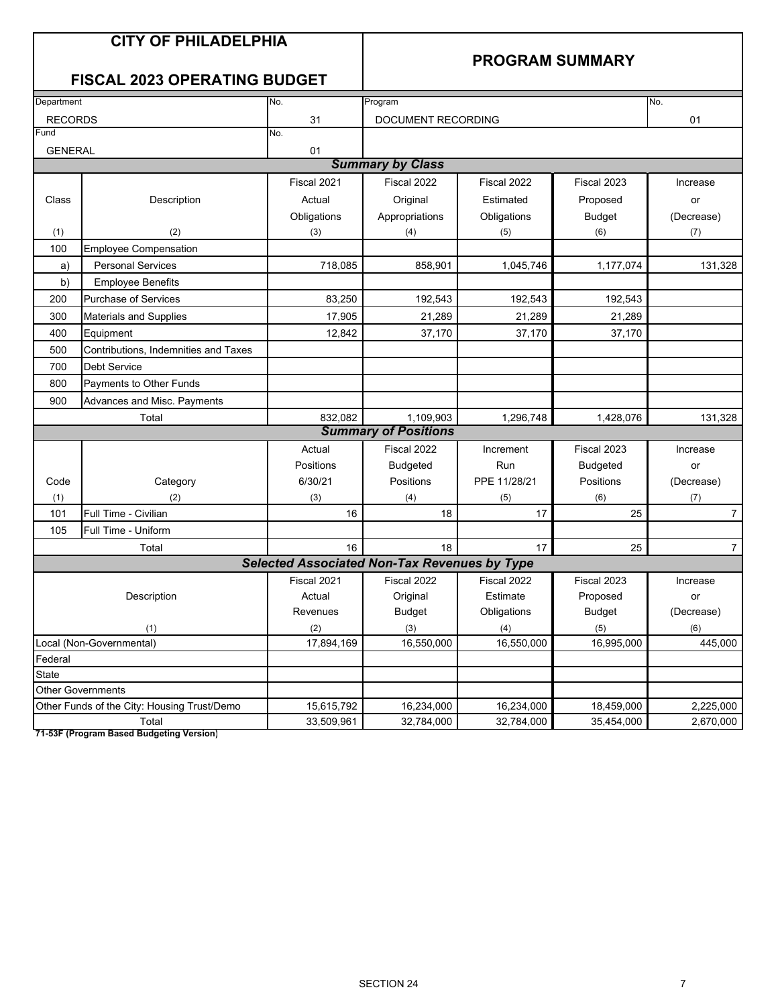| No.<br>Department<br>No.<br>Program<br><b>RECORDS</b><br>31<br>DOCUMENT RECORDING<br>01<br>Fund<br>No.<br><b>GENERAL</b><br>01<br><b>Summary by Class</b><br>Fiscal 2021<br>Fiscal 2022<br>Fiscal 2022<br>Fiscal 2023<br>Increase<br>Class<br>Description<br>Actual<br>Original<br>Estimated<br>Proposed<br>or<br>Obligations<br>Appropriations<br><b>Budget</b><br>Obligations<br>(Decrease)<br>(2)<br>(1)<br>(3)<br>(4)<br>(5)<br>(6)<br>(7)<br>100<br><b>Employee Compensation</b><br><b>Personal Services</b><br>718,085<br>858,901<br>1,045,746<br>1,177,074<br>a)<br>b)<br><b>Employee Benefits</b><br>Purchase of Services<br>83,250<br>192,543<br>192,543<br>192,543<br>200<br>21,289<br>21,289<br>17.905<br>21,289<br>300<br>Materials and Supplies<br>400<br>Equipment<br>12,842<br>37,170<br>37,170<br>37,170<br>500<br>Contributions. Indemnities and Taxes<br><b>Debt Service</b><br>700<br>800<br>Payments to Other Funds<br>900<br>Advances and Misc. Payments<br>Total<br>832,082<br>1,109,903<br>1,296,748<br>1,428,076<br><b>Summary of Positions</b><br>Actual<br>Fiscal 2022<br>Fiscal 2023<br>Increment<br>Increase<br><b>Positions</b><br>Run<br><b>Budgeted</b><br><b>Budgeted</b><br>or<br>6/30/21<br>PPE 11/28/21<br>Positions<br>Positions<br>(Decrease)<br>Code<br>Category<br>(1)<br>(2)<br>(3)<br>(4)<br>(5)<br>(6)<br>(7)<br>Full Time - Civilian<br>25<br>101<br>16<br>18<br>17<br>Full Time - Uniform<br>105<br>16<br>18<br>17<br>25<br>Total<br><b>Selected Associated Non-Tax Revenues by Type</b><br>Fiscal 2021<br>Fiscal 2022<br>Fiscal 2022<br>Fiscal 2023<br>Increase<br>Estimate<br>Description<br>Actual<br>Original<br>Proposed<br>or<br><b>Budget</b><br>Obligations<br><b>Budget</b><br>(Decrease)<br>Revenues<br>(2)<br>(3)<br>(1)<br>(5)<br>(6)<br>(4)<br>16,550,000<br>16,995,000<br>17,894,169<br>16,550,000<br>445,000<br>Local (Non-Governmental)<br>Federal<br>State<br><b>Other Governments</b><br>Other Funds of the City: Housing Trust/Demo<br>15,615,792<br>16,234,000<br>16,234,000<br>18,459,000<br>2,225,000 | <b>CITY OF PHILADELPHIA</b><br><b>FISCAL 2023 OPERATING BUDGET</b> |            |            |            | <b>PROGRAM SUMMARY</b> |                |
|-------------------------------------------------------------------------------------------------------------------------------------------------------------------------------------------------------------------------------------------------------------------------------------------------------------------------------------------------------------------------------------------------------------------------------------------------------------------------------------------------------------------------------------------------------------------------------------------------------------------------------------------------------------------------------------------------------------------------------------------------------------------------------------------------------------------------------------------------------------------------------------------------------------------------------------------------------------------------------------------------------------------------------------------------------------------------------------------------------------------------------------------------------------------------------------------------------------------------------------------------------------------------------------------------------------------------------------------------------------------------------------------------------------------------------------------------------------------------------------------------------------------------------------------------------------------------------------------------------------------------------------------------------------------------------------------------------------------------------------------------------------------------------------------------------------------------------------------------------------------------------------------------------------------------------------------------------------------------------------------------------------------------------------------------------------------------|--------------------------------------------------------------------|------------|------------|------------|------------------------|----------------|
|                                                                                                                                                                                                                                                                                                                                                                                                                                                                                                                                                                                                                                                                                                                                                                                                                                                                                                                                                                                                                                                                                                                                                                                                                                                                                                                                                                                                                                                                                                                                                                                                                                                                                                                                                                                                                                                                                                                                                                                                                                                                         |                                                                    |            |            |            |                        |                |
|                                                                                                                                                                                                                                                                                                                                                                                                                                                                                                                                                                                                                                                                                                                                                                                                                                                                                                                                                                                                                                                                                                                                                                                                                                                                                                                                                                                                                                                                                                                                                                                                                                                                                                                                                                                                                                                                                                                                                                                                                                                                         |                                                                    |            |            |            |                        |                |
|                                                                                                                                                                                                                                                                                                                                                                                                                                                                                                                                                                                                                                                                                                                                                                                                                                                                                                                                                                                                                                                                                                                                                                                                                                                                                                                                                                                                                                                                                                                                                                                                                                                                                                                                                                                                                                                                                                                                                                                                                                                                         |                                                                    |            |            |            |                        |                |
|                                                                                                                                                                                                                                                                                                                                                                                                                                                                                                                                                                                                                                                                                                                                                                                                                                                                                                                                                                                                                                                                                                                                                                                                                                                                                                                                                                                                                                                                                                                                                                                                                                                                                                                                                                                                                                                                                                                                                                                                                                                                         |                                                                    |            |            |            |                        |                |
|                                                                                                                                                                                                                                                                                                                                                                                                                                                                                                                                                                                                                                                                                                                                                                                                                                                                                                                                                                                                                                                                                                                                                                                                                                                                                                                                                                                                                                                                                                                                                                                                                                                                                                                                                                                                                                                                                                                                                                                                                                                                         |                                                                    |            |            |            |                        |                |
|                                                                                                                                                                                                                                                                                                                                                                                                                                                                                                                                                                                                                                                                                                                                                                                                                                                                                                                                                                                                                                                                                                                                                                                                                                                                                                                                                                                                                                                                                                                                                                                                                                                                                                                                                                                                                                                                                                                                                                                                                                                                         |                                                                    |            |            |            |                        |                |
|                                                                                                                                                                                                                                                                                                                                                                                                                                                                                                                                                                                                                                                                                                                                                                                                                                                                                                                                                                                                                                                                                                                                                                                                                                                                                                                                                                                                                                                                                                                                                                                                                                                                                                                                                                                                                                                                                                                                                                                                                                                                         |                                                                    |            |            |            |                        |                |
|                                                                                                                                                                                                                                                                                                                                                                                                                                                                                                                                                                                                                                                                                                                                                                                                                                                                                                                                                                                                                                                                                                                                                                                                                                                                                                                                                                                                                                                                                                                                                                                                                                                                                                                                                                                                                                                                                                                                                                                                                                                                         |                                                                    |            |            |            |                        |                |
|                                                                                                                                                                                                                                                                                                                                                                                                                                                                                                                                                                                                                                                                                                                                                                                                                                                                                                                                                                                                                                                                                                                                                                                                                                                                                                                                                                                                                                                                                                                                                                                                                                                                                                                                                                                                                                                                                                                                                                                                                                                                         |                                                                    |            |            |            |                        |                |
|                                                                                                                                                                                                                                                                                                                                                                                                                                                                                                                                                                                                                                                                                                                                                                                                                                                                                                                                                                                                                                                                                                                                                                                                                                                                                                                                                                                                                                                                                                                                                                                                                                                                                                                                                                                                                                                                                                                                                                                                                                                                         |                                                                    |            |            |            |                        |                |
|                                                                                                                                                                                                                                                                                                                                                                                                                                                                                                                                                                                                                                                                                                                                                                                                                                                                                                                                                                                                                                                                                                                                                                                                                                                                                                                                                                                                                                                                                                                                                                                                                                                                                                                                                                                                                                                                                                                                                                                                                                                                         |                                                                    |            |            |            |                        | 131,328        |
|                                                                                                                                                                                                                                                                                                                                                                                                                                                                                                                                                                                                                                                                                                                                                                                                                                                                                                                                                                                                                                                                                                                                                                                                                                                                                                                                                                                                                                                                                                                                                                                                                                                                                                                                                                                                                                                                                                                                                                                                                                                                         |                                                                    |            |            |            |                        |                |
|                                                                                                                                                                                                                                                                                                                                                                                                                                                                                                                                                                                                                                                                                                                                                                                                                                                                                                                                                                                                                                                                                                                                                                                                                                                                                                                                                                                                                                                                                                                                                                                                                                                                                                                                                                                                                                                                                                                                                                                                                                                                         |                                                                    |            |            |            |                        |                |
|                                                                                                                                                                                                                                                                                                                                                                                                                                                                                                                                                                                                                                                                                                                                                                                                                                                                                                                                                                                                                                                                                                                                                                                                                                                                                                                                                                                                                                                                                                                                                                                                                                                                                                                                                                                                                                                                                                                                                                                                                                                                         |                                                                    |            |            |            |                        |                |
|                                                                                                                                                                                                                                                                                                                                                                                                                                                                                                                                                                                                                                                                                                                                                                                                                                                                                                                                                                                                                                                                                                                                                                                                                                                                                                                                                                                                                                                                                                                                                                                                                                                                                                                                                                                                                                                                                                                                                                                                                                                                         |                                                                    |            |            |            |                        |                |
|                                                                                                                                                                                                                                                                                                                                                                                                                                                                                                                                                                                                                                                                                                                                                                                                                                                                                                                                                                                                                                                                                                                                                                                                                                                                                                                                                                                                                                                                                                                                                                                                                                                                                                                                                                                                                                                                                                                                                                                                                                                                         |                                                                    |            |            |            |                        |                |
|                                                                                                                                                                                                                                                                                                                                                                                                                                                                                                                                                                                                                                                                                                                                                                                                                                                                                                                                                                                                                                                                                                                                                                                                                                                                                                                                                                                                                                                                                                                                                                                                                                                                                                                                                                                                                                                                                                                                                                                                                                                                         |                                                                    |            |            |            |                        |                |
|                                                                                                                                                                                                                                                                                                                                                                                                                                                                                                                                                                                                                                                                                                                                                                                                                                                                                                                                                                                                                                                                                                                                                                                                                                                                                                                                                                                                                                                                                                                                                                                                                                                                                                                                                                                                                                                                                                                                                                                                                                                                         |                                                                    |            |            |            |                        |                |
|                                                                                                                                                                                                                                                                                                                                                                                                                                                                                                                                                                                                                                                                                                                                                                                                                                                                                                                                                                                                                                                                                                                                                                                                                                                                                                                                                                                                                                                                                                                                                                                                                                                                                                                                                                                                                                                                                                                                                                                                                                                                         |                                                                    |            |            |            |                        |                |
|                                                                                                                                                                                                                                                                                                                                                                                                                                                                                                                                                                                                                                                                                                                                                                                                                                                                                                                                                                                                                                                                                                                                                                                                                                                                                                                                                                                                                                                                                                                                                                                                                                                                                                                                                                                                                                                                                                                                                                                                                                                                         |                                                                    |            |            |            |                        | 131,328        |
|                                                                                                                                                                                                                                                                                                                                                                                                                                                                                                                                                                                                                                                                                                                                                                                                                                                                                                                                                                                                                                                                                                                                                                                                                                                                                                                                                                                                                                                                                                                                                                                                                                                                                                                                                                                                                                                                                                                                                                                                                                                                         |                                                                    |            |            |            |                        |                |
|                                                                                                                                                                                                                                                                                                                                                                                                                                                                                                                                                                                                                                                                                                                                                                                                                                                                                                                                                                                                                                                                                                                                                                                                                                                                                                                                                                                                                                                                                                                                                                                                                                                                                                                                                                                                                                                                                                                                                                                                                                                                         |                                                                    |            |            |            |                        |                |
|                                                                                                                                                                                                                                                                                                                                                                                                                                                                                                                                                                                                                                                                                                                                                                                                                                                                                                                                                                                                                                                                                                                                                                                                                                                                                                                                                                                                                                                                                                                                                                                                                                                                                                                                                                                                                                                                                                                                                                                                                                                                         |                                                                    |            |            |            |                        |                |
|                                                                                                                                                                                                                                                                                                                                                                                                                                                                                                                                                                                                                                                                                                                                                                                                                                                                                                                                                                                                                                                                                                                                                                                                                                                                                                                                                                                                                                                                                                                                                                                                                                                                                                                                                                                                                                                                                                                                                                                                                                                                         |                                                                    |            |            |            |                        |                |
|                                                                                                                                                                                                                                                                                                                                                                                                                                                                                                                                                                                                                                                                                                                                                                                                                                                                                                                                                                                                                                                                                                                                                                                                                                                                                                                                                                                                                                                                                                                                                                                                                                                                                                                                                                                                                                                                                                                                                                                                                                                                         |                                                                    |            |            |            |                        |                |
|                                                                                                                                                                                                                                                                                                                                                                                                                                                                                                                                                                                                                                                                                                                                                                                                                                                                                                                                                                                                                                                                                                                                                                                                                                                                                                                                                                                                                                                                                                                                                                                                                                                                                                                                                                                                                                                                                                                                                                                                                                                                         |                                                                    |            |            |            |                        | $\overline{7}$ |
|                                                                                                                                                                                                                                                                                                                                                                                                                                                                                                                                                                                                                                                                                                                                                                                                                                                                                                                                                                                                                                                                                                                                                                                                                                                                                                                                                                                                                                                                                                                                                                                                                                                                                                                                                                                                                                                                                                                                                                                                                                                                         |                                                                    |            |            |            |                        |                |
|                                                                                                                                                                                                                                                                                                                                                                                                                                                                                                                                                                                                                                                                                                                                                                                                                                                                                                                                                                                                                                                                                                                                                                                                                                                                                                                                                                                                                                                                                                                                                                                                                                                                                                                                                                                                                                                                                                                                                                                                                                                                         |                                                                    |            |            |            |                        | $\overline{7}$ |
|                                                                                                                                                                                                                                                                                                                                                                                                                                                                                                                                                                                                                                                                                                                                                                                                                                                                                                                                                                                                                                                                                                                                                                                                                                                                                                                                                                                                                                                                                                                                                                                                                                                                                                                                                                                                                                                                                                                                                                                                                                                                         |                                                                    |            |            |            |                        |                |
|                                                                                                                                                                                                                                                                                                                                                                                                                                                                                                                                                                                                                                                                                                                                                                                                                                                                                                                                                                                                                                                                                                                                                                                                                                                                                                                                                                                                                                                                                                                                                                                                                                                                                                                                                                                                                                                                                                                                                                                                                                                                         |                                                                    |            |            |            |                        |                |
|                                                                                                                                                                                                                                                                                                                                                                                                                                                                                                                                                                                                                                                                                                                                                                                                                                                                                                                                                                                                                                                                                                                                                                                                                                                                                                                                                                                                                                                                                                                                                                                                                                                                                                                                                                                                                                                                                                                                                                                                                                                                         |                                                                    |            |            |            |                        |                |
|                                                                                                                                                                                                                                                                                                                                                                                                                                                                                                                                                                                                                                                                                                                                                                                                                                                                                                                                                                                                                                                                                                                                                                                                                                                                                                                                                                                                                                                                                                                                                                                                                                                                                                                                                                                                                                                                                                                                                                                                                                                                         |                                                                    |            |            |            |                        |                |
|                                                                                                                                                                                                                                                                                                                                                                                                                                                                                                                                                                                                                                                                                                                                                                                                                                                                                                                                                                                                                                                                                                                                                                                                                                                                                                                                                                                                                                                                                                                                                                                                                                                                                                                                                                                                                                                                                                                                                                                                                                                                         |                                                                    |            |            |            |                        |                |
|                                                                                                                                                                                                                                                                                                                                                                                                                                                                                                                                                                                                                                                                                                                                                                                                                                                                                                                                                                                                                                                                                                                                                                                                                                                                                                                                                                                                                                                                                                                                                                                                                                                                                                                                                                                                                                                                                                                                                                                                                                                                         |                                                                    |            |            |            |                        |                |
|                                                                                                                                                                                                                                                                                                                                                                                                                                                                                                                                                                                                                                                                                                                                                                                                                                                                                                                                                                                                                                                                                                                                                                                                                                                                                                                                                                                                                                                                                                                                                                                                                                                                                                                                                                                                                                                                                                                                                                                                                                                                         |                                                                    |            |            |            |                        |                |
|                                                                                                                                                                                                                                                                                                                                                                                                                                                                                                                                                                                                                                                                                                                                                                                                                                                                                                                                                                                                                                                                                                                                                                                                                                                                                                                                                                                                                                                                                                                                                                                                                                                                                                                                                                                                                                                                                                                                                                                                                                                                         |                                                                    |            |            |            |                        |                |
|                                                                                                                                                                                                                                                                                                                                                                                                                                                                                                                                                                                                                                                                                                                                                                                                                                                                                                                                                                                                                                                                                                                                                                                                                                                                                                                                                                                                                                                                                                                                                                                                                                                                                                                                                                                                                                                                                                                                                                                                                                                                         |                                                                    |            |            |            |                        |                |
|                                                                                                                                                                                                                                                                                                                                                                                                                                                                                                                                                                                                                                                                                                                                                                                                                                                                                                                                                                                                                                                                                                                                                                                                                                                                                                                                                                                                                                                                                                                                                                                                                                                                                                                                                                                                                                                                                                                                                                                                                                                                         | Total                                                              | 33,509,961 | 32,784,000 | 32,784,000 | 35,454,000             | 2,670,000      |

**71-53F (Program Based Budgeting Version)**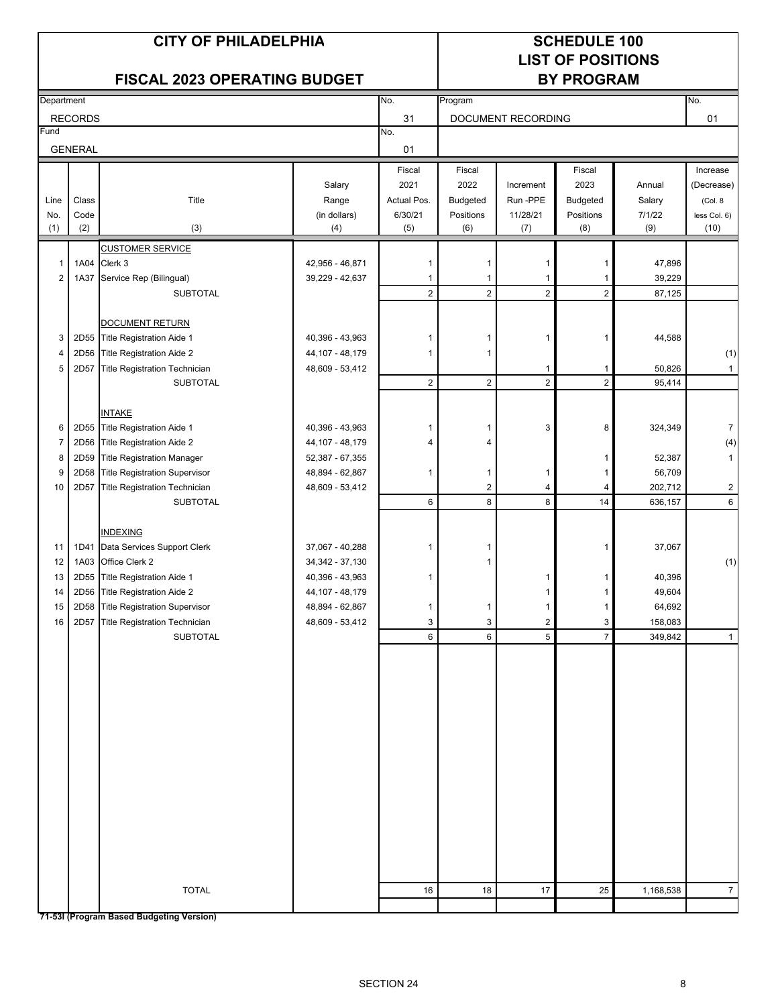# **LIST OF POSITIONS**

## FISCAL 2023 OPERATING BUDGET BY PROGRAM

| Department     |                |                                          |                   | No.            | Program                 |                    |                |           | No.            |
|----------------|----------------|------------------------------------------|-------------------|----------------|-------------------------|--------------------|----------------|-----------|----------------|
|                | <b>RECORDS</b> |                                          |                   | 31             |                         | DOCUMENT RECORDING |                |           | 01             |
| Fund           |                |                                          |                   | No.            |                         |                    |                |           |                |
|                | <b>GENERAL</b> |                                          |                   | 01             |                         |                    |                |           |                |
|                |                |                                          |                   | Fiscal         | Fiscal                  |                    | Fiscal         |           | Increase       |
|                |                |                                          | Salary            | 2021           | 2022                    | Increment          | 2023           | Annual    | (Decrease)     |
| Line           | Class          | Title                                    | Range             | Actual Pos.    | Budgeted                | Run -PPE           | Budgeted       | Salary    | (Col. 8        |
| No.            | Code           |                                          | (in dollars)      | 6/30/21        | Positions               | 11/28/21           | Positions      | 7/1/22    | less Col. 6)   |
| (1)            | (2)            | (3)                                      | (4)               | (5)            | (6)                     | (7)                | (8)            | (9)       | (10)           |
|                |                | <b>CUSTOMER SERVICE</b>                  |                   |                |                         |                    |                |           |                |
| $\mathbf{1}$   | 1A04           | Clerk 3                                  | 42,956 - 46,871   | 1              | 1                       | -1                 | 1              | 47,896    |                |
| $\overline{2}$ | 1A37           | Service Rep (Bilingual)                  | 39,229 - 42,637   | 1              | 1                       | $\mathbf{1}$       | 1              | 39,229    |                |
|                |                | <b>SUBTOTAL</b>                          |                   | $\overline{2}$ | $\overline{2}$          | $\overline{2}$     | $\overline{2}$ | 87,125    |                |
|                |                |                                          |                   |                |                         |                    |                |           |                |
|                |                | <b>DOCUMENT RETURN</b>                   |                   |                |                         |                    |                |           |                |
| 3              |                | 2D55 Title Registration Aide 1           | 40,396 - 43,963   | 1              | 1                       | 1                  | 1              | 44,588    |                |
| 4              |                | 2D56 Title Registration Aide 2           | 44,107 - 48,179   | 1              | 1                       |                    |                |           | (1)            |
| 5              | 2D57           | <b>Title Registration Technician</b>     | 48,609 - 53,412   |                |                         | $\mathbf{1}$       | 1              | 50,826    | $\mathbf{1}$   |
|                |                | <b>SUBTOTAL</b>                          |                   | $\overline{2}$ | $\overline{c}$          | $\overline{2}$     | $\sqrt{2}$     | 95,414    |                |
|                |                |                                          |                   |                |                         |                    |                |           |                |
|                |                | <b>INTAKE</b>                            |                   |                |                         |                    |                |           |                |
| 6              |                | 2D55 Title Registration Aide 1           | 40,396 - 43,963   | 1              | 1                       | 3                  | 8              | 324,349   | $\overline{7}$ |
| $\overline{7}$ | 2D56           | Title Registration Aide 2                | 44,107 - 48,179   | 4              | 4                       |                    |                |           | (4)            |
| 8              | 2D59           | <b>Title Registration Manager</b>        | 52,387 - 67,355   |                |                         |                    | 1              | 52,387    | $\mathbf{1}$   |
| 9              | 2D58           | <b>Title Registration Supervisor</b>     | 48,894 - 62,867   | 1              | 1                       | 1                  | 1              | 56,709    |                |
| 10             | 2D57           | <b>Title Registration Technician</b>     | 48,609 - 53,412   |                | $\overline{\mathbf{c}}$ | 4                  | 4              | 202,712   | $\overline{2}$ |
|                |                | <b>SUBTOTAL</b>                          |                   | 6              | 8                       | 8                  | 14             | 636,157   | 6              |
|                |                |                                          |                   |                |                         |                    |                |           |                |
|                |                | <b>INDEXING</b>                          |                   |                |                         |                    |                |           |                |
| 11             | 1D41           | Data Services Support Clerk              | 37,067 - 40,288   |                | 1                       |                    | 1              | 37,067    |                |
| 12             | 1A03           | Office Clerk 2                           | 34, 342 - 37, 130 |                | 1                       |                    |                |           | (1)            |
| 13             |                | 2D55 Title Registration Aide 1           | 40,396 - 43,963   | 1              |                         | 1                  | 1              | 40,396    |                |
| 14             | 2D56           | Title Registration Aide 2                | 44,107 - 48,179   |                |                         | 1                  | 1              | 49,604    |                |
| 15             | 2D58           | <b>Title Registration Supervisor</b>     | 48,894 - 62,867   | 1              | 1                       | 1                  | 1              | 64,692    |                |
| 16             | 2D57           | Title Registration Technician            | 48,609 - 53,412   | 3              | 3                       | $\overline{2}$     | 3              | 158,083   |                |
|                |                | <b>SUBTOTAL</b>                          |                   | 6              | 6                       | 5                  | $\overline{7}$ | 349,842   | $\mathbf{1}$   |
|                |                |                                          |                   |                |                         |                    |                |           |                |
|                |                |                                          |                   |                |                         |                    |                |           |                |
|                |                |                                          |                   |                |                         |                    |                |           |                |
|                |                |                                          |                   |                |                         |                    |                |           |                |
|                |                |                                          |                   |                |                         |                    |                |           |                |
|                |                |                                          |                   |                |                         |                    |                |           |                |
|                |                |                                          |                   |                |                         |                    |                |           |                |
|                |                |                                          |                   |                |                         |                    |                |           |                |
|                |                |                                          |                   |                |                         |                    |                |           |                |
|                |                |                                          |                   |                |                         |                    |                |           |                |
|                |                |                                          |                   |                |                         |                    |                |           |                |
|                |                |                                          |                   |                |                         |                    |                |           |                |
|                |                |                                          |                   |                |                         |                    |                |           |                |
|                |                |                                          |                   |                |                         |                    |                |           |                |
|                |                |                                          |                   |                |                         |                    |                |           |                |
|                |                |                                          |                   |                |                         |                    |                |           |                |
|                |                | <b>TOTAL</b>                             |                   | 16             | 18                      | 17                 | 25             | 1,168,538 | $\overline{7}$ |
|                |                |                                          |                   |                |                         |                    |                |           |                |
|                |                | 71-531 (Program Based Budgeting Version) |                   |                |                         |                    |                |           |                |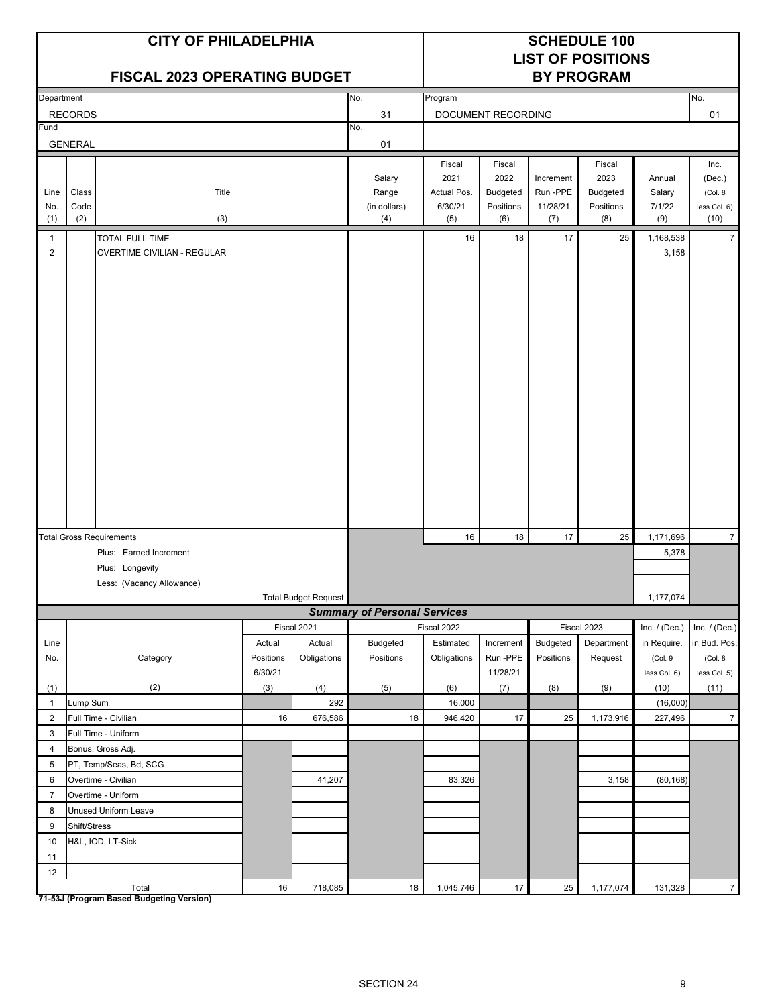|                    | <b>CITY OF PHILADELPHIA</b><br><b>FISCAL 2023 OPERATING BUDGET</b> |                                 |           |                             |                                        |                                                 |                                                       |                                          | <b>SCHEDULE 100</b><br><b>LIST OF POSITIONS</b><br><b>BY PROGRAM</b> |                                   |                                                   |
|--------------------|--------------------------------------------------------------------|---------------------------------|-----------|-----------------------------|----------------------------------------|-------------------------------------------------|-------------------------------------------------------|------------------------------------------|----------------------------------------------------------------------|-----------------------------------|---------------------------------------------------|
| Department         |                                                                    |                                 |           |                             | No.                                    | Program                                         |                                                       |                                          |                                                                      |                                   | No.                                               |
|                    | <b>RECORDS</b>                                                     |                                 |           |                             | 31                                     |                                                 | DOCUMENT RECORDING                                    |                                          |                                                                      |                                   | 01                                                |
| Fund               |                                                                    |                                 |           |                             | No.                                    |                                                 |                                                       |                                          |                                                                      |                                   |                                                   |
|                    | <b>GENERAL</b>                                                     |                                 |           |                             | 01                                     |                                                 |                                                       |                                          |                                                                      |                                   |                                                   |
| Line<br>No.<br>(1) | Class<br>Code<br>(2)                                               | Title<br>(3)                    |           |                             | Salary<br>Range<br>(in dollars)<br>(4) | Fiscal<br>2021<br>Actual Pos.<br>6/30/21<br>(5) | Fiscal<br>2022<br><b>Budgeted</b><br>Positions<br>(6) | Increment<br>Run -PPE<br>11/28/21<br>(7) | Fiscal<br>2023<br><b>Budgeted</b><br>Positions<br>(8)                | Annual<br>Salary<br>7/1/22<br>(9) | Inc.<br>(Dec.)<br>(Col. 8<br>less Col. 6)<br>(10) |
| 1                  |                                                                    | <b>TOTAL FULL TIME</b>          |           |                             |                                        | 16                                              | 18                                                    | 17                                       | 25                                                                   | 1,168,538                         | $\overline{7}$                                    |
| $\overline{2}$     |                                                                    | OVERTIME CIVILIAN - REGULAR     |           |                             |                                        |                                                 |                                                       |                                          |                                                                      | 3,158                             |                                                   |
|                    |                                                                    | <b>Total Gross Requirements</b> |           |                             |                                        | 16                                              | 18                                                    | 17                                       | 25                                                                   | 1,171,696                         | $\overline{7}$                                    |
|                    |                                                                    | Plus: Earned Increment          |           |                             |                                        |                                                 |                                                       |                                          |                                                                      | 5,378                             |                                                   |
|                    |                                                                    | Plus: Longevity                 |           |                             |                                        |                                                 |                                                       |                                          |                                                                      |                                   |                                                   |
|                    |                                                                    | Less: (Vacancy Allowance)       |           |                             |                                        |                                                 |                                                       |                                          |                                                                      |                                   |                                                   |
|                    |                                                                    |                                 |           | <b>Total Budget Request</b> |                                        |                                                 |                                                       |                                          |                                                                      | 1,177,074                         |                                                   |
|                    |                                                                    |                                 |           |                             | <b>Summary of Personal Services</b>    |                                                 |                                                       |                                          |                                                                      |                                   |                                                   |
| Line               |                                                                    |                                 | Actual    | Fiscal 2021<br>Actual       | <b>Budgeted</b>                        | Fiscal 2022<br>Estimated                        | Increment                                             | Budgeted                                 | Fiscal 2023<br>Department                                            | Inc. $/$ (Dec.)<br>in Require.    | Inc. / (Dec.)<br>in Bud. Pos.                     |
| No.                |                                                                    | Category                        | Positions | Obligations                 | Positions                              | Obligations                                     | Run-PPE                                               | Positions                                | Request                                                              | (Col. 9                           | (Col. 8                                           |
|                    |                                                                    |                                 | 6/30/21   |                             |                                        |                                                 | 11/28/21                                              |                                          |                                                                      | less Col. 6)                      | less Col. 5)                                      |
| (1)                |                                                                    | (2)                             | (3)       | (4)                         | (5)                                    | (6)                                             | (7)                                                   | (8)                                      | (9)                                                                  | (10)                              | (11)                                              |
| $\mathbf{1}$       | Lump Sum                                                           |                                 |           | 292                         |                                        | 16,000                                          |                                                       |                                          |                                                                      | (16,000)                          |                                                   |
| $\overline{2}$     |                                                                    | Full Time - Civilian            | 16        | 676,586                     | 18                                     | 946,420                                         | 17                                                    | 25                                       | 1,173,916                                                            | 227,496                           | $\overline{7}$                                    |
| 3                  |                                                                    | Full Time - Uniform             |           |                             |                                        |                                                 |                                                       |                                          |                                                                      |                                   |                                                   |
| 4                  |                                                                    | Bonus, Gross Adj.               |           |                             |                                        |                                                 |                                                       |                                          |                                                                      |                                   |                                                   |
| 5                  |                                                                    | PT, Temp/Seas, Bd, SCG          |           |                             |                                        |                                                 |                                                       |                                          |                                                                      |                                   |                                                   |
| 6                  |                                                                    | Overtime - Civilian             |           | 41,207                      |                                        | 83,326                                          |                                                       |                                          | 3,158                                                                | (80, 168)                         |                                                   |
| $\overline{7}$     |                                                                    | Overtime - Uniform              |           |                             |                                        |                                                 |                                                       |                                          |                                                                      |                                   |                                                   |
| 8                  |                                                                    | Unused Uniform Leave            |           |                             |                                        |                                                 |                                                       |                                          |                                                                      |                                   |                                                   |
| 9<br>$10$          | Shift/Stress                                                       | H&L, IOD, LT-Sick               |           |                             |                                        |                                                 |                                                       |                                          |                                                                      |                                   |                                                   |
| 11                 |                                                                    |                                 |           |                             |                                        |                                                 |                                                       |                                          |                                                                      |                                   |                                                   |
| 12                 |                                                                    |                                 |           |                             |                                        |                                                 |                                                       |                                          |                                                                      |                                   |                                                   |
|                    |                                                                    | Total                           | $16\,$    | 718,085                     | $18\,$                                 | 1,045,746                                       | 17                                                    | 25                                       | 1,177,074                                                            | 131,328                           | $\overline{7}$                                    |

**71-53J (Program Based Budgeting Version)**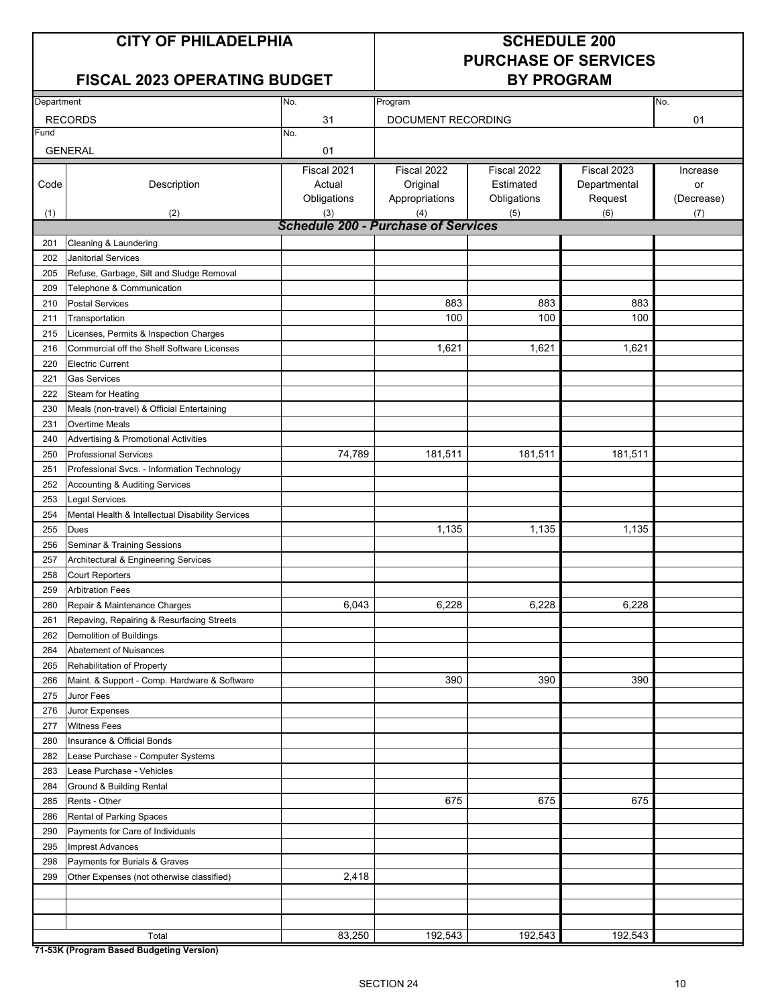## **FISCAL 2023 OPERATING BUDGET BY PROGRAM**

# **PURCHASE OF SERVICES**

| Department |                                                  | No.                                        | Program            |             |              | No.        |
|------------|--------------------------------------------------|--------------------------------------------|--------------------|-------------|--------------|------------|
|            | <b>RECORDS</b>                                   | 31                                         | DOCUMENT RECORDING |             |              | 01         |
| Fund       |                                                  | No.                                        |                    |             |              |            |
|            | <b>GENERAL</b>                                   | 01                                         |                    |             |              |            |
|            |                                                  | Fiscal 2021                                | Fiscal 2022        | Fiscal 2022 | Fiscal 2023  | Increase   |
| Code       | Description                                      | Actual                                     | Original           | Estimated   | Departmental | or         |
|            |                                                  | Obligations                                | Appropriations     | Obligations | Request      | (Decrease) |
| (1)        | (2)                                              | (3)                                        | (4)                | (5)         | (6)          | (7)        |
|            |                                                  | <b>Schedule 200 - Purchase of Services</b> |                    |             |              |            |
| 201        | Cleaning & Laundering                            |                                            |                    |             |              |            |
| 202        | <b>Janitorial Services</b>                       |                                            |                    |             |              |            |
| 205        | Refuse, Garbage, Silt and Sludge Removal         |                                            |                    |             |              |            |
| 209        | Telephone & Communication                        |                                            |                    |             |              |            |
| 210        | <b>Postal Services</b>                           |                                            | 883                | 883         | 883          |            |
| 211        | Transportation                                   |                                            | 100                | 100         | 100          |            |
| 215        | Licenses, Permits & Inspection Charges           |                                            |                    |             |              |            |
| 216        | Commercial off the Shelf Software Licenses       |                                            | 1,621              | 1,621       | 1,621        |            |
| 220        | <b>Electric Current</b>                          |                                            |                    |             |              |            |
| 221        | <b>Gas Services</b>                              |                                            |                    |             |              |            |
| 222        | Steam for Heating                                |                                            |                    |             |              |            |
| 230        | Meals (non-travel) & Official Entertaining       |                                            |                    |             |              |            |
| 231        | Overtime Meals                                   |                                            |                    |             |              |            |
| 240        | <b>Advertising &amp; Promotional Activities</b>  |                                            |                    |             |              |            |
| 250        | <b>Professional Services</b>                     | 74,789                                     | 181,511            | 181,511     | 181,511      |            |
| 251        | Professional Svcs. - Information Technology      |                                            |                    |             |              |            |
| 252        | <b>Accounting &amp; Auditing Services</b>        |                                            |                    |             |              |            |
| 253        | <b>Legal Services</b>                            |                                            |                    |             |              |            |
| 254        | Mental Health & Intellectual Disability Services |                                            |                    |             |              |            |
| 255        | <b>Dues</b>                                      |                                            | 1,135              | 1,135       | 1,135        |            |
| 256        | Seminar & Training Sessions                      |                                            |                    |             |              |            |
| 257        | Architectural & Engineering Services             |                                            |                    |             |              |            |
| 258        | <b>Court Reporters</b>                           |                                            |                    |             |              |            |
| 259        | <b>Arbitration Fees</b>                          |                                            |                    |             |              |            |
| 260        | Repair & Maintenance Charges                     | 6,043                                      | 6,228              | 6,228       | 6,228        |            |
| 261        | Repaving, Repairing & Resurfacing Streets        |                                            |                    |             |              |            |
| 262        | Demolition of Buildings                          |                                            |                    |             |              |            |
| 264        | Abatement of Nuisances                           |                                            |                    |             |              |            |
| 265        | Rehabilitation of Property                       |                                            |                    |             |              |            |
| 266        | Maint. & Support - Comp. Hardware & Software     |                                            | 390                | 390         | 390          |            |
| 275        | Juror Fees                                       |                                            |                    |             |              |            |
| 276        | Juror Expenses                                   |                                            |                    |             |              |            |
| 277        | <b>Witness Fees</b>                              |                                            |                    |             |              |            |
| 280        | Insurance & Official Bonds                       |                                            |                    |             |              |            |
| 282        | Lease Purchase - Computer Systems                |                                            |                    |             |              |            |
| 283        | Lease Purchase - Vehicles                        |                                            |                    |             |              |            |
| 284        | Ground & Building Rental                         |                                            |                    |             |              |            |
| 285        | Rents - Other                                    |                                            | 675                | 675         | 675          |            |
| 286        | Rental of Parking Spaces                         |                                            |                    |             |              |            |
| 290        | Payments for Care of Individuals                 |                                            |                    |             |              |            |
| 295        | <b>Imprest Advances</b>                          |                                            |                    |             |              |            |
| 298        | Payments for Burials & Graves                    |                                            |                    |             |              |            |
| 299        | Other Expenses (not otherwise classified)        | 2,418                                      |                    |             |              |            |
|            |                                                  |                                            |                    |             |              |            |
|            |                                                  |                                            |                    |             |              |            |
|            |                                                  |                                            |                    |             |              |            |
|            | Total                                            | 83,250                                     | 192,543            | 192,543     | 192,543      |            |

**71-53K (Program Based Budgeting Version)**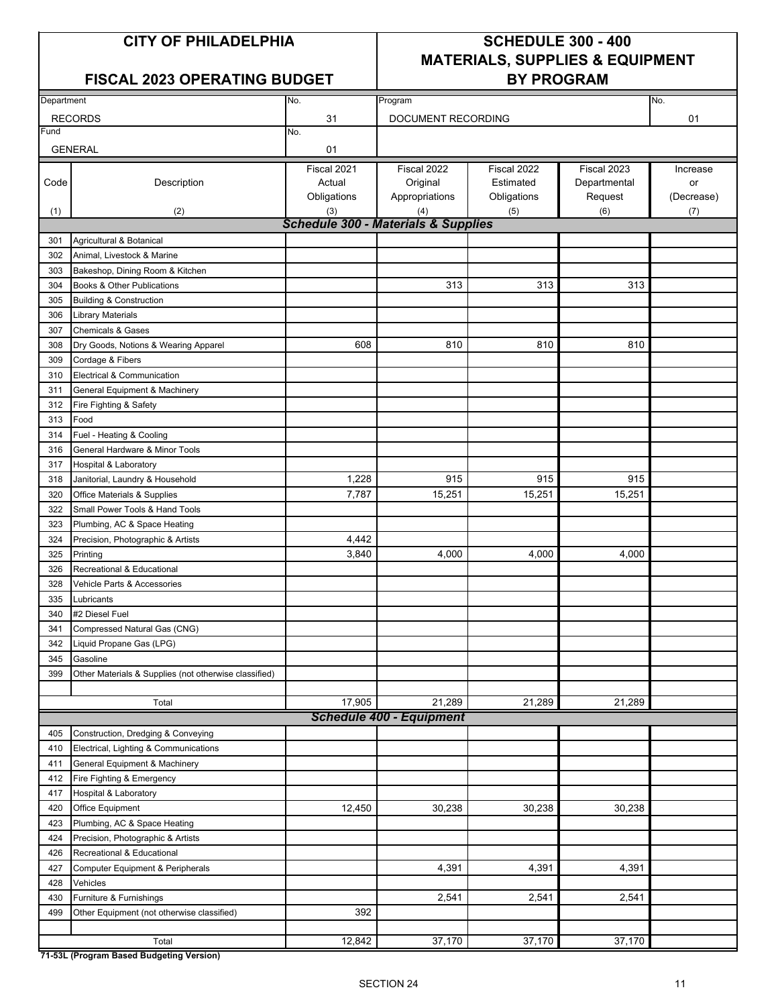### FISCAL 2023 OPERATING BUDGET | BY PROGRAM

## **CITY OF PHILADELPHIA SCHEDULE 300 - 400 MATERIALS, SUPPLIES & EQUIPMENT**

| Department |                                                       |                                                |                                 |             |              |            |
|------------|-------------------------------------------------------|------------------------------------------------|---------------------------------|-------------|--------------|------------|
|            |                                                       | No.                                            | Program                         |             |              | No.        |
|            | <b>RECORDS</b>                                        | 31                                             | DOCUMENT RECORDING              |             |              | 01         |
| Fund       |                                                       | No.                                            |                                 |             |              |            |
|            | <b>GENERAL</b>                                        | 01                                             |                                 |             |              |            |
|            |                                                       | Fiscal 2021                                    | Fiscal 2022                     | Fiscal 2022 | Fiscal 2023  | Increase   |
| Code       | Description                                           | Actual                                         | Original                        | Estimated   | Departmental | or         |
|            |                                                       | Obligations                                    | Appropriations                  | Obligations | Request      | (Decrease) |
| (1)        | (2)                                                   | (3)                                            | (4)                             | (5)         | (6)          | (7)        |
|            |                                                       | <b>Schedule 300 - Materials &amp; Supplies</b> |                                 |             |              |            |
| 301        | Agricultural & Botanical                              |                                                |                                 |             |              |            |
| 302        | Animal, Livestock & Marine                            |                                                |                                 |             |              |            |
| 303        | Bakeshop, Dining Room & Kitchen                       |                                                |                                 |             |              |            |
| 304        | Books & Other Publications                            |                                                | 313                             | 313         | 313          |            |
| 305        | <b>Building &amp; Construction</b>                    |                                                |                                 |             |              |            |
| 306        |                                                       |                                                |                                 |             |              |            |
| 307        | Library Materials                                     |                                                |                                 |             |              |            |
|            | <b>Chemicals &amp; Gases</b>                          |                                                |                                 |             |              |            |
| 308        | Dry Goods, Notions & Wearing Apparel                  | 608                                            | 810                             | 810         | 810          |            |
| 309        | Cordage & Fibers                                      |                                                |                                 |             |              |            |
| 310        | Electrical & Communication                            |                                                |                                 |             |              |            |
| 311        | General Equipment & Machinery                         |                                                |                                 |             |              |            |
| 312        | Fire Fighting & Safety                                |                                                |                                 |             |              |            |
| 313        | Food                                                  |                                                |                                 |             |              |            |
| 314        | Fuel - Heating & Cooling                              |                                                |                                 |             |              |            |
| 316        | General Hardware & Minor Tools                        |                                                |                                 |             |              |            |
| 317        | Hospital & Laboratory                                 |                                                |                                 |             |              |            |
| 318        | Janitorial, Laundry & Household                       | 1,228                                          | 915                             | 915         | 915          |            |
| 320        | Office Materials & Supplies                           | 7,787                                          | 15,251                          | 15,251      | 15,251       |            |
| 322        | Small Power Tools & Hand Tools                        |                                                |                                 |             |              |            |
| 323        | Plumbing, AC & Space Heating                          |                                                |                                 |             |              |            |
| 324        | Precision, Photographic & Artists                     | 4,442                                          |                                 |             |              |            |
| 325        | Printing                                              | 3,840                                          | 4,000                           | 4,000       | 4,000        |            |
| 326        | Recreational & Educational                            |                                                |                                 |             |              |            |
| 328        | Vehicle Parts & Accessories                           |                                                |                                 |             |              |            |
| 335        | Lubricants                                            |                                                |                                 |             |              |            |
| 340        | #2 Diesel Fuel                                        |                                                |                                 |             |              |            |
| 341        | Compressed Natural Gas (CNG)                          |                                                |                                 |             |              |            |
| 342        | Liquid Propane Gas (LPG)                              |                                                |                                 |             |              |            |
| 345        | Gasoline                                              |                                                |                                 |             |              |            |
| 399        | Other Materials & Supplies (not otherwise classified) |                                                |                                 |             |              |            |
|            |                                                       |                                                |                                 |             |              |            |
|            | Total                                                 | 17,905                                         | 21,289                          | 21,289      | 21,289       |            |
|            |                                                       |                                                | <b>Schedule 400 - Equipment</b> |             |              |            |
| 405        | Construction, Dredging & Conveying                    |                                                |                                 |             |              |            |
| 410        | Electrical, Lighting & Communications                 |                                                |                                 |             |              |            |
| 411        | General Equipment & Machinery                         |                                                |                                 |             |              |            |
| 412        | Fire Fighting & Emergency                             |                                                |                                 |             |              |            |
| 417        | Hospital & Laboratory                                 |                                                |                                 |             |              |            |
| 420        | Office Equipment                                      | 12,450                                         | 30,238                          | 30,238      | 30,238       |            |
| 423        | Plumbing, AC & Space Heating                          |                                                |                                 |             |              |            |
| 424        | Precision, Photographic & Artists                     |                                                |                                 |             |              |            |
|            | Recreational & Educational                            |                                                |                                 |             |              |            |
| 426        |                                                       |                                                | 4,391                           | 4,391       | 4,391        |            |
| 427        | Computer Equipment & Peripherals                      |                                                |                                 |             |              |            |
| 428        | Vehicles                                              |                                                |                                 |             |              |            |
| 430        | Furniture & Furnishings                               |                                                | 2,541                           | 2,541       | 2,541        |            |
| 499        | Other Equipment (not otherwise classified)            | 392                                            |                                 |             |              |            |
|            |                                                       |                                                |                                 |             |              |            |
|            | Total                                                 | 12,842                                         | 37,170                          | 37,170      | 37,170       |            |

**71-53L (Program Based Budgeting Version)**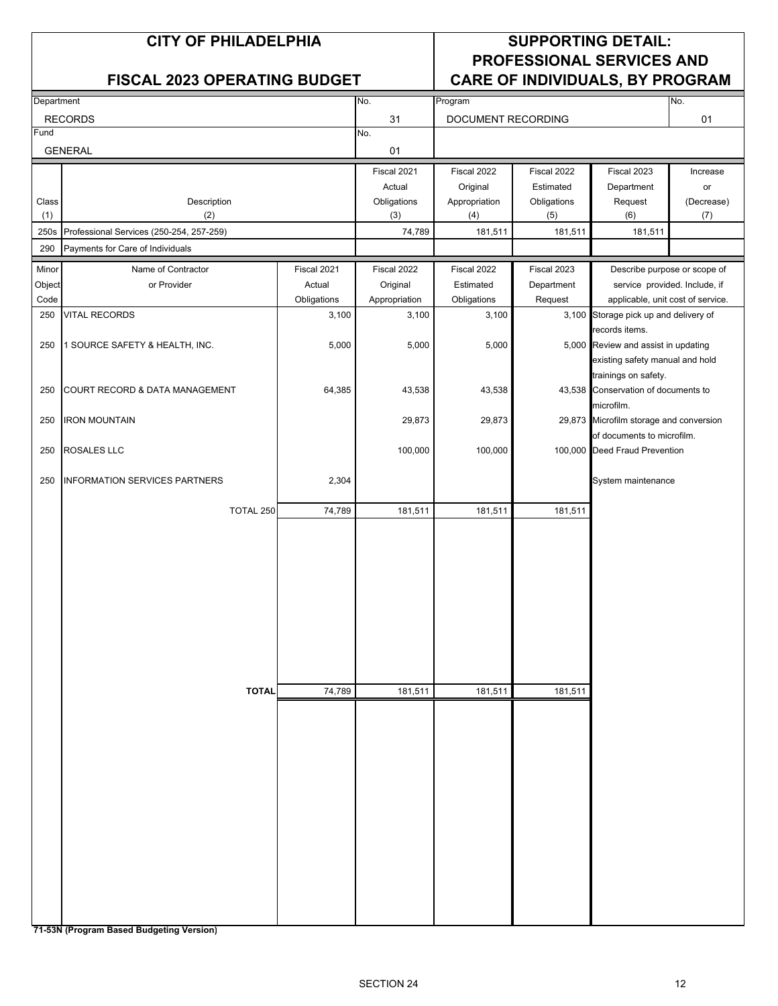|              | <b>CITY OF PHILADELPHIA</b>              |                                     | <b>SUPPORTING DETAIL:</b><br><b>PROFESSIONAL SERVICES AND</b> |                      |                    |                                                                       |                   |
|--------------|------------------------------------------|-------------------------------------|---------------------------------------------------------------|----------------------|--------------------|-----------------------------------------------------------------------|-------------------|
|              |                                          | <b>FISCAL 2023 OPERATING BUDGET</b> |                                                               |                      |                    | <b>CARE OF INDIVIDUALS, BY PROGRAM</b>                                |                   |
| Department   |                                          |                                     | No.                                                           | Program              |                    |                                                                       | No.               |
|              | <b>RECORDS</b>                           |                                     | 31                                                            | DOCUMENT RECORDING   |                    |                                                                       | 01                |
| Fund         | <b>GENERAL</b>                           |                                     | No.<br>01                                                     |                      |                    |                                                                       |                   |
|              |                                          |                                     | Fiscal 2021                                                   | Fiscal 2022          | Fiscal 2022        | Fiscal 2023                                                           | Increase          |
|              |                                          |                                     | Actual                                                        | Original             | Estimated          | Department                                                            | or                |
| Class<br>(1) | Description<br>(2)                       |                                     | Obligations<br>(3)                                            | Appropriation<br>(4) | Obligations<br>(5) | Request<br>(6)                                                        | (Decrease)<br>(7) |
| 250s         | Professional Services (250-254, 257-259) |                                     | 74,789                                                        | 181,511              | 181,511            | 181,511                                                               |                   |
| 290          | Payments for Care of Individuals         |                                     |                                                               |                      |                    |                                                                       |                   |
| Minor        | Name of Contractor                       | Fiscal 2021                         | Fiscal 2022                                                   | Fiscal 2022          | Fiscal 2023        | Describe purpose or scope of                                          |                   |
| Object       | or Provider                              | Actual                              | Original                                                      | Estimated            | Department         | service provided. Include, if                                         |                   |
| Code         |                                          | Obligations                         | Appropriation                                                 | Obligations          | Request            | applicable, unit cost of service.                                     |                   |
| 250          | <b>VITAL RECORDS</b>                     | 3,100                               | 3,100                                                         | 3,100                | 3,100              | Storage pick up and delivery of<br>records items.                     |                   |
| 250          | 1 SOURCE SAFETY & HEALTH, INC.           | 5,000                               | 5,000                                                         | 5,000                |                    | 5,000 Review and assist in updating                                   |                   |
|              |                                          |                                     |                                                               |                      |                    | existing safety manual and hold                                       |                   |
| 250          | COURT RECORD & DATA MANAGEMENT           | 64,385                              | 43,538                                                        | 43,538               |                    | trainings on safety.<br>43,538 Conservation of documents to           |                   |
|              |                                          |                                     |                                                               |                      |                    | microfilm.                                                            |                   |
| 250          | <b>IRON MOUNTAIN</b>                     |                                     | 29,873                                                        | 29,873               |                    | 29,873 Microfilm storage and conversion<br>of documents to microfilm. |                   |
| 250          | <b>ROSALES LLC</b>                       |                                     | 100,000                                                       | 100,000              |                    | 100,000 Deed Fraud Prevention                                         |                   |
| 250          | <b>INFORMATION SERVICES PARTNERS</b>     | 2,304                               |                                                               |                      |                    | System maintenance                                                    |                   |
|              | TOTAL 250                                | 74,789                              | 181,511                                                       | 181,511              | 181,511            |                                                                       |                   |
|              |                                          |                                     |                                                               |                      |                    |                                                                       |                   |
|              |                                          |                                     |                                                               |                      |                    |                                                                       |                   |
|              |                                          |                                     |                                                               |                      |                    |                                                                       |                   |
|              |                                          |                                     |                                                               |                      |                    |                                                                       |                   |
|              |                                          |                                     |                                                               |                      |                    |                                                                       |                   |
|              |                                          |                                     |                                                               |                      |                    |                                                                       |                   |
|              |                                          |                                     |                                                               |                      |                    |                                                                       |                   |
|              |                                          |                                     |                                                               |                      |                    |                                                                       |                   |
|              | <b>TOTAL</b>                             | 74,789                              | 181,511                                                       | 181,511              | 181,511            |                                                                       |                   |
|              |                                          |                                     |                                                               |                      |                    |                                                                       |                   |
|              |                                          |                                     |                                                               |                      |                    |                                                                       |                   |
|              |                                          |                                     |                                                               |                      |                    |                                                                       |                   |
|              |                                          |                                     |                                                               |                      |                    |                                                                       |                   |
|              |                                          |                                     |                                                               |                      |                    |                                                                       |                   |
|              |                                          |                                     |                                                               |                      |                    |                                                                       |                   |
|              |                                          |                                     |                                                               |                      |                    |                                                                       |                   |
|              |                                          |                                     |                                                               |                      |                    |                                                                       |                   |
|              |                                          |                                     |                                                               |                      |                    |                                                                       |                   |
|              |                                          |                                     |                                                               |                      |                    |                                                                       |                   |
|              |                                          |                                     |                                                               |                      |                    |                                                                       |                   |
|              |                                          |                                     |                                                               |                      |                    |                                                                       |                   |

**71-53N (Program Based Budgeting Version)**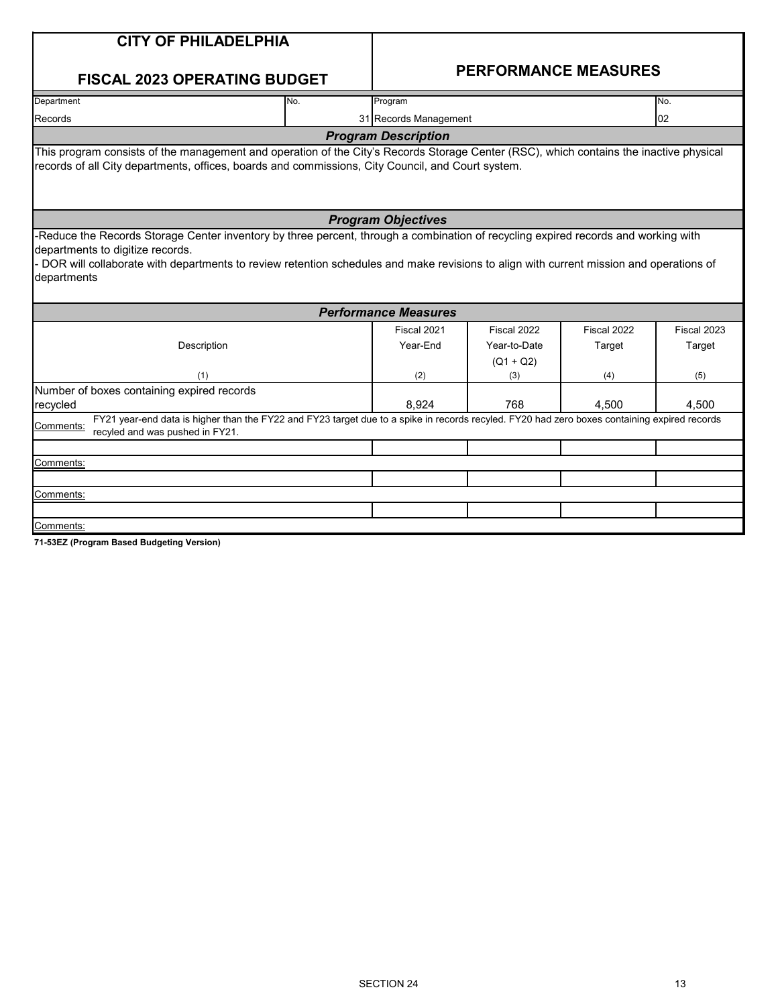| <b>CITY OF PHILADELPHIA</b>                                                                                                                                                                                                                                                                                                    |     |                             |                             |             |             |
|--------------------------------------------------------------------------------------------------------------------------------------------------------------------------------------------------------------------------------------------------------------------------------------------------------------------------------|-----|-----------------------------|-----------------------------|-------------|-------------|
| <b>FISCAL 2023 OPERATING BUDGET</b>                                                                                                                                                                                                                                                                                            |     |                             | <b>PERFORMANCE MEASURES</b> |             |             |
| Department                                                                                                                                                                                                                                                                                                                     | No. | Program                     |                             |             | No.         |
| Records                                                                                                                                                                                                                                                                                                                        |     | 31 Records Management       |                             |             | 02          |
|                                                                                                                                                                                                                                                                                                                                |     | <b>Program Description</b>  |                             |             |             |
| This program consists of the management and operation of the City's Records Storage Center (RSC), which contains the inactive physical<br>records of all City departments, offices, boards and commissions, City Council, and Court system.                                                                                    |     |                             |                             |             |             |
|                                                                                                                                                                                                                                                                                                                                |     | <b>Program Objectives</b>   |                             |             |             |
| Reduce the Records Storage Center inventory by three percent, through a combination of recycling expired records and working with<br>departments to digitize records.<br>DOR will collaborate with departments to review retention schedules and make revisions to align with current mission and operations of<br>departments |     |                             |                             |             |             |
|                                                                                                                                                                                                                                                                                                                                |     | <b>Performance Measures</b> |                             |             |             |
|                                                                                                                                                                                                                                                                                                                                |     | Fiscal 2021                 | Fiscal 2022                 | Fiscal 2022 | Fiscal 2023 |
| Description                                                                                                                                                                                                                                                                                                                    |     | Year-End                    | Year-to-Date                | Target      | Target      |
|                                                                                                                                                                                                                                                                                                                                |     |                             | $(Q1 + Q2)$                 |             |             |
| (1)<br>Number of boxes containing expired records                                                                                                                                                                                                                                                                              |     | (2)                         | (3)                         | (4)         | (5)         |
| recycled                                                                                                                                                                                                                                                                                                                       |     | 8.924                       | 768                         | 4,500       | 4,500       |
| FY21 year-end data is higher than the FY22 and FY23 target due to a spike in records recyled. FY20 had zero boxes containing expired records<br>Comments:<br>recyled and was pushed in FY21.                                                                                                                                   |     |                             |                             |             |             |
|                                                                                                                                                                                                                                                                                                                                |     |                             |                             |             |             |
| Comments:                                                                                                                                                                                                                                                                                                                      |     |                             |                             |             |             |
|                                                                                                                                                                                                                                                                                                                                |     |                             |                             |             |             |
| Comments:                                                                                                                                                                                                                                                                                                                      |     |                             |                             |             |             |
|                                                                                                                                                                                                                                                                                                                                |     |                             |                             |             |             |
| Comments:                                                                                                                                                                                                                                                                                                                      |     |                             |                             |             |             |

**71-53EZ (Program Based Budgeting Version)**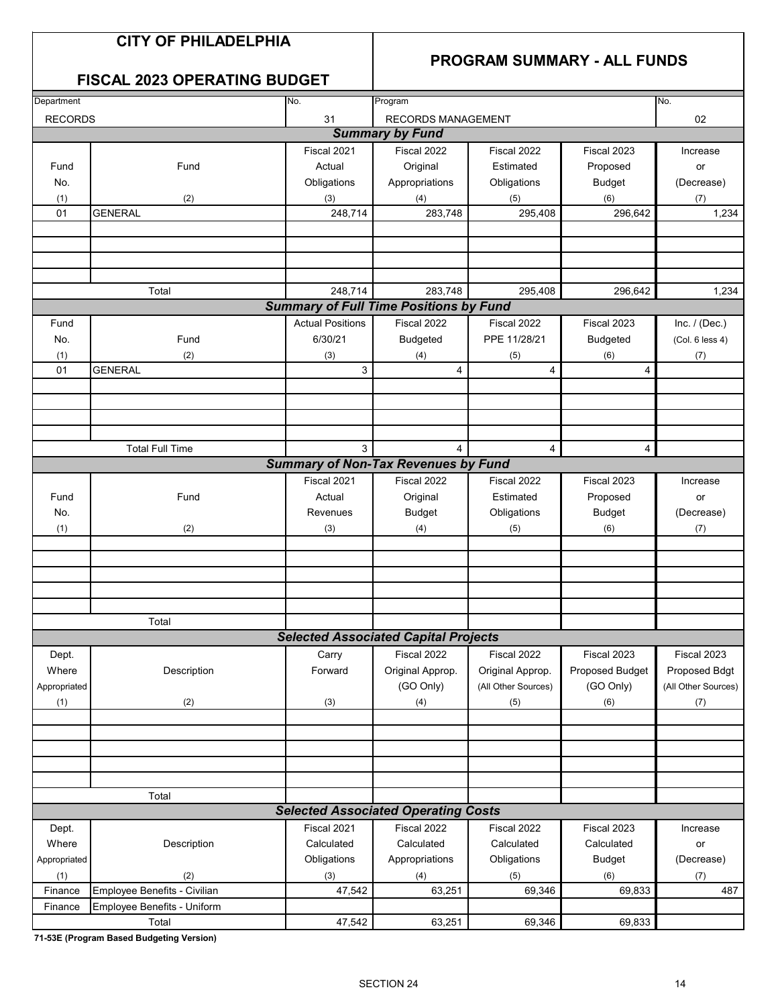## **CITY OF PHILADELPHIA**

## **PROGRAM SUMMARY - ALL FUNDS**

## **FISCAL 2023 OPERATING BUDGET**

| Department     |                              | No.                     | Program                                       |                     |                 |                     |  |  |  |
|----------------|------------------------------|-------------------------|-----------------------------------------------|---------------------|-----------------|---------------------|--|--|--|
|                |                              |                         |                                               |                     |                 | No.                 |  |  |  |
| <b>RECORDS</b> |                              | 31                      | RECORDS MANAGEMENT                            |                     |                 | 02                  |  |  |  |
|                |                              |                         | <b>Summary by Fund</b>                        |                     |                 |                     |  |  |  |
|                |                              | Fiscal 2021             | Fiscal 2022                                   | Fiscal 2022         | Fiscal 2023     | Increase            |  |  |  |
| Fund           | Fund                         | Actual                  | Original                                      | Estimated           | Proposed        | or                  |  |  |  |
| No.            |                              | Obligations             | Appropriations                                | Obligations         | <b>Budget</b>   | (Decrease)          |  |  |  |
| (1)            | (2)                          | (3)                     | (4)                                           | (5)                 | (6)             | (7)                 |  |  |  |
| 01             | <b>GENERAL</b>               | 248,714                 | 283,748                                       | 295,408             | 296,642         | 1,234               |  |  |  |
|                |                              |                         |                                               |                     |                 |                     |  |  |  |
|                |                              |                         |                                               |                     |                 |                     |  |  |  |
|                |                              |                         |                                               |                     |                 |                     |  |  |  |
|                |                              |                         |                                               |                     |                 |                     |  |  |  |
|                | Total                        | 248,714                 | 283,748                                       | 295,408             | 296,642         | 1,234               |  |  |  |
|                |                              |                         | <b>Summary of Full Time Positions by Fund</b> |                     |                 |                     |  |  |  |
| Fund           |                              | <b>Actual Positions</b> | Fiscal 2022                                   | Fiscal 2022         | Fiscal 2023     | Inc. $/$ (Dec.)     |  |  |  |
|                |                              |                         |                                               |                     |                 |                     |  |  |  |
| No.            | Fund                         | 6/30/21                 | <b>Budgeted</b>                               | PPE 11/28/21        | <b>Budgeted</b> | (Col. 6 less 4)     |  |  |  |
| (1)            | (2)                          | (3)                     | (4)                                           | (5)                 | (6)             | (7)                 |  |  |  |
| 01             | <b>GENERAL</b>               | 3                       | 4                                             | $\overline{4}$      | 4               |                     |  |  |  |
|                |                              |                         |                                               |                     |                 |                     |  |  |  |
|                |                              |                         |                                               |                     |                 |                     |  |  |  |
|                |                              |                         |                                               |                     |                 |                     |  |  |  |
|                |                              |                         |                                               |                     |                 |                     |  |  |  |
|                | <b>Total Full Time</b>       | 3                       | 4                                             | 4                   | 4               |                     |  |  |  |
|                |                              |                         | <b>Summary of Non-Tax Revenues by Fund</b>    |                     |                 |                     |  |  |  |
|                |                              | Fiscal 2021             | Fiscal 2022                                   | Fiscal 2022         | Fiscal 2023     | Increase            |  |  |  |
| Fund           | Fund                         | Actual                  | Original                                      | Estimated           | Proposed        | or                  |  |  |  |
| No.            |                              | Revenues                | <b>Budget</b>                                 | Obligations         | <b>Budget</b>   | (Decrease)          |  |  |  |
| (1)            | (2)                          | (3)                     | (4)                                           | (5)                 | (6)             | (7)                 |  |  |  |
|                |                              |                         |                                               |                     |                 |                     |  |  |  |
|                |                              |                         |                                               |                     |                 |                     |  |  |  |
|                |                              |                         |                                               |                     |                 |                     |  |  |  |
|                |                              |                         |                                               |                     |                 |                     |  |  |  |
|                |                              |                         |                                               |                     |                 |                     |  |  |  |
|                |                              |                         |                                               |                     |                 |                     |  |  |  |
|                | Total                        |                         |                                               |                     |                 |                     |  |  |  |
|                |                              |                         | <b>Selected Associated Capital Projects</b>   |                     |                 |                     |  |  |  |
| Dept.          |                              | Carry                   | Fiscal 2022                                   | Fiscal 2022         | Fiscal 2023     | Fiscal 2023         |  |  |  |
| Where          | Description                  | Forward                 | Original Approp.                              | Original Approp.    | Proposed Budget | Proposed Bdgt       |  |  |  |
| Appropriated   |                              |                         | (GO Only)                                     | (All Other Sources) | (GO Only)       | (All Other Sources) |  |  |  |
| (1)            | (2)                          | (3)                     | (4)                                           | (5)                 | (6)             | (7)                 |  |  |  |
|                |                              |                         |                                               |                     |                 |                     |  |  |  |
|                |                              |                         |                                               |                     |                 |                     |  |  |  |
|                |                              |                         |                                               |                     |                 |                     |  |  |  |
|                |                              |                         |                                               |                     |                 |                     |  |  |  |
|                |                              |                         |                                               |                     |                 |                     |  |  |  |
|                | Total                        |                         |                                               |                     |                 |                     |  |  |  |
|                |                              |                         | <b>Selected Associated Operating Costs</b>    |                     |                 |                     |  |  |  |
|                |                              |                         |                                               |                     |                 |                     |  |  |  |
| Dept.          |                              | Fiscal 2021             | Fiscal 2022                                   | Fiscal 2022         | Fiscal 2023     | Increase            |  |  |  |
| Where          | Description                  | Calculated              | Calculated                                    | Calculated          | Calculated      | or                  |  |  |  |
| Appropriated   |                              | Obligations             | Appropriations                                | Obligations         | <b>Budget</b>   | (Decrease)          |  |  |  |
| (1)            | (2)                          | (3)                     | (4)                                           | (5)                 | (6)             | (7)                 |  |  |  |
| Finance        | Employee Benefits - Civilian | 47,542                  | 63,251                                        | 69,346              | 69,833          | 487                 |  |  |  |
| Finance        | Employee Benefits - Uniform  |                         |                                               |                     |                 |                     |  |  |  |
|                | Total                        | 47,542                  | 63,251                                        | 69,346              | 69,833          |                     |  |  |  |

**71-53E (Program Based Budgeting Version)**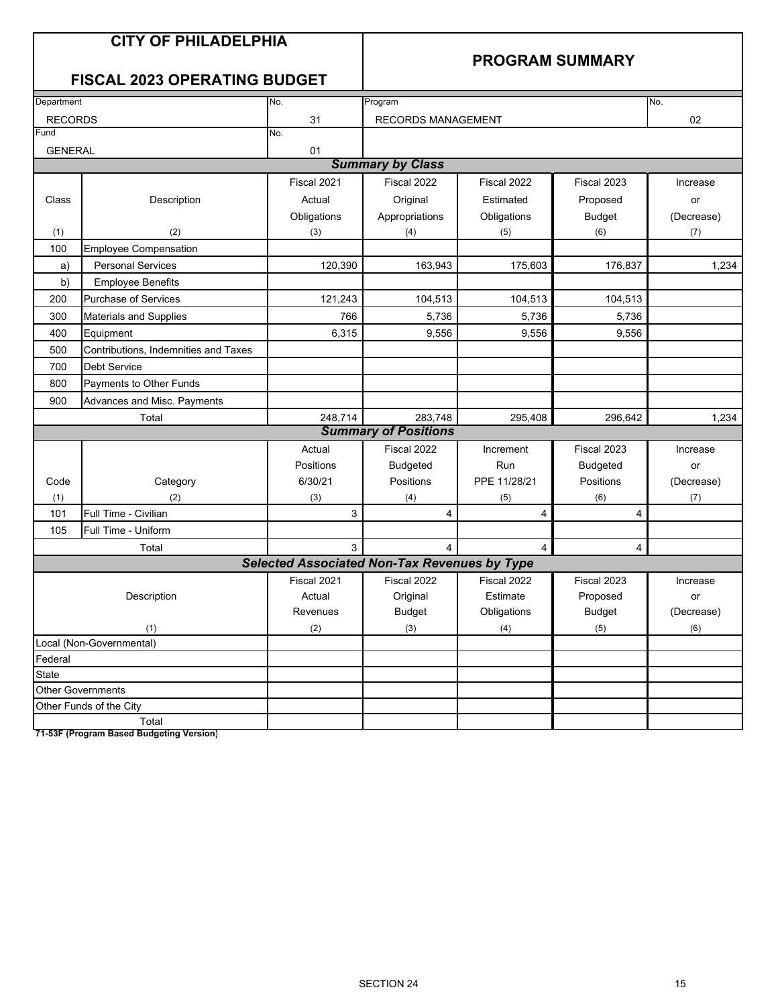|                | <b>CITY OF PHILADELPHIA</b><br><b>FISCAL 2023 OPERATING BUDGET</b> |                                                     |                             |                | <b>PROGRAM SUMMARY</b> |            |
|----------------|--------------------------------------------------------------------|-----------------------------------------------------|-----------------------------|----------------|------------------------|------------|
| Department     |                                                                    | No.                                                 | Program                     |                |                        | No.        |
| <b>RECORDS</b> |                                                                    | 31                                                  | <b>RECORDS MANAGEMENT</b>   |                |                        | 02         |
| Fund           |                                                                    | No.                                                 |                             |                |                        |            |
| <b>GENERAL</b> |                                                                    | 01                                                  |                             |                |                        |            |
|                |                                                                    |                                                     | <b>Summary by Class</b>     |                |                        |            |
|                |                                                                    | Fiscal 2021                                         | Fiscal 2022                 | Fiscal 2022    | Fiscal 2023            | Increase   |
| Class          | Description                                                        | Actual                                              | Original                    | Estimated      | Proposed               | or         |
|                |                                                                    | Obligations                                         | Appropriations              | Obligations    | <b>Budget</b>          | (Decrease) |
| (1)            | (2)                                                                | (3)                                                 | (4)                         | (5)            | (6)                    | (7)        |
| 100            | <b>Employee Compensation</b>                                       |                                                     |                             |                |                        |            |
| a)             | <b>Personal Services</b>                                           | 120,390                                             | 163,943                     | 175,603        | 176,837                | 1,234      |
| b)             | <b>Employee Benefits</b>                                           |                                                     |                             |                |                        |            |
| 200            | Purchase of Services                                               | 121,243                                             | 104,513                     | 104,513        | 104,513                |            |
| 300            | Materials and Supplies                                             | 766                                                 | 5,736                       | 5,736          | 5,736                  |            |
| 400            | Equipment                                                          | 6,315                                               | 9,556                       | 9,556          | 9,556                  |            |
| 500            | Contributions, Indemnities and Taxes                               |                                                     |                             |                |                        |            |
| 700            | <b>Debt Service</b>                                                |                                                     |                             |                |                        |            |
| 800            | Payments to Other Funds                                            |                                                     |                             |                |                        |            |
| 900            | Advances and Misc. Payments                                        |                                                     |                             |                |                        |            |
|                | Total                                                              | 248,714                                             | 283,748                     | 295,408        | 296,642                | 1,234      |
|                |                                                                    |                                                     | <b>Summary of Positions</b> |                |                        |            |
|                |                                                                    | Actual                                              | Fiscal 2022                 | Increment      | Fiscal 2023            | Increase   |
|                |                                                                    | Positions                                           | <b>Budgeted</b>             | Run            | <b>Budgeted</b>        | or         |
| Code           | Category                                                           | 6/30/21                                             | Positions                   | PPE 11/28/21   | Positions              | (Decrease) |
| (1)            | (2)                                                                | (3)                                                 | (4)                         | (5)            | (6)                    | (7)        |
| 101            | Full Time - Civilian                                               | 3                                                   | 4                           | 4              | 4                      |            |
| 105            | Full Time - Uniform                                                |                                                     |                             |                |                        |            |
|                | Total                                                              | 3                                                   | $\overline{4}$              | $\overline{4}$ | 4                      |            |
|                |                                                                    | <b>Selected Associated Non-Tax Revenues by Type</b> |                             |                |                        |            |
|                |                                                                    | Fiscal 2021                                         | Fiscal 2022                 | Fiscal 2022    | Fiscal 2023            | Increase   |
|                | Description                                                        | Actual                                              | Original                    | Estimate       | Proposed               | or         |
|                |                                                                    | Revenues                                            | <b>Budget</b>               | Obligations    | <b>Budget</b>          | (Decrease) |
|                | (1)                                                                | (2)                                                 | $(3)$                       | (4)            | (5)                    | (6)        |
|                | Local (Non-Governmental)                                           |                                                     |                             |                |                        |            |
| Federal        |                                                                    |                                                     |                             |                |                        |            |
| State          |                                                                    |                                                     |                             |                |                        |            |
|                | <b>Other Governments</b>                                           |                                                     |                             |                |                        |            |
|                | Other Funds of the City<br>Total                                   |                                                     |                             |                |                        |            |

**71-53F (Program Based Budgeting Version)**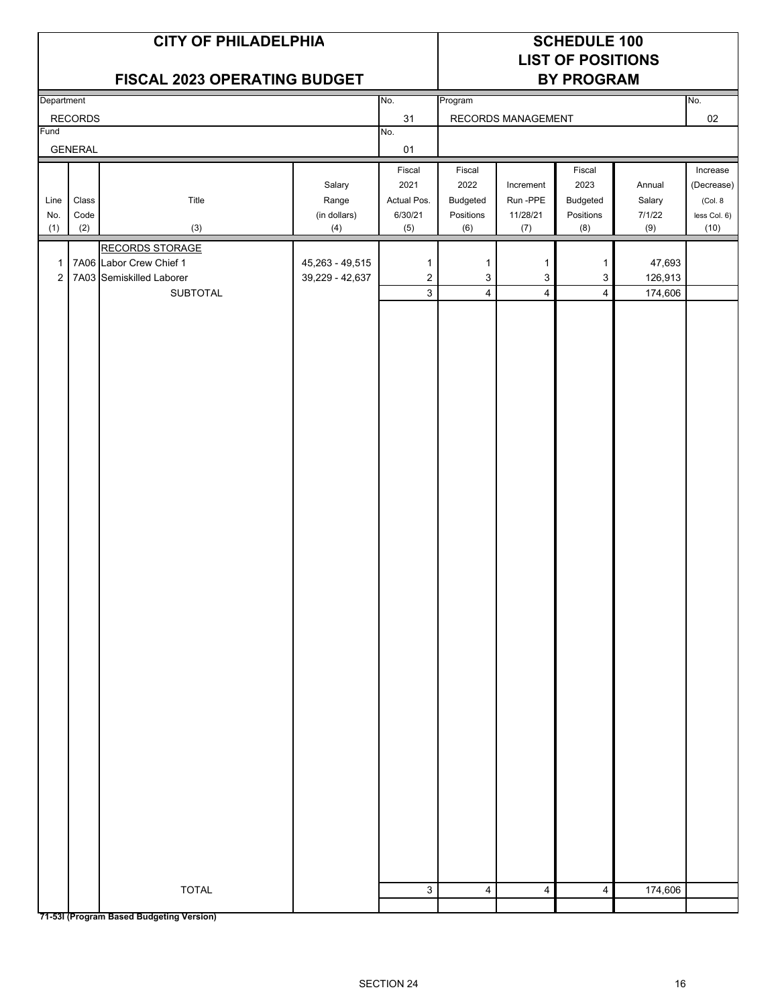| <b>LIST OF POSITIONS</b><br>FISCAL 2023 OPERATING BUDGET<br><b>BY PROGRAM</b><br>No.<br>No.<br>Department<br>Program<br>31<br>02<br><b>RECORDS</b><br>RECORDS MANAGEMENT<br>Fund<br>No.<br><b>GENERAL</b><br>01<br>Fiscal<br>Fiscal<br>Fiscal<br>2021<br>2022<br>2023<br>Salary<br>Increment<br>Annual<br>Title<br>Range<br>Actual Pos.<br>Budgeted<br>Run -PPE<br>Budgeted<br>Salary<br>Line<br>Class<br>6/30/21<br>Positions<br>Code<br>(in dollars)<br>Positions<br>11/28/21<br>7/1/22<br>No.<br>(2)<br>(3)<br>(4)<br>(6)<br>(8)<br>(9)<br>(10)<br>(1)<br>(5)<br>(7)<br><b>RECORDS STORAGE</b><br>7A06 Labor Crew Chief 1<br>47,693<br>45,263 - 49,515<br>1<br>$\mathbf 1$<br>$\mathbf{1}$<br>1<br>1<br>$\overline{2}$<br>7A03 Semiskilled Laborer<br>$\mathbf{3}$<br>$\mathbf{3}$<br>3<br>126,913<br>39,229 - 42,637<br>$\overline{2}$<br>$\overline{3}$<br>$\overline{4}$<br>$\overline{4}$<br>$\overline{4}$<br><b>SUBTOTAL</b><br>174,606<br><b>TOTAL</b><br>3<br>174,606<br>4<br>4<br>4 |  | <b>CITY OF PHILADELPHIA</b> | <b>SCHEDULE 100</b> |  |  |  |  |              |
|-------------------------------------------------------------------------------------------------------------------------------------------------------------------------------------------------------------------------------------------------------------------------------------------------------------------------------------------------------------------------------------------------------------------------------------------------------------------------------------------------------------------------------------------------------------------------------------------------------------------------------------------------------------------------------------------------------------------------------------------------------------------------------------------------------------------------------------------------------------------------------------------------------------------------------------------------------------------------------------------------|--|-----------------------------|---------------------|--|--|--|--|--------------|
|                                                                                                                                                                                                                                                                                                                                                                                                                                                                                                                                                                                                                                                                                                                                                                                                                                                                                                                                                                                                 |  |                             |                     |  |  |  |  |              |
|                                                                                                                                                                                                                                                                                                                                                                                                                                                                                                                                                                                                                                                                                                                                                                                                                                                                                                                                                                                                 |  |                             |                     |  |  |  |  |              |
|                                                                                                                                                                                                                                                                                                                                                                                                                                                                                                                                                                                                                                                                                                                                                                                                                                                                                                                                                                                                 |  |                             |                     |  |  |  |  |              |
|                                                                                                                                                                                                                                                                                                                                                                                                                                                                                                                                                                                                                                                                                                                                                                                                                                                                                                                                                                                                 |  |                             |                     |  |  |  |  |              |
|                                                                                                                                                                                                                                                                                                                                                                                                                                                                                                                                                                                                                                                                                                                                                                                                                                                                                                                                                                                                 |  |                             |                     |  |  |  |  |              |
|                                                                                                                                                                                                                                                                                                                                                                                                                                                                                                                                                                                                                                                                                                                                                                                                                                                                                                                                                                                                 |  |                             |                     |  |  |  |  | Increase     |
|                                                                                                                                                                                                                                                                                                                                                                                                                                                                                                                                                                                                                                                                                                                                                                                                                                                                                                                                                                                                 |  |                             |                     |  |  |  |  | (Decrease)   |
|                                                                                                                                                                                                                                                                                                                                                                                                                                                                                                                                                                                                                                                                                                                                                                                                                                                                                                                                                                                                 |  |                             |                     |  |  |  |  | (Col. 8      |
|                                                                                                                                                                                                                                                                                                                                                                                                                                                                                                                                                                                                                                                                                                                                                                                                                                                                                                                                                                                                 |  |                             |                     |  |  |  |  | less Col. 6) |
|                                                                                                                                                                                                                                                                                                                                                                                                                                                                                                                                                                                                                                                                                                                                                                                                                                                                                                                                                                                                 |  |                             |                     |  |  |  |  |              |
|                                                                                                                                                                                                                                                                                                                                                                                                                                                                                                                                                                                                                                                                                                                                                                                                                                                                                                                                                                                                 |  |                             |                     |  |  |  |  |              |
|                                                                                                                                                                                                                                                                                                                                                                                                                                                                                                                                                                                                                                                                                                                                                                                                                                                                                                                                                                                                 |  |                             |                     |  |  |  |  |              |
|                                                                                                                                                                                                                                                                                                                                                                                                                                                                                                                                                                                                                                                                                                                                                                                                                                                                                                                                                                                                 |  |                             |                     |  |  |  |  |              |
|                                                                                                                                                                                                                                                                                                                                                                                                                                                                                                                                                                                                                                                                                                                                                                                                                                                                                                                                                                                                 |  |                             |                     |  |  |  |  |              |
|                                                                                                                                                                                                                                                                                                                                                                                                                                                                                                                                                                                                                                                                                                                                                                                                                                                                                                                                                                                                 |  |                             |                     |  |  |  |  |              |
|                                                                                                                                                                                                                                                                                                                                                                                                                                                                                                                                                                                                                                                                                                                                                                                                                                                                                                                                                                                                 |  |                             |                     |  |  |  |  |              |
|                                                                                                                                                                                                                                                                                                                                                                                                                                                                                                                                                                                                                                                                                                                                                                                                                                                                                                                                                                                                 |  |                             |                     |  |  |  |  |              |
|                                                                                                                                                                                                                                                                                                                                                                                                                                                                                                                                                                                                                                                                                                                                                                                                                                                                                                                                                                                                 |  |                             |                     |  |  |  |  |              |
|                                                                                                                                                                                                                                                                                                                                                                                                                                                                                                                                                                                                                                                                                                                                                                                                                                                                                                                                                                                                 |  |                             |                     |  |  |  |  |              |
|                                                                                                                                                                                                                                                                                                                                                                                                                                                                                                                                                                                                                                                                                                                                                                                                                                                                                                                                                                                                 |  |                             |                     |  |  |  |  |              |
|                                                                                                                                                                                                                                                                                                                                                                                                                                                                                                                                                                                                                                                                                                                                                                                                                                                                                                                                                                                                 |  |                             |                     |  |  |  |  |              |
|                                                                                                                                                                                                                                                                                                                                                                                                                                                                                                                                                                                                                                                                                                                                                                                                                                                                                                                                                                                                 |  |                             |                     |  |  |  |  |              |
|                                                                                                                                                                                                                                                                                                                                                                                                                                                                                                                                                                                                                                                                                                                                                                                                                                                                                                                                                                                                 |  |                             |                     |  |  |  |  |              |
|                                                                                                                                                                                                                                                                                                                                                                                                                                                                                                                                                                                                                                                                                                                                                                                                                                                                                                                                                                                                 |  |                             |                     |  |  |  |  |              |
|                                                                                                                                                                                                                                                                                                                                                                                                                                                                                                                                                                                                                                                                                                                                                                                                                                                                                                                                                                                                 |  |                             |                     |  |  |  |  |              |
|                                                                                                                                                                                                                                                                                                                                                                                                                                                                                                                                                                                                                                                                                                                                                                                                                                                                                                                                                                                                 |  |                             |                     |  |  |  |  |              |
|                                                                                                                                                                                                                                                                                                                                                                                                                                                                                                                                                                                                                                                                                                                                                                                                                                                                                                                                                                                                 |  |                             |                     |  |  |  |  |              |
|                                                                                                                                                                                                                                                                                                                                                                                                                                                                                                                                                                                                                                                                                                                                                                                                                                                                                                                                                                                                 |  |                             |                     |  |  |  |  |              |
|                                                                                                                                                                                                                                                                                                                                                                                                                                                                                                                                                                                                                                                                                                                                                                                                                                                                                                                                                                                                 |  |                             |                     |  |  |  |  |              |
|                                                                                                                                                                                                                                                                                                                                                                                                                                                                                                                                                                                                                                                                                                                                                                                                                                                                                                                                                                                                 |  |                             |                     |  |  |  |  |              |
|                                                                                                                                                                                                                                                                                                                                                                                                                                                                                                                                                                                                                                                                                                                                                                                                                                                                                                                                                                                                 |  |                             |                     |  |  |  |  |              |
|                                                                                                                                                                                                                                                                                                                                                                                                                                                                                                                                                                                                                                                                                                                                                                                                                                                                                                                                                                                                 |  |                             |                     |  |  |  |  |              |
|                                                                                                                                                                                                                                                                                                                                                                                                                                                                                                                                                                                                                                                                                                                                                                                                                                                                                                                                                                                                 |  |                             |                     |  |  |  |  |              |
|                                                                                                                                                                                                                                                                                                                                                                                                                                                                                                                                                                                                                                                                                                                                                                                                                                                                                                                                                                                                 |  |                             |                     |  |  |  |  |              |
|                                                                                                                                                                                                                                                                                                                                                                                                                                                                                                                                                                                                                                                                                                                                                                                                                                                                                                                                                                                                 |  |                             |                     |  |  |  |  |              |
|                                                                                                                                                                                                                                                                                                                                                                                                                                                                                                                                                                                                                                                                                                                                                                                                                                                                                                                                                                                                 |  |                             |                     |  |  |  |  |              |
|                                                                                                                                                                                                                                                                                                                                                                                                                                                                                                                                                                                                                                                                                                                                                                                                                                                                                                                                                                                                 |  |                             |                     |  |  |  |  |              |
|                                                                                                                                                                                                                                                                                                                                                                                                                                                                                                                                                                                                                                                                                                                                                                                                                                                                                                                                                                                                 |  |                             |                     |  |  |  |  |              |
|                                                                                                                                                                                                                                                                                                                                                                                                                                                                                                                                                                                                                                                                                                                                                                                                                                                                                                                                                                                                 |  |                             |                     |  |  |  |  |              |
|                                                                                                                                                                                                                                                                                                                                                                                                                                                                                                                                                                                                                                                                                                                                                                                                                                                                                                                                                                                                 |  |                             |                     |  |  |  |  |              |
|                                                                                                                                                                                                                                                                                                                                                                                                                                                                                                                                                                                                                                                                                                                                                                                                                                                                                                                                                                                                 |  |                             |                     |  |  |  |  |              |
|                                                                                                                                                                                                                                                                                                                                                                                                                                                                                                                                                                                                                                                                                                                                                                                                                                                                                                                                                                                                 |  |                             |                     |  |  |  |  |              |
|                                                                                                                                                                                                                                                                                                                                                                                                                                                                                                                                                                                                                                                                                                                                                                                                                                                                                                                                                                                                 |  |                             |                     |  |  |  |  |              |
|                                                                                                                                                                                                                                                                                                                                                                                                                                                                                                                                                                                                                                                                                                                                                                                                                                                                                                                                                                                                 |  |                             |                     |  |  |  |  |              |
|                                                                                                                                                                                                                                                                                                                                                                                                                                                                                                                                                                                                                                                                                                                                                                                                                                                                                                                                                                                                 |  |                             |                     |  |  |  |  |              |
|                                                                                                                                                                                                                                                                                                                                                                                                                                                                                                                                                                                                                                                                                                                                                                                                                                                                                                                                                                                                 |  |                             |                     |  |  |  |  |              |
|                                                                                                                                                                                                                                                                                                                                                                                                                                                                                                                                                                                                                                                                                                                                                                                                                                                                                                                                                                                                 |  |                             |                     |  |  |  |  |              |
|                                                                                                                                                                                                                                                                                                                                                                                                                                                                                                                                                                                                                                                                                                                                                                                                                                                                                                                                                                                                 |  |                             |                     |  |  |  |  |              |

**71-53I (Program Based Budgeting Version)**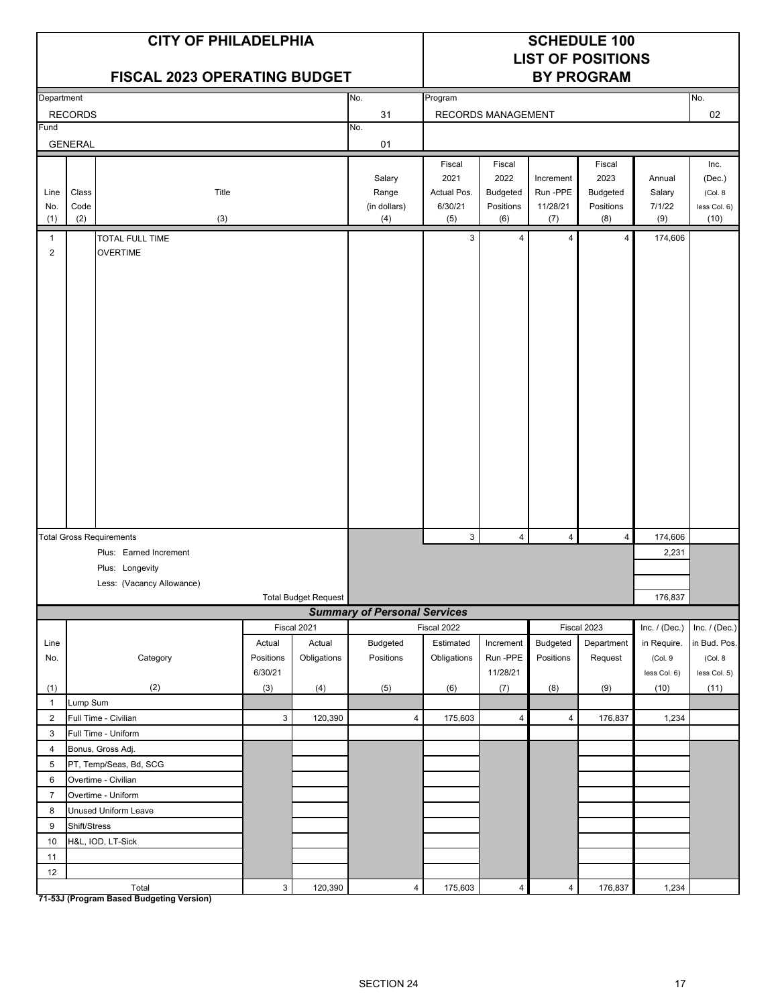| Program<br>Department<br>No.<br>No.<br>02<br><b>RECORDS</b><br>31<br>RECORDS MANAGEMENT<br>Fund<br>No.<br><b>GENERAL</b><br>01<br>Fiscal<br>Fiscal<br>Fiscal<br>Inc.<br>2022<br>2021<br>2023<br>Salary<br>(Dec.)<br>Increment<br>Annual<br>Range<br>Budgeted<br>Run -PPE<br>Budgeted<br>Class<br>Title<br>Actual Pos.<br>Salary<br>(Col. 8)<br>Line<br>Code<br>(in dollars)<br>6/30/21<br>Positions<br>11/28/21<br>Positions<br>7/1/22<br>No.<br>(2)<br>(6)<br>(8)<br>(10)<br>(1)<br>(3)<br>(4)<br>(5)<br>(7)<br>(9)<br><b>TOTAL FULL TIME</b><br>3<br>174,606<br>$\overline{4}$<br>$\overline{4}$<br>4<br>$\mathbf{1}$<br>$\overline{2}$<br><b>OVERTIME</b><br>3<br>4<br>$\overline{4}$<br>174,606<br><b>Total Gross Requirements</b><br>4<br>Plus: Earned Increment<br>2,231<br>Plus: Longevity<br>Less: (Vacancy Allowance)<br>Total Budget Request<br>176,837<br><b>Summary of Personal Services</b><br>Fiscal 2021<br>Fiscal 2022<br>Fiscal 2023<br>Inc. $/$ (Dec.)<br><b>Budgeted</b><br>Estimated<br>Budgeted<br>Actual<br>Actual<br>Increment<br>Department<br>in Require.<br>Line<br>Category<br>Obligations<br>Positions<br>Run-PPE<br>Positions<br>No.<br>Positions<br>Obligations<br>Request<br>(Col. 9<br>(Col. 8<br>6/30/21<br>11/28/21<br>less Col. 5)<br>less Col. 6)<br>(2)<br>(3)<br>(5)<br>(7)<br>(8)<br>(10)<br>(11)<br>(1)<br>(4)<br>(6)<br>(9)<br>Lump Sum<br>$\mathbf{1}$<br>Full Time - Civilian<br>$\overline{2}$<br>3<br>120,390<br>$\overline{4}$<br>175,603<br>4<br>$\overline{4}$<br>176,837<br>1,234<br>Full Time - Uniform<br>3<br>$\overline{4}$<br>Bonus, Gross Adj.<br>PT, Temp/Seas, Bd, SCG<br>5<br>6<br>Overtime - Civilian<br>Overtime - Uniform<br>$\overline{7}$<br>8<br>Unused Uniform Leave<br>9<br>Shift/Stress<br>$10$<br>H&L, IOD, LT-Sick<br>11<br>$12\,$ |  | <b>CITY OF PHILADELPHIA</b><br><b>FISCAL 2023 OPERATING BUDGET</b> |  |  |  | <b>SCHEDULE 100</b><br><b>LIST OF POSITIONS</b><br><b>BY PROGRAM</b> |                 |
|---------------------------------------------------------------------------------------------------------------------------------------------------------------------------------------------------------------------------------------------------------------------------------------------------------------------------------------------------------------------------------------------------------------------------------------------------------------------------------------------------------------------------------------------------------------------------------------------------------------------------------------------------------------------------------------------------------------------------------------------------------------------------------------------------------------------------------------------------------------------------------------------------------------------------------------------------------------------------------------------------------------------------------------------------------------------------------------------------------------------------------------------------------------------------------------------------------------------------------------------------------------------------------------------------------------------------------------------------------------------------------------------------------------------------------------------------------------------------------------------------------------------------------------------------------------------------------------------------------------------------------------------------------------------------------------------------------------------------------------------------------------------------------------------------------|--|--------------------------------------------------------------------|--|--|--|----------------------------------------------------------------------|-----------------|
|                                                                                                                                                                                                                                                                                                                                                                                                                                                                                                                                                                                                                                                                                                                                                                                                                                                                                                                                                                                                                                                                                                                                                                                                                                                                                                                                                                                                                                                                                                                                                                                                                                                                                                                                                                                                         |  |                                                                    |  |  |  |                                                                      |                 |
|                                                                                                                                                                                                                                                                                                                                                                                                                                                                                                                                                                                                                                                                                                                                                                                                                                                                                                                                                                                                                                                                                                                                                                                                                                                                                                                                                                                                                                                                                                                                                                                                                                                                                                                                                                                                         |  |                                                                    |  |  |  |                                                                      |                 |
|                                                                                                                                                                                                                                                                                                                                                                                                                                                                                                                                                                                                                                                                                                                                                                                                                                                                                                                                                                                                                                                                                                                                                                                                                                                                                                                                                                                                                                                                                                                                                                                                                                                                                                                                                                                                         |  |                                                                    |  |  |  |                                                                      |                 |
|                                                                                                                                                                                                                                                                                                                                                                                                                                                                                                                                                                                                                                                                                                                                                                                                                                                                                                                                                                                                                                                                                                                                                                                                                                                                                                                                                                                                                                                                                                                                                                                                                                                                                                                                                                                                         |  |                                                                    |  |  |  |                                                                      |                 |
|                                                                                                                                                                                                                                                                                                                                                                                                                                                                                                                                                                                                                                                                                                                                                                                                                                                                                                                                                                                                                                                                                                                                                                                                                                                                                                                                                                                                                                                                                                                                                                                                                                                                                                                                                                                                         |  |                                                                    |  |  |  |                                                                      | less Col. 6)    |
|                                                                                                                                                                                                                                                                                                                                                                                                                                                                                                                                                                                                                                                                                                                                                                                                                                                                                                                                                                                                                                                                                                                                                                                                                                                                                                                                                                                                                                                                                                                                                                                                                                                                                                                                                                                                         |  |                                                                    |  |  |  |                                                                      |                 |
|                                                                                                                                                                                                                                                                                                                                                                                                                                                                                                                                                                                                                                                                                                                                                                                                                                                                                                                                                                                                                                                                                                                                                                                                                                                                                                                                                                                                                                                                                                                                                                                                                                                                                                                                                                                                         |  |                                                                    |  |  |  |                                                                      |                 |
|                                                                                                                                                                                                                                                                                                                                                                                                                                                                                                                                                                                                                                                                                                                                                                                                                                                                                                                                                                                                                                                                                                                                                                                                                                                                                                                                                                                                                                                                                                                                                                                                                                                                                                                                                                                                         |  |                                                                    |  |  |  |                                                                      |                 |
|                                                                                                                                                                                                                                                                                                                                                                                                                                                                                                                                                                                                                                                                                                                                                                                                                                                                                                                                                                                                                                                                                                                                                                                                                                                                                                                                                                                                                                                                                                                                                                                                                                                                                                                                                                                                         |  |                                                                    |  |  |  |                                                                      |                 |
|                                                                                                                                                                                                                                                                                                                                                                                                                                                                                                                                                                                                                                                                                                                                                                                                                                                                                                                                                                                                                                                                                                                                                                                                                                                                                                                                                                                                                                                                                                                                                                                                                                                                                                                                                                                                         |  |                                                                    |  |  |  |                                                                      |                 |
|                                                                                                                                                                                                                                                                                                                                                                                                                                                                                                                                                                                                                                                                                                                                                                                                                                                                                                                                                                                                                                                                                                                                                                                                                                                                                                                                                                                                                                                                                                                                                                                                                                                                                                                                                                                                         |  |                                                                    |  |  |  |                                                                      |                 |
|                                                                                                                                                                                                                                                                                                                                                                                                                                                                                                                                                                                                                                                                                                                                                                                                                                                                                                                                                                                                                                                                                                                                                                                                                                                                                                                                                                                                                                                                                                                                                                                                                                                                                                                                                                                                         |  |                                                                    |  |  |  |                                                                      |                 |
|                                                                                                                                                                                                                                                                                                                                                                                                                                                                                                                                                                                                                                                                                                                                                                                                                                                                                                                                                                                                                                                                                                                                                                                                                                                                                                                                                                                                                                                                                                                                                                                                                                                                                                                                                                                                         |  |                                                                    |  |  |  |                                                                      |                 |
|                                                                                                                                                                                                                                                                                                                                                                                                                                                                                                                                                                                                                                                                                                                                                                                                                                                                                                                                                                                                                                                                                                                                                                                                                                                                                                                                                                                                                                                                                                                                                                                                                                                                                                                                                                                                         |  |                                                                    |  |  |  |                                                                      | Inc. $/$ (Dec.) |
|                                                                                                                                                                                                                                                                                                                                                                                                                                                                                                                                                                                                                                                                                                                                                                                                                                                                                                                                                                                                                                                                                                                                                                                                                                                                                                                                                                                                                                                                                                                                                                                                                                                                                                                                                                                                         |  |                                                                    |  |  |  |                                                                      | in Bud. Pos.    |
|                                                                                                                                                                                                                                                                                                                                                                                                                                                                                                                                                                                                                                                                                                                                                                                                                                                                                                                                                                                                                                                                                                                                                                                                                                                                                                                                                                                                                                                                                                                                                                                                                                                                                                                                                                                                         |  |                                                                    |  |  |  |                                                                      |                 |
|                                                                                                                                                                                                                                                                                                                                                                                                                                                                                                                                                                                                                                                                                                                                                                                                                                                                                                                                                                                                                                                                                                                                                                                                                                                                                                                                                                                                                                                                                                                                                                                                                                                                                                                                                                                                         |  |                                                                    |  |  |  |                                                                      |                 |
|                                                                                                                                                                                                                                                                                                                                                                                                                                                                                                                                                                                                                                                                                                                                                                                                                                                                                                                                                                                                                                                                                                                                                                                                                                                                                                                                                                                                                                                                                                                                                                                                                                                                                                                                                                                                         |  |                                                                    |  |  |  |                                                                      |                 |
|                                                                                                                                                                                                                                                                                                                                                                                                                                                                                                                                                                                                                                                                                                                                                                                                                                                                                                                                                                                                                                                                                                                                                                                                                                                                                                                                                                                                                                                                                                                                                                                                                                                                                                                                                                                                         |  |                                                                    |  |  |  |                                                                      |                 |
|                                                                                                                                                                                                                                                                                                                                                                                                                                                                                                                                                                                                                                                                                                                                                                                                                                                                                                                                                                                                                                                                                                                                                                                                                                                                                                                                                                                                                                                                                                                                                                                                                                                                                                                                                                                                         |  |                                                                    |  |  |  |                                                                      |                 |
|                                                                                                                                                                                                                                                                                                                                                                                                                                                                                                                                                                                                                                                                                                                                                                                                                                                                                                                                                                                                                                                                                                                                                                                                                                                                                                                                                                                                                                                                                                                                                                                                                                                                                                                                                                                                         |  |                                                                    |  |  |  |                                                                      |                 |
|                                                                                                                                                                                                                                                                                                                                                                                                                                                                                                                                                                                                                                                                                                                                                                                                                                                                                                                                                                                                                                                                                                                                                                                                                                                                                                                                                                                                                                                                                                                                                                                                                                                                                                                                                                                                         |  |                                                                    |  |  |  |                                                                      |                 |
|                                                                                                                                                                                                                                                                                                                                                                                                                                                                                                                                                                                                                                                                                                                                                                                                                                                                                                                                                                                                                                                                                                                                                                                                                                                                                                                                                                                                                                                                                                                                                                                                                                                                                                                                                                                                         |  |                                                                    |  |  |  |                                                                      |                 |
|                                                                                                                                                                                                                                                                                                                                                                                                                                                                                                                                                                                                                                                                                                                                                                                                                                                                                                                                                                                                                                                                                                                                                                                                                                                                                                                                                                                                                                                                                                                                                                                                                                                                                                                                                                                                         |  |                                                                    |  |  |  |                                                                      |                 |
|                                                                                                                                                                                                                                                                                                                                                                                                                                                                                                                                                                                                                                                                                                                                                                                                                                                                                                                                                                                                                                                                                                                                                                                                                                                                                                                                                                                                                                                                                                                                                                                                                                                                                                                                                                                                         |  |                                                                    |  |  |  |                                                                      |                 |
|                                                                                                                                                                                                                                                                                                                                                                                                                                                                                                                                                                                                                                                                                                                                                                                                                                                                                                                                                                                                                                                                                                                                                                                                                                                                                                                                                                                                                                                                                                                                                                                                                                                                                                                                                                                                         |  |                                                                    |  |  |  |                                                                      |                 |
|                                                                                                                                                                                                                                                                                                                                                                                                                                                                                                                                                                                                                                                                                                                                                                                                                                                                                                                                                                                                                                                                                                                                                                                                                                                                                                                                                                                                                                                                                                                                                                                                                                                                                                                                                                                                         |  |                                                                    |  |  |  |                                                                      |                 |
|                                                                                                                                                                                                                                                                                                                                                                                                                                                                                                                                                                                                                                                                                                                                                                                                                                                                                                                                                                                                                                                                                                                                                                                                                                                                                                                                                                                                                                                                                                                                                                                                                                                                                                                                                                                                         |  |                                                                    |  |  |  |                                                                      |                 |
| $\mathsf 3$<br>$\overline{4}$<br>$\overline{4}$<br>Total<br>120,390<br>175,603<br>$\overline{4}$<br>176,837<br>1,234                                                                                                                                                                                                                                                                                                                                                                                                                                                                                                                                                                                                                                                                                                                                                                                                                                                                                                                                                                                                                                                                                                                                                                                                                                                                                                                                                                                                                                                                                                                                                                                                                                                                                    |  |                                                                    |  |  |  |                                                                      |                 |

**71-53J (Program Based Budgeting Version)**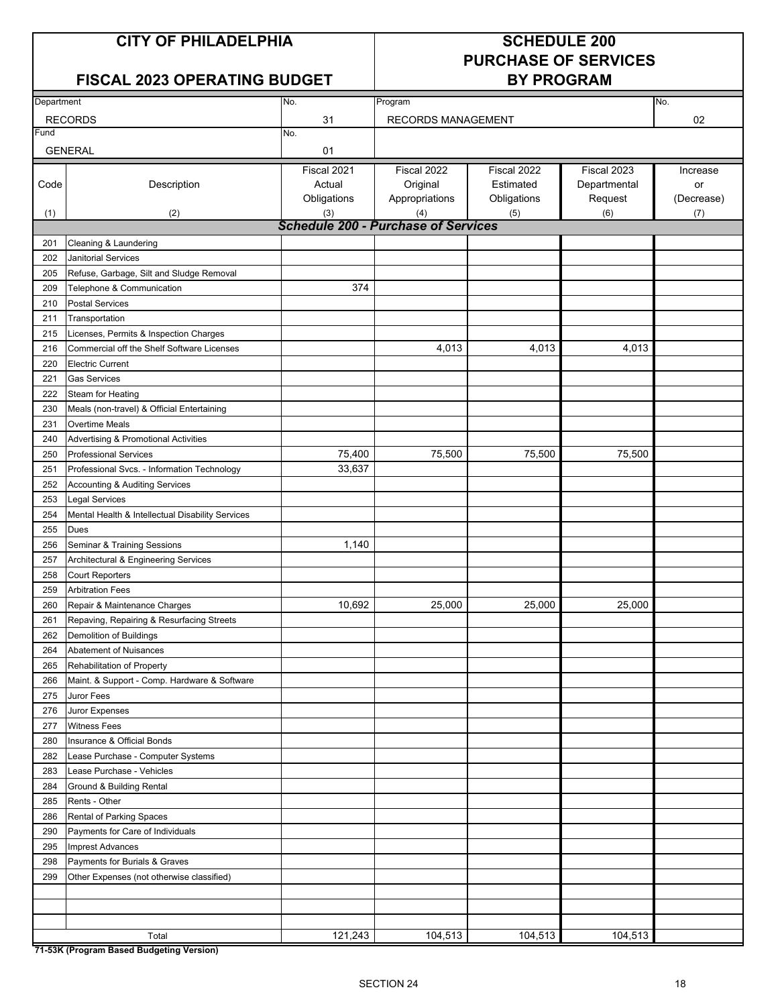## **FISCAL 2023 OPERATING BUDGET BY PROGRAM**

# **PURCHASE OF SERVICES**

| Department |                                                  | No.                                        | Program                 |                          |                             | No.            |  |  |  |
|------------|--------------------------------------------------|--------------------------------------------|-------------------------|--------------------------|-----------------------------|----------------|--|--|--|
|            | <b>RECORDS</b>                                   | 31                                         | RECORDS MANAGEMENT      |                          |                             | 02             |  |  |  |
| Fund       |                                                  | No.                                        |                         |                          |                             |                |  |  |  |
|            | <b>GENERAL</b>                                   | 01                                         |                         |                          |                             |                |  |  |  |
| Code       | Description                                      | Fiscal 2021<br>Actual                      | Fiscal 2022<br>Original | Fiscal 2022<br>Estimated | Fiscal 2023<br>Departmental | Increase<br>or |  |  |  |
|            |                                                  | Obligations                                | Appropriations          | Obligations              | Request                     | (Decrease)     |  |  |  |
| (1)        | (2)                                              | (3)                                        | (4)                     | (5)                      | (6)                         | (7)            |  |  |  |
|            |                                                  | <b>Schedule 200 - Purchase of Services</b> |                         |                          |                             |                |  |  |  |
| 201        | Cleaning & Laundering                            |                                            |                         |                          |                             |                |  |  |  |
| 202        | <b>Janitorial Services</b>                       |                                            |                         |                          |                             |                |  |  |  |
| 205        | Refuse, Garbage, Silt and Sludge Removal         |                                            |                         |                          |                             |                |  |  |  |
| 209        | Telephone & Communication                        | 374                                        |                         |                          |                             |                |  |  |  |
| 210        | <b>Postal Services</b>                           |                                            |                         |                          |                             |                |  |  |  |
| 211        | Transportation                                   |                                            |                         |                          |                             |                |  |  |  |
| 215        | Licenses, Permits & Inspection Charges           |                                            |                         |                          |                             |                |  |  |  |
| 216        | Commercial off the Shelf Software Licenses       |                                            | 4,013                   | 4,013                    | 4,013                       |                |  |  |  |
| 220        | <b>Electric Current</b>                          |                                            |                         |                          |                             |                |  |  |  |
| 221        | <b>Gas Services</b>                              |                                            |                         |                          |                             |                |  |  |  |
| 222        | Steam for Heating                                |                                            |                         |                          |                             |                |  |  |  |
| 230        | Meals (non-travel) & Official Entertaining       |                                            |                         |                          |                             |                |  |  |  |
| 231        | <b>Overtime Meals</b>                            |                                            |                         |                          |                             |                |  |  |  |
| 240        | Advertising & Promotional Activities             |                                            |                         |                          |                             |                |  |  |  |
| 250        | <b>Professional Services</b>                     | 75,400                                     | 75,500                  | 75,500                   | 75,500                      |                |  |  |  |
| 251        | Professional Svcs. - Information Technology      | 33,637                                     |                         |                          |                             |                |  |  |  |
| 252        | <b>Accounting &amp; Auditing Services</b>        |                                            |                         |                          |                             |                |  |  |  |
| 253        | Legal Services                                   |                                            |                         |                          |                             |                |  |  |  |
| 254        | Mental Health & Intellectual Disability Services |                                            |                         |                          |                             |                |  |  |  |
| 255        | Dues                                             |                                            |                         |                          |                             |                |  |  |  |
| 256        | Seminar & Training Sessions                      | 1,140                                      |                         |                          |                             |                |  |  |  |
| 257        | Architectural & Engineering Services             |                                            |                         |                          |                             |                |  |  |  |
| 258        | <b>Court Reporters</b>                           |                                            |                         |                          |                             |                |  |  |  |
| 259        | <b>Arbitration Fees</b>                          |                                            |                         |                          |                             |                |  |  |  |
| 260        | Repair & Maintenance Charges                     | 10,692                                     | 25,000                  | 25,000                   | 25,000                      |                |  |  |  |
| 261        | Repaving, Repairing & Resurfacing Streets        |                                            |                         |                          |                             |                |  |  |  |
| 262        | Demolition of Buildings                          |                                            |                         |                          |                             |                |  |  |  |
| 264        | Abatement of Nuisances                           |                                            |                         |                          |                             |                |  |  |  |
| 265        | Rehabilitation of Property                       |                                            |                         |                          |                             |                |  |  |  |
| 266        | Maint. & Support - Comp. Hardware & Software     |                                            |                         |                          |                             |                |  |  |  |
| 275        | Juror Fees                                       |                                            |                         |                          |                             |                |  |  |  |
| 276        | Juror Expenses                                   |                                            |                         |                          |                             |                |  |  |  |
| 277        | <b>Witness Fees</b>                              |                                            |                         |                          |                             |                |  |  |  |
| 280        | Insurance & Official Bonds                       |                                            |                         |                          |                             |                |  |  |  |
| 282        | Lease Purchase - Computer Systems                |                                            |                         |                          |                             |                |  |  |  |
| 283        | Lease Purchase - Vehicles                        |                                            |                         |                          |                             |                |  |  |  |
| 284        | Ground & Building Rental                         |                                            |                         |                          |                             |                |  |  |  |
| 285        | Rents - Other                                    |                                            |                         |                          |                             |                |  |  |  |
| 286        | Rental of Parking Spaces                         |                                            |                         |                          |                             |                |  |  |  |
| 290        | Payments for Care of Individuals                 |                                            |                         |                          |                             |                |  |  |  |
| 295        | <b>Imprest Advances</b>                          |                                            |                         |                          |                             |                |  |  |  |
| 298        | Payments for Burials & Graves                    |                                            |                         |                          |                             |                |  |  |  |
| 299        | Other Expenses (not otherwise classified)        |                                            |                         |                          |                             |                |  |  |  |
|            |                                                  |                                            |                         |                          |                             |                |  |  |  |
|            |                                                  |                                            |                         |                          |                             |                |  |  |  |
|            | Total                                            | 121,243                                    | 104,513                 | 104,513                  | 104,513                     |                |  |  |  |

**71-53K (Program Based Budgeting Version)**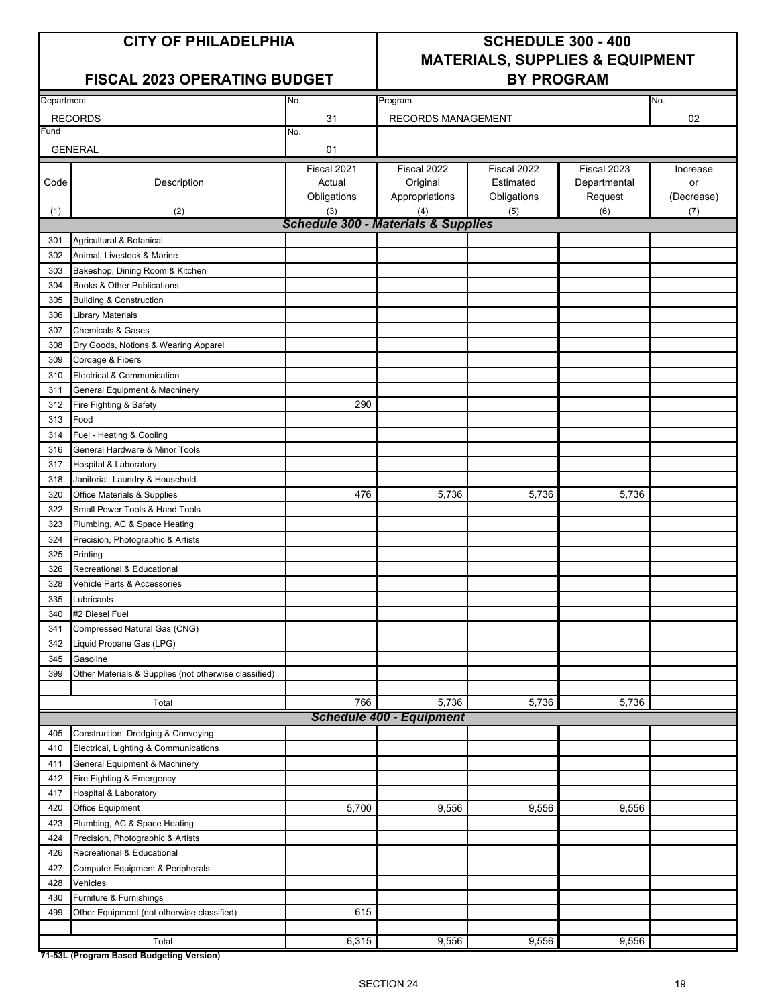### FISCAL 2023 OPERATING BUDGET | BY PROGRAM

## **CITY OF PHILADELPHIA SCHEDULE 300 - 400 MATERIALS, SUPPLIES & EQUIPMENT**

| Department |                                                         | No.                                            | Program                         |             |              | No.        |
|------------|---------------------------------------------------------|------------------------------------------------|---------------------------------|-------------|--------------|------------|
|            | <b>RECORDS</b>                                          | 31                                             | RECORDS MANAGEMENT              |             |              | 02         |
| Fund       |                                                         | No.                                            |                                 |             |              |            |
|            | <b>GENERAL</b>                                          | 01                                             |                                 |             |              |            |
|            |                                                         | Fiscal 2021                                    | Fiscal 2022                     | Fiscal 2022 | Fiscal 2023  | Increase   |
| Code       | Description                                             | Actual                                         | Original                        | Estimated   | Departmental | or         |
|            |                                                         | Obligations                                    | Appropriations                  | Obligations | Request      | (Decrease) |
| (1)        | (2)                                                     | (3)                                            | (4)                             | (5)         | (6)          | (7)        |
|            |                                                         | <b>Schedule 300 - Materials &amp; Supplies</b> |                                 |             |              |            |
| 301        | Agricultural & Botanical                                |                                                |                                 |             |              |            |
| 302        | Animal, Livestock & Marine                              |                                                |                                 |             |              |            |
| 303        | Bakeshop, Dining Room & Kitchen                         |                                                |                                 |             |              |            |
| 304        | Books & Other Publications                              |                                                |                                 |             |              |            |
| 305        | <b>Building &amp; Construction</b>                      |                                                |                                 |             |              |            |
| 306        | <b>Library Materials</b>                                |                                                |                                 |             |              |            |
| 307        | <b>Chemicals &amp; Gases</b>                            |                                                |                                 |             |              |            |
| 308        | Dry Goods, Notions & Wearing Apparel                    |                                                |                                 |             |              |            |
| 309        | Cordage & Fibers                                        |                                                |                                 |             |              |            |
| 310        | Electrical & Communication                              |                                                |                                 |             |              |            |
| 311        |                                                         |                                                |                                 |             |              |            |
| 312        | General Equipment & Machinery<br>Fire Fighting & Safety | 290                                            |                                 |             |              |            |
|            | Food                                                    |                                                |                                 |             |              |            |
| 313        |                                                         |                                                |                                 |             |              |            |
| 314        | Fuel - Heating & Cooling                                |                                                |                                 |             |              |            |
| 316        | General Hardware & Minor Tools                          |                                                |                                 |             |              |            |
| 317        | Hospital & Laboratory                                   |                                                |                                 |             |              |            |
| 318        | Janitorial, Laundry & Household                         |                                                |                                 |             |              |            |
| 320        | Office Materials & Supplies                             | 476                                            | 5,736                           | 5,736       | 5,736        |            |
| 322        | Small Power Tools & Hand Tools                          |                                                |                                 |             |              |            |
| 323        | Plumbing, AC & Space Heating                            |                                                |                                 |             |              |            |
| 324        | Precision, Photographic & Artists                       |                                                |                                 |             |              |            |
| 325        | Printing                                                |                                                |                                 |             |              |            |
| 326        | Recreational & Educational                              |                                                |                                 |             |              |            |
| 328        | Vehicle Parts & Accessories                             |                                                |                                 |             |              |            |
| 335        | Lubricants                                              |                                                |                                 |             |              |            |
| 340        | #2 Diesel Fuel                                          |                                                |                                 |             |              |            |
| 341        | Compressed Natural Gas (CNG)                            |                                                |                                 |             |              |            |
| 342        | Liquid Propane Gas (LPG)                                |                                                |                                 |             |              |            |
| 345        | Gasoline                                                |                                                |                                 |             |              |            |
| 399        | Other Materials & Supplies (not otherwise classified)   |                                                |                                 |             |              |            |
|            |                                                         |                                                |                                 |             |              |            |
|            | Total                                                   | 766                                            | 5,736                           | 5,736       | 5,736        |            |
|            |                                                         |                                                | <b>Schedule 400 - Equipment</b> |             |              |            |
| 405        | Construction, Dredging & Conveying                      |                                                |                                 |             |              |            |
| 410        | Electrical, Lighting & Communications                   |                                                |                                 |             |              |            |
| 411        | General Equipment & Machinery                           |                                                |                                 |             |              |            |
| 412        | Fire Fighting & Emergency                               |                                                |                                 |             |              |            |
| 417        | Hospital & Laboratory                                   |                                                |                                 |             |              |            |
| 420        | Office Equipment                                        | 5,700                                          | 9,556                           | 9,556       | 9,556        |            |
| 423        | Plumbing, AC & Space Heating                            |                                                |                                 |             |              |            |
| 424        | Precision, Photographic & Artists                       |                                                |                                 |             |              |            |
| 426        | Recreational & Educational                              |                                                |                                 |             |              |            |
| 427        | Computer Equipment & Peripherals                        |                                                |                                 |             |              |            |
| 428        | Vehicles                                                |                                                |                                 |             |              |            |
| 430        | Furniture & Furnishings                                 |                                                |                                 |             |              |            |
| 499        | Other Equipment (not otherwise classified)              | 615                                            |                                 |             |              |            |
|            |                                                         |                                                |                                 |             |              |            |
|            | Total                                                   | 6,315                                          | 9,556                           | 9,556       | 9,556        |            |
|            |                                                         |                                                |                                 |             |              |            |

**71-53L (Program Based Budgeting Version)**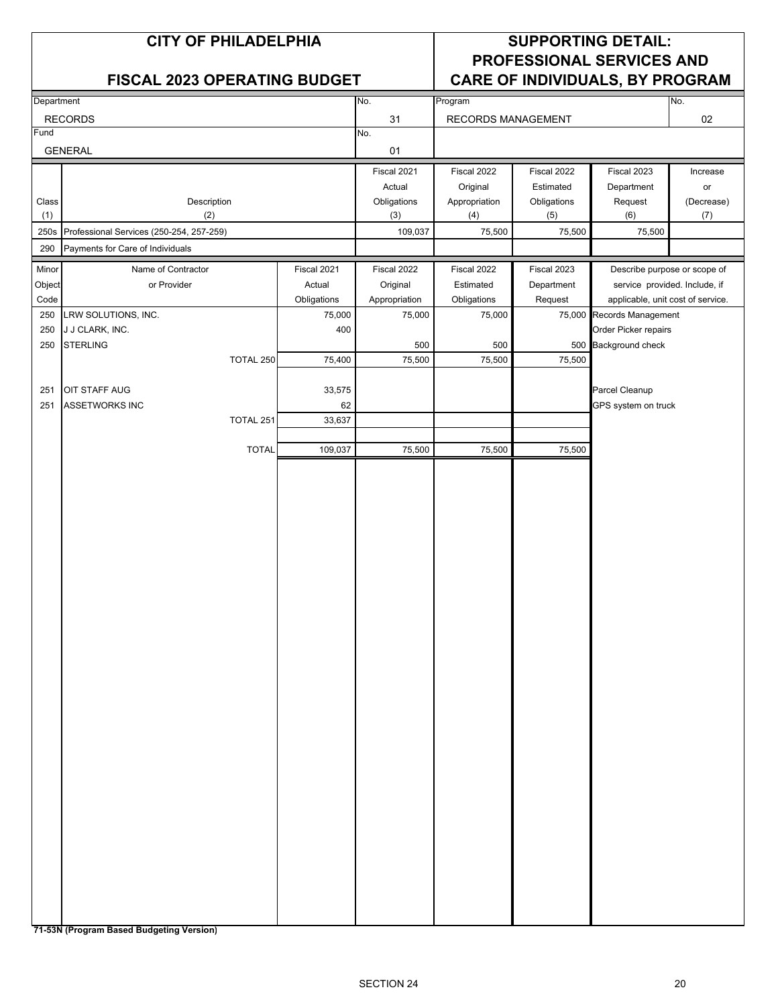|              | <b>CITY OF PHILADELPHIA</b><br><b>FISCAL 2023 OPERATING BUDGET</b> |             |                    |                      |                    | <b>SUPPORTING DETAIL:</b><br><b>PROFESSIONAL SERVICES AND</b><br><b>CARE OF INDIVIDUALS, BY PROGRAM</b> |                   |
|--------------|--------------------------------------------------------------------|-------------|--------------------|----------------------|--------------------|---------------------------------------------------------------------------------------------------------|-------------------|
| Department   |                                                                    |             | No.                | Program              |                    |                                                                                                         | No.               |
|              | <b>RECORDS</b>                                                     |             | 31                 | RECORDS MANAGEMENT   |                    |                                                                                                         | 02                |
| Fund         |                                                                    |             | No.                |                      |                    |                                                                                                         |                   |
|              | <b>GENERAL</b>                                                     |             | 01                 |                      |                    |                                                                                                         |                   |
|              |                                                                    |             | Fiscal 2021        | Fiscal 2022          | Fiscal 2022        | Fiscal 2023                                                                                             | Increase          |
|              |                                                                    |             | Actual             | Original             | Estimated          | Department                                                                                              | or                |
| Class<br>(1) | Description<br>(2)                                                 |             | Obligations<br>(3) | Appropriation<br>(4) | Obligations<br>(5) | Request<br>(6)                                                                                          | (Decrease)<br>(7) |
|              | 250s Professional Services (250-254, 257-259)                      |             | 109,037            | 75,500               | 75,500             | 75,500                                                                                                  |                   |
| 290          | Payments for Care of Individuals                                   |             |                    |                      |                    |                                                                                                         |                   |
| Minor        | Name of Contractor                                                 | Fiscal 2021 | Fiscal 2022        | Fiscal 2022          | Fiscal 2023        | Describe purpose or scope of                                                                            |                   |
| Object       | or Provider                                                        | Actual      | Original           | Estimated            | Department         | service provided. Include, if                                                                           |                   |
| Code         |                                                                    | Obligations | Appropriation      | Obligations          | Request            | applicable, unit cost of service.                                                                       |                   |
| 250          | LRW SOLUTIONS, INC.                                                | 75,000      | 75,000             | 75,000               |                    | 75,000 Records Management                                                                               |                   |
| 250          | J J CLARK, INC.                                                    | 400         |                    |                      |                    | Order Picker repairs                                                                                    |                   |
| 250          | <b>STERLING</b>                                                    |             | 500                | 500                  |                    | 500 Background check                                                                                    |                   |
|              | TOTAL 250                                                          | 75,400      | 75,500             | 75,500               | 75,500             |                                                                                                         |                   |
| 251          | <b>OIT STAFF AUG</b>                                               | 33,575      |                    |                      |                    | Parcel Cleanup                                                                                          |                   |
| 251          | <b>ASSETWORKS INC</b>                                              | 62          |                    |                      |                    | GPS system on truck                                                                                     |                   |
|              | TOTAL 251                                                          | 33,637      |                    |                      |                    |                                                                                                         |                   |
|              |                                                                    |             |                    |                      |                    |                                                                                                         |                   |
|              | <b>TOTAL</b>                                                       | 109,037     | 75,500             | 75,500               | 75,500             |                                                                                                         |                   |
|              |                                                                    |             |                    |                      |                    |                                                                                                         |                   |

**71-53N (Program Based Budgeting Version)**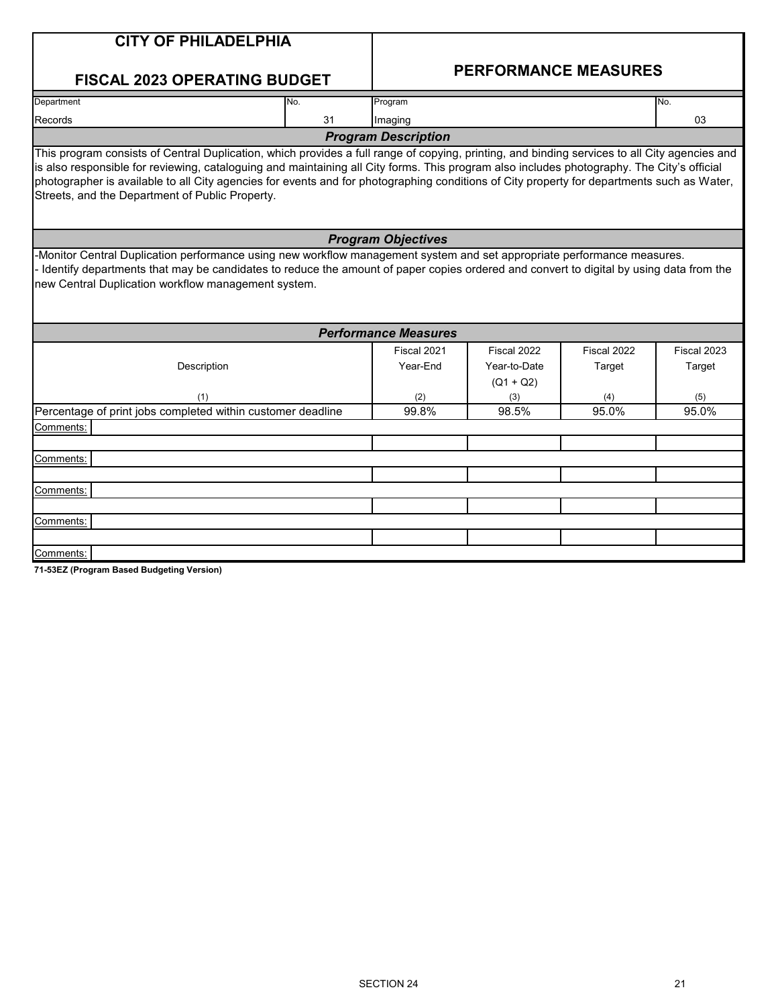|                                                                                                                                                                                               | <b>CITY OF PHILADELPHIA</b>                                                                                                                                                                                                                                       |                             |              |              |              |  |  |  |
|-----------------------------------------------------------------------------------------------------------------------------------------------------------------------------------------------|-------------------------------------------------------------------------------------------------------------------------------------------------------------------------------------------------------------------------------------------------------------------|-----------------------------|--------------|--------------|--------------|--|--|--|
|                                                                                                                                                                                               | <b>FISCAL 2023 OPERATING BUDGET</b>                                                                                                                                                                                                                               | <b>PERFORMANCE MEASURES</b> |              |              |              |  |  |  |
| Department                                                                                                                                                                                    | No.                                                                                                                                                                                                                                                               | Program                     |              |              | No.          |  |  |  |
| <b>Records</b>                                                                                                                                                                                | 31                                                                                                                                                                                                                                                                | Imaging                     |              |              | 03           |  |  |  |
|                                                                                                                                                                                               |                                                                                                                                                                                                                                                                   | <b>Program Description</b>  |              |              |              |  |  |  |
| photographer is available to all City agencies for events and for photographing conditions of City property for departments such as Water,<br>Streets, and the Department of Public Property. |                                                                                                                                                                                                                                                                   |                             |              |              |              |  |  |  |
|                                                                                                                                                                                               |                                                                                                                                                                                                                                                                   |                             |              |              |              |  |  |  |
|                                                                                                                                                                                               |                                                                                                                                                                                                                                                                   | <b>Program Objectives</b>   |              |              |              |  |  |  |
| new Central Duplication workflow management system.                                                                                                                                           | -Monitor Central Duplication performance using new workflow management system and set appropriate performance measures.<br>Identify departments that may be candidates to reduce the amount of paper copies ordered and convert to digital by using data from the |                             |              |              |              |  |  |  |
|                                                                                                                                                                                               |                                                                                                                                                                                                                                                                   | <b>Performance Measures</b> |              |              |              |  |  |  |
|                                                                                                                                                                                               |                                                                                                                                                                                                                                                                   | Fiscal 2021                 | Fiscal 2022  | Fiscal 2022  | Fiscal 2023  |  |  |  |
|                                                                                                                                                                                               | Description                                                                                                                                                                                                                                                       | Year-End                    | Year-to-Date | Target       | Target       |  |  |  |
|                                                                                                                                                                                               |                                                                                                                                                                                                                                                                   |                             | $(Q1 + Q2)$  |              |              |  |  |  |
|                                                                                                                                                                                               | (1)<br>Percentage of print jobs completed within customer deadline                                                                                                                                                                                                | (2)<br>99.8%                | (3)<br>98.5% | (4)<br>95.0% | (5)<br>95.0% |  |  |  |

Comments:

Comments:

Comments:

Comments:

**71-53EZ (Program Based Budgeting Version)**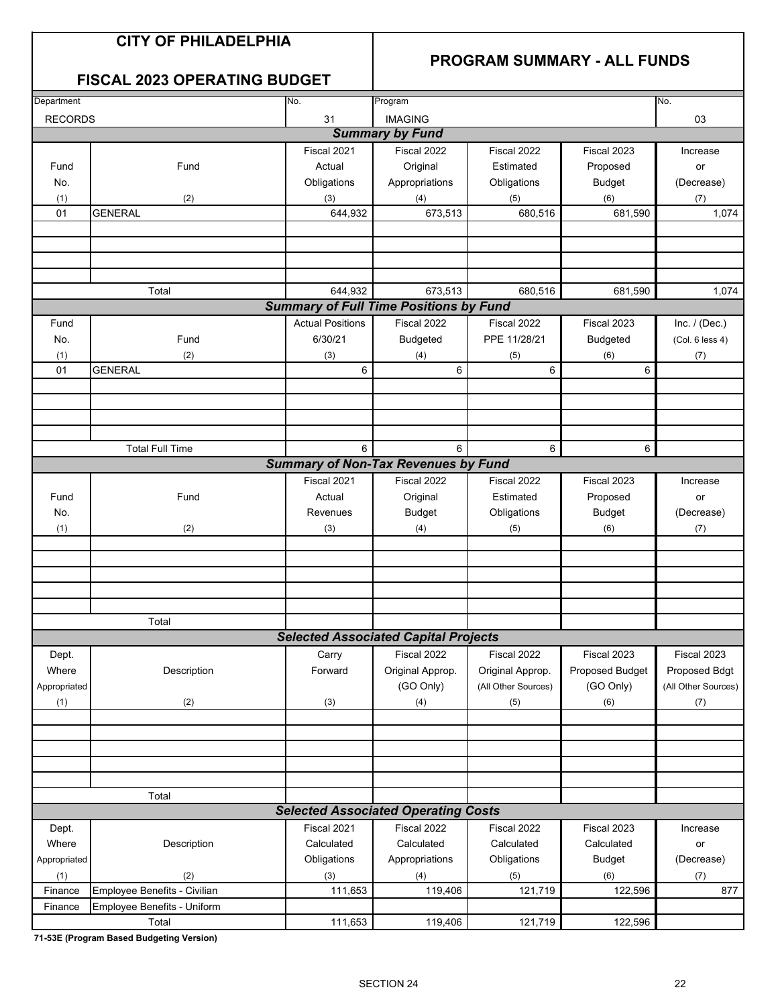## **CITY OF PHILADELPHIA**

## **PROGRAM SUMMARY - ALL FUNDS**

## **FISCAL 2023 OPERATING BUDGET**

| Department     |                              | No.<br>Program          |                                               | No.                 |                 |                     |
|----------------|------------------------------|-------------------------|-----------------------------------------------|---------------------|-----------------|---------------------|
| <b>RECORDS</b> |                              | 31                      | <b>IMAGING</b>                                |                     |                 | 03                  |
|                |                              |                         | <b>Summary by Fund</b>                        |                     |                 |                     |
|                |                              | Fiscal 2021             | Fiscal 2022                                   | Fiscal 2022         | Fiscal 2023     | Increase            |
| Fund           | Fund                         | Actual                  | Original                                      | Estimated           | Proposed        | or                  |
| No.            |                              | Obligations             | Appropriations                                | Obligations         | <b>Budget</b>   | (Decrease)          |
| (1)            | (2)                          | (3)                     | (4)                                           | (5)                 | (6)             | (7)                 |
| 01             | <b>GENERAL</b>               | 644,932                 | 673,513                                       | 680,516             | 681,590         | 1,074               |
|                |                              |                         |                                               |                     |                 |                     |
|                |                              |                         |                                               |                     |                 |                     |
|                |                              |                         |                                               |                     |                 |                     |
|                |                              |                         |                                               |                     |                 |                     |
|                | Total                        | 644,932                 | 673,513                                       | 680,516             | 681,590         | 1,074               |
|                |                              |                         | <b>Summary of Full Time Positions by Fund</b> |                     |                 |                     |
| Fund           |                              | <b>Actual Positions</b> | Fiscal 2022                                   | Fiscal 2022         | Fiscal 2023     | Inc. $/$ (Dec.)     |
| No.            | Fund                         | 6/30/21                 | <b>Budgeted</b>                               | PPE 11/28/21        | <b>Budgeted</b> | (Col. 6 less 4)     |
|                | (2)                          |                         |                                               |                     |                 |                     |
| (1)<br>01      | <b>GENERAL</b>               | (3)<br>6                | (4)<br>6                                      | (5)<br>6            | (6)<br>6        | (7)                 |
|                |                              |                         |                                               |                     |                 |                     |
|                |                              |                         |                                               |                     |                 |                     |
|                |                              |                         |                                               |                     |                 |                     |
|                |                              |                         |                                               |                     |                 |                     |
|                | <b>Total Full Time</b>       | 6                       | 6                                             | 6                   |                 |                     |
|                |                              |                         | <b>Summary of Non-Tax Revenues by Fund</b>    |                     | 6               |                     |
|                |                              |                         |                                               |                     |                 |                     |
|                |                              | Fiscal 2021             | Fiscal 2022                                   | Fiscal 2022         | Fiscal 2023     | Increase            |
| Fund           | Fund                         | Actual                  | Original                                      | Estimated           | Proposed        | or                  |
| No.            |                              | Revenues                | <b>Budget</b>                                 | Obligations         | <b>Budget</b>   | (Decrease)          |
| (1)            | (2)                          | (3)                     | (4)                                           | (5)                 | (6)             | (7)                 |
|                |                              |                         |                                               |                     |                 |                     |
|                |                              |                         |                                               |                     |                 |                     |
|                |                              |                         |                                               |                     |                 |                     |
|                |                              |                         |                                               |                     |                 |                     |
|                |                              |                         |                                               |                     |                 |                     |
|                | Total                        |                         |                                               |                     |                 |                     |
|                |                              |                         | <b>Selected Associated Capital Projects</b>   |                     |                 |                     |
| Dept.          |                              | Carry                   | Fiscal 2022                                   | Fiscal 2022         | Fiscal 2023     | Fiscal 2023         |
| Where          | Description                  | Forward                 | Original Approp.                              | Original Approp.    | Proposed Budget | Proposed Bdgt       |
| Appropriated   |                              |                         | (GO Only)                                     | (All Other Sources) | (GO Only)       | (All Other Sources) |
| (1)            | (2)                          | (3)                     | (4)                                           | (5)                 | (6)             | (7)                 |
|                |                              |                         |                                               |                     |                 |                     |
|                |                              |                         |                                               |                     |                 |                     |
|                |                              |                         |                                               |                     |                 |                     |
|                |                              |                         |                                               |                     |                 |                     |
|                |                              |                         |                                               |                     |                 |                     |
|                | Total                        |                         |                                               |                     |                 |                     |
|                |                              |                         | <b>Selected Associated Operating Costs</b>    |                     |                 |                     |
| Dept.          |                              | Fiscal 2021             | Fiscal 2022                                   | Fiscal 2022         | Fiscal 2023     | Increase            |
| Where          | Description                  | Calculated              | Calculated                                    | Calculated          | Calculated      | or                  |
| Appropriated   |                              | Obligations             | Appropriations                                | Obligations         | <b>Budget</b>   | (Decrease)          |
| (1)            | (2)                          | (3)                     | (4)                                           | (5)                 | (6)             | (7)                 |
| Finance        | Employee Benefits - Civilian | 111,653                 | 119,406                                       | 121,719             | 122,596         | 877                 |
| Finance        | Employee Benefits - Uniform  |                         |                                               |                     |                 |                     |
|                | Total                        | 111,653                 | 119,406                                       | 121,719             | 122,596         |                     |

**71-53E (Program Based Budgeting Version)**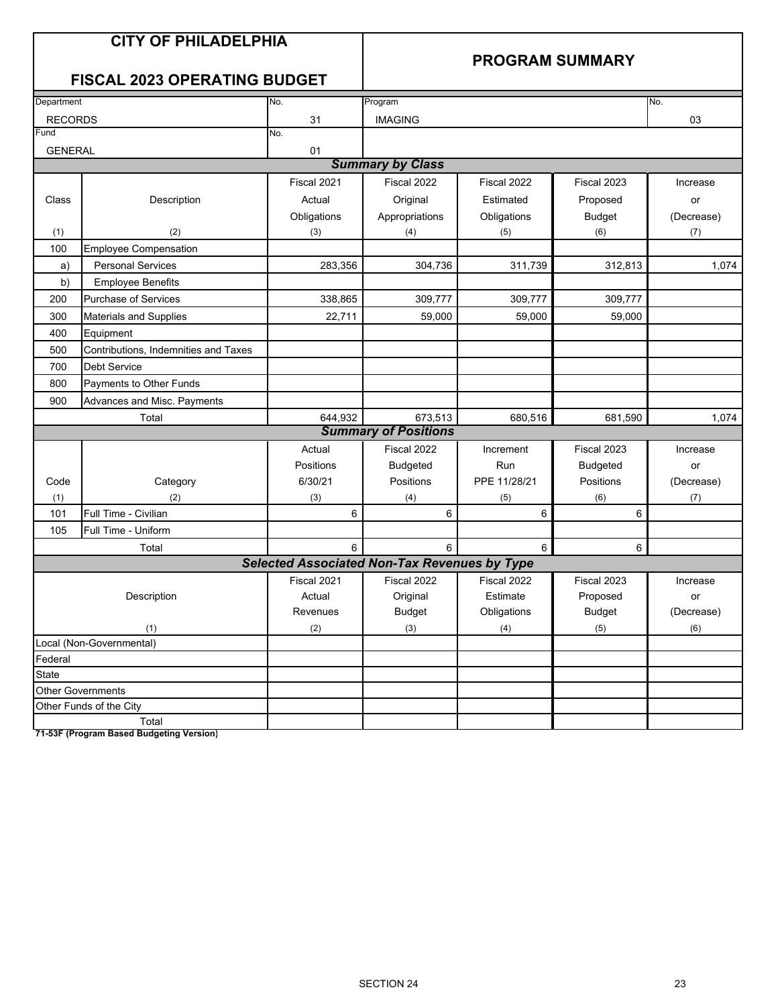## **CITY OF PHILADELPHIA**

## **PROGRAM SUMMARY**

## **FISCAL 2023 OPERATING BUDGET**

| Department     |                                      | No.                                                 | Program                     |              |                 | No.        |
|----------------|--------------------------------------|-----------------------------------------------------|-----------------------------|--------------|-----------------|------------|
| <b>RECORDS</b> |                                      | 31                                                  | <b>IMAGING</b>              |              |                 | 03         |
| Fund           |                                      | No.                                                 |                             |              |                 |            |
| <b>GENERAL</b> |                                      | 01                                                  |                             |              |                 |            |
|                |                                      |                                                     | <b>Summary by Class</b>     |              |                 |            |
|                |                                      | Fiscal 2021                                         | Fiscal 2022                 | Fiscal 2022  | Fiscal 2023     | Increase   |
| Class          | Description                          | Actual                                              | Original                    | Estimated    | Proposed        | or         |
|                |                                      | Obligations                                         | Appropriations              | Obligations  | <b>Budget</b>   | (Decrease) |
| (1)            | (2)                                  | (3)                                                 | (4)                         | (5)          | (6)             | (7)        |
| 100            | <b>Employee Compensation</b>         |                                                     |                             |              |                 |            |
| a)             | <b>Personal Services</b>             | 283,356                                             | 304,736                     | 311,739      | 312,813         | 1,074      |
| b)             | <b>Employee Benefits</b>             |                                                     |                             |              |                 |            |
| 200            | <b>Purchase of Services</b>          | 338,865                                             | 309,777                     | 309,777      | 309,777         |            |
| 300            | <b>Materials and Supplies</b>        | 22,711                                              | 59,000                      | 59,000       | 59,000          |            |
| 400            | Equipment                            |                                                     |                             |              |                 |            |
| 500            | Contributions, Indemnities and Taxes |                                                     |                             |              |                 |            |
| 700            | <b>Debt Service</b>                  |                                                     |                             |              |                 |            |
| 800            | Payments to Other Funds              |                                                     |                             |              |                 |            |
| 900            | Advances and Misc. Payments          |                                                     |                             |              |                 |            |
|                | Total                                | 644,932                                             | 673,513                     | 680,516      | 681,590         | 1,074      |
|                |                                      |                                                     | <b>Summary of Positions</b> |              |                 |            |
|                |                                      | Actual                                              | Fiscal 2022                 | Increment    | Fiscal 2023     | Increase   |
|                |                                      | Positions                                           | <b>Budgeted</b>             | Run          | <b>Budgeted</b> | or         |
| Code           | Category                             | 6/30/21                                             | Positions                   | PPE 11/28/21 | Positions       | (Decrease) |
| (1)            | (2)                                  | (3)                                                 | (4)                         | (5)          | (6)             | (7)        |
| 101            | Full Time - Civilian                 | $6\phantom{1}$                                      | 6                           | 6            | 6               |            |
| 105            | Full Time - Uniform                  |                                                     |                             |              |                 |            |
|                | Total                                | 6                                                   | 6                           | 6            | 6               |            |
|                |                                      | <b>Selected Associated Non-Tax Revenues by Type</b> |                             |              |                 |            |
|                |                                      | Fiscal 2021                                         | Fiscal 2022                 | Fiscal 2022  | Fiscal 2023     | Increase   |
|                | Description                          | Actual                                              | Original                    | Estimate     | Proposed        | or         |
|                |                                      | Revenues                                            | <b>Budget</b>               | Obligations  | <b>Budget</b>   | (Decrease) |
|                | (1)                                  | (2)                                                 | (3)                         | (4)          | (5)             | (6)        |
|                | Local (Non-Governmental)             |                                                     |                             |              |                 |            |
| Federal        |                                      |                                                     |                             |              |                 |            |
| <b>State</b>   |                                      |                                                     |                             |              |                 |            |
|                | <b>Other Governments</b>             |                                                     |                             |              |                 |            |
|                | Other Funds of the City              |                                                     |                             |              |                 |            |
|                | Total                                |                                                     |                             |              |                 |            |

**71-53F (Program Based Budgeting Version)**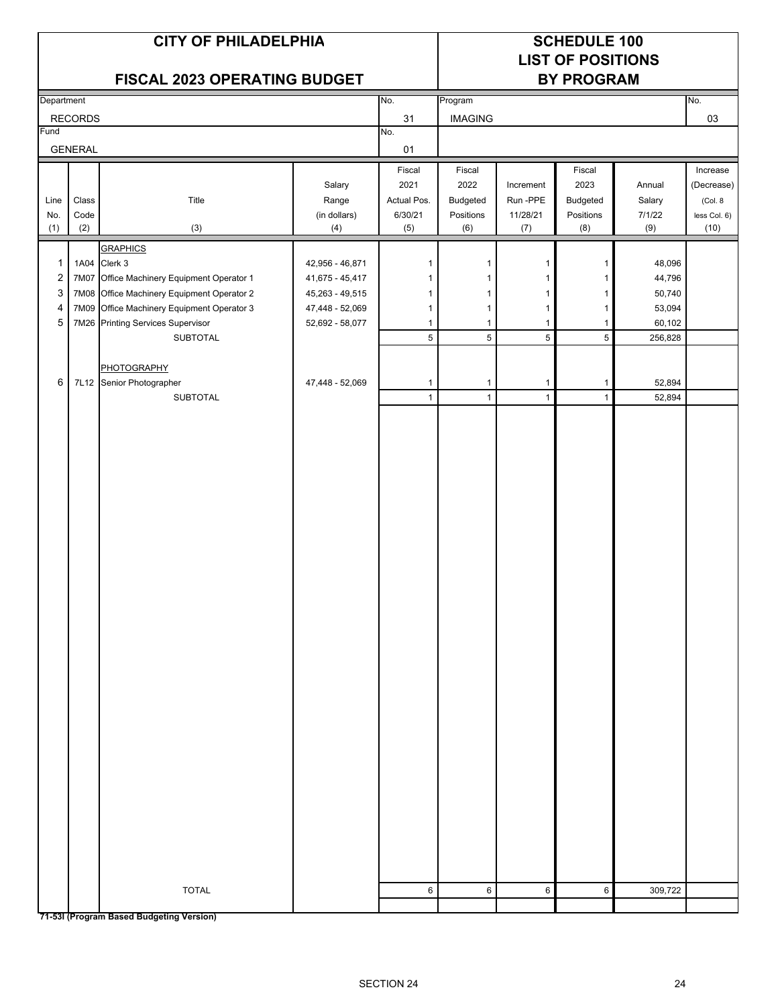# **LIST OF POSITIONS**

|                         |                  | FISCAL 2023 OPERATING BUDGET               |                   | <b>BY PROGRAM</b>            |                              |                              |                              |                  |              |
|-------------------------|------------------|--------------------------------------------|-------------------|------------------------------|------------------------------|------------------------------|------------------------------|------------------|--------------|
| Department              |                  |                                            |                   | No.                          | Program                      |                              |                              |                  | No.          |
|                         | <b>RECORDS</b>   |                                            |                   | 31                           | <b>IMAGING</b>               |                              |                              |                  | 03           |
| Fund                    |                  |                                            |                   | No.                          |                              |                              |                              |                  |              |
|                         | <b>GENERAL</b>   |                                            |                   | 01                           |                              |                              |                              |                  |              |
|                         |                  |                                            |                   | Fiscal                       | Fiscal                       |                              | Fiscal                       |                  | Increase     |
|                         |                  |                                            | Salary            | 2021                         | 2022                         | Increment                    | 2023                         | Annual           | (Decrease)   |
| Line                    | $\textsf{Class}$ | Title                                      | Range             | Actual Pos.                  | Budgeted                     | Run-PPE                      | Budgeted                     | Salary           | (Col. 8      |
| No.                     | Code             |                                            | (in dollars)      | 6/30/21                      | Positions                    | 11/28/21                     | Positions                    | 7/1/22           | less Col. 6) |
| (1)                     | (2)              | $(3)$                                      | (4)               | (5)                          | (6)                          | (7)                          | (8)                          | (9)              | (10)         |
|                         |                  | <b>GRAPHICS</b>                            |                   |                              |                              |                              |                              |                  |              |
| $\mathbf{1}$            |                  | 1A04 Clerk 3                               | 42,956 - 46,871   | 1                            | 1                            | $\mathbf{1}$                 | 1                            | 48,096           |              |
| $\overline{\mathbf{c}}$ | 7M07             | Office Machinery Equipment Operator 1      | $41,675 - 45,417$ | 1                            | 1                            | 1                            | 1                            | 44,796           |              |
| 3                       |                  | 7M08 Office Machinery Equipment Operator 2 | 45,263 - 49,515   | 1                            | 1                            | 1                            | 1                            | 50,740           |              |
| 4                       | 7M09             | Office Machinery Equipment Operator 3      | 47,448 - 52,069   | $\mathbf{1}$                 | $\mathbf{1}$                 | $\mathbf{1}$                 | 1                            | 53,094           |              |
| 5                       |                  | 7M26 Printing Services Supervisor          | 52,692 - 58,077   | $\mathbf{1}$                 | $\mathbf{1}$                 | 1                            | 1                            | 60,102           |              |
|                         |                  | SUBTOTAL                                   |                   | $5\overline{)}$              | $\,$ 5 $\,$                  | $5\overline{)}$              | $\overline{5}$               | 256,828          |              |
|                         |                  |                                            |                   |                              |                              |                              |                              |                  |              |
| 6                       |                  | PHOTOGRAPHY<br>7L12 Senior Photographer    |                   |                              |                              |                              |                              |                  |              |
|                         |                  | SUBTOTAL                                   | 47,448 - 52,069   | $\mathbf{1}$<br>$\mathbf{1}$ | $\mathbf{1}$<br>$\mathbf{1}$ | $\mathbf{1}$<br>$\mathbf{1}$ | $\mathbf{1}$<br>$\mathbf{1}$ | 52,894<br>52,894 |              |
|                         |                  |                                            |                   |                              |                              |                              |                              |                  |              |
|                         |                  |                                            |                   |                              |                              |                              |                              |                  |              |
|                         |                  |                                            |                   |                              |                              |                              |                              |                  |              |
|                         |                  |                                            |                   |                              |                              |                              |                              |                  |              |
|                         |                  |                                            |                   |                              |                              |                              |                              |                  |              |
|                         |                  |                                            |                   |                              |                              |                              |                              |                  |              |
|                         |                  |                                            |                   |                              |                              |                              |                              |                  |              |
|                         |                  |                                            |                   |                              |                              |                              |                              |                  |              |
|                         |                  |                                            |                   |                              |                              |                              |                              |                  |              |
|                         |                  |                                            |                   |                              |                              |                              |                              |                  |              |
|                         |                  |                                            |                   |                              |                              |                              |                              |                  |              |
|                         |                  |                                            |                   |                              |                              |                              |                              |                  |              |
|                         |                  |                                            |                   |                              |                              |                              |                              |                  |              |
|                         |                  |                                            |                   |                              |                              |                              |                              |                  |              |
|                         |                  |                                            |                   |                              |                              |                              |                              |                  |              |
|                         |                  |                                            |                   |                              |                              |                              |                              |                  |              |
|                         |                  |                                            |                   |                              |                              |                              |                              |                  |              |
|                         |                  |                                            |                   |                              |                              |                              |                              |                  |              |
|                         |                  |                                            |                   |                              |                              |                              |                              |                  |              |
|                         |                  |                                            |                   |                              |                              |                              |                              |                  |              |
|                         |                  |                                            |                   |                              |                              |                              |                              |                  |              |
|                         |                  |                                            |                   |                              |                              |                              |                              |                  |              |
|                         |                  |                                            |                   |                              |                              |                              |                              |                  |              |
|                         |                  |                                            |                   |                              |                              |                              |                              |                  |              |
|                         |                  |                                            |                   |                              |                              |                              |                              |                  |              |
|                         |                  |                                            |                   |                              |                              |                              |                              |                  |              |
|                         |                  |                                            |                   |                              |                              |                              |                              |                  |              |
|                         |                  |                                            |                   |                              |                              |                              |                              |                  |              |
|                         |                  |                                            |                   |                              |                              |                              |                              |                  |              |
|                         |                  |                                            |                   |                              |                              |                              |                              |                  |              |
|                         |                  | <b>TOTAL</b>                               |                   | $\,6$                        | $\,6\,$                      | $\,6\,$                      | 6                            | 309,722          |              |
|                         |                  |                                            |                   |                              |                              |                              |                              |                  |              |
|                         |                  |                                            |                   |                              |                              |                              |                              |                  |              |

**71-53I (Program Based Budgeting Version)**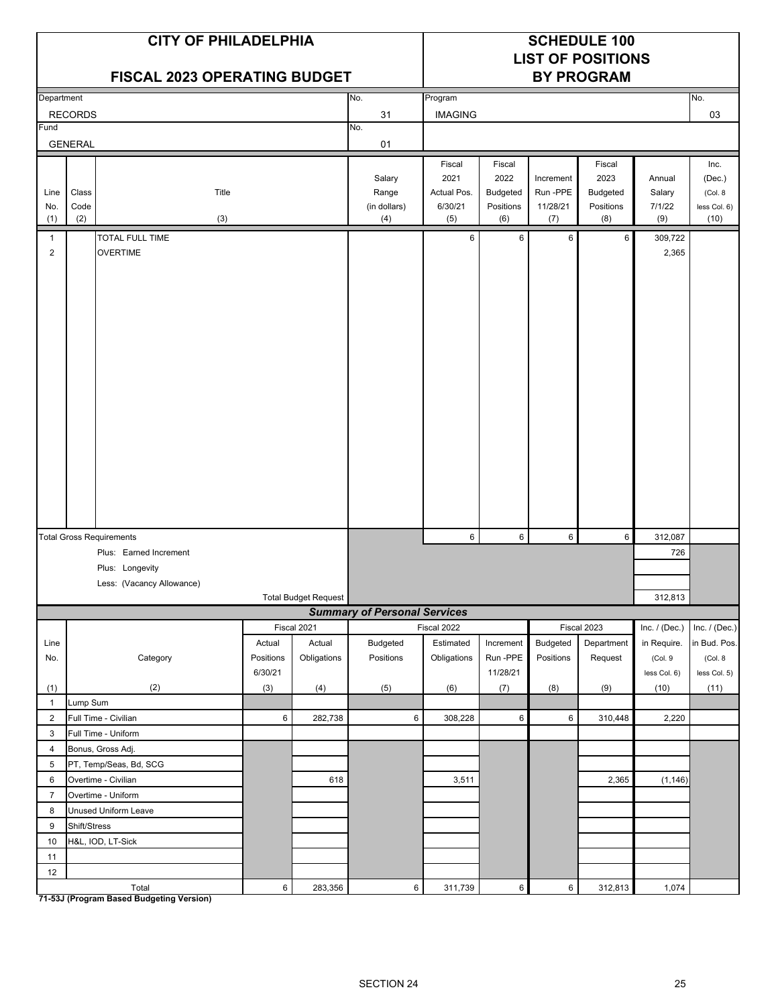|                     |                                                                              | <b>CITY OF PHILADELPHIA</b><br><b>FISCAL 2023 OPERATING BUDGET</b> |                      |                             |                                        |                                                       |                                                |                                          | <b>SCHEDULE 100</b><br><b>LIST OF POSITIONS</b><br><b>BY PROGRAM</b> |                                   |                                                    |
|---------------------|------------------------------------------------------------------------------|--------------------------------------------------------------------|----------------------|-----------------------------|----------------------------------------|-------------------------------------------------------|------------------------------------------------|------------------------------------------|----------------------------------------------------------------------|-----------------------------------|----------------------------------------------------|
| Department          |                                                                              |                                                                    |                      |                             | No.                                    | Program                                               |                                                |                                          |                                                                      |                                   | No.                                                |
|                     | <b>RECORDS</b>                                                               |                                                                    |                      |                             | 31                                     | <b>IMAGING</b>                                        |                                                |                                          |                                                                      |                                   | 03                                                 |
| Fund                | <b>GENERAL</b>                                                               |                                                                    |                      |                             | No.<br>01                              |                                                       |                                                |                                          |                                                                      |                                   |                                                    |
| Line<br>No.<br>(1)  | Class<br>Code<br>(2)                                                         | Title<br>(3)                                                       |                      |                             | Salary<br>Range<br>(in dollars)<br>(4) | Fiscal<br>2021<br><b>Actual Pos</b><br>6/30/21<br>(5) | Fiscal<br>2022<br>Budgeted<br>Positions<br>(6) | Increment<br>Run -PPE<br>11/28/21<br>(7) | Fiscal<br>2023<br><b>Budgeted</b><br>Positions<br>(8)                | Annual<br>Salary<br>7/1/22<br>(9) | Inc.<br>(Dec.)<br>(Col. 8)<br>less Col. 6)<br>(10) |
| 1<br>$\overline{2}$ | <b>TOTAL FULL TIME</b><br><b>OVERTIME</b><br><b>Total Gross Requirements</b> |                                                                    |                      |                             |                                        | 6                                                     | 6                                              | 6                                        | 6                                                                    | 309,722<br>2,365                  |                                                    |
|                     |                                                                              |                                                                    |                      |                             |                                        | 6                                                     | 6                                              | 6                                        | 6                                                                    | 312,087                           |                                                    |
|                     |                                                                              | Plus: Earned Increment                                             |                      |                             |                                        |                                                       |                                                |                                          |                                                                      | 726                               |                                                    |
|                     |                                                                              | Plus: Longevity                                                    |                      |                             |                                        |                                                       |                                                |                                          |                                                                      |                                   |                                                    |
|                     |                                                                              | Less: (Vacancy Allowance)                                          |                      |                             |                                        |                                                       |                                                |                                          |                                                                      |                                   |                                                    |
|                     |                                                                              |                                                                    |                      | <b>Total Budget Request</b> | <b>Summary of Personal Services</b>    |                                                       |                                                |                                          |                                                                      | 312,813                           |                                                    |
|                     |                                                                              |                                                                    |                      | Fiscal 2021                 |                                        | Fiscal 2022                                           |                                                |                                          | Fiscal 2023                                                          | Inc. $/$ (Dec.)                   | Inc. / (Dec.)                                      |
| Line                |                                                                              |                                                                    | Actual               | Actual                      | Budgeted                               | Estimated                                             | Increment                                      | Budgeted                                 | Department                                                           | in Require.                       | in Bud. Pos.                                       |
| No.                 |                                                                              | Category                                                           | Positions<br>6/30/21 | Obligations                 | Positions                              | Obligations                                           | Run-PPE<br>11/28/21                            | Positions                                | Request                                                              | (Col. 9<br>less Col. 6)           | (Col. 8<br>less Col. 5)                            |
| (1)                 |                                                                              | (2)                                                                | (3)                  | (4)                         | (5)                                    | (6)                                                   | (7)                                            | (8)                                      | (9)                                                                  | (10)                              | (11)                                               |
| $\mathbf{1}$        | Lump Sum                                                                     |                                                                    |                      |                             |                                        |                                                       |                                                |                                          |                                                                      |                                   |                                                    |
| $\overline{2}$      |                                                                              | Full Time - Civilian                                               | 6                    | 282,738                     | 6                                      | 308,228                                               | $\,6$                                          | 6                                        | 310,448                                                              | 2,220                             |                                                    |
| 3                   |                                                                              | Full Time - Uniform                                                |                      |                             |                                        |                                                       |                                                |                                          |                                                                      |                                   |                                                    |
| $\overline{4}$      |                                                                              | Bonus, Gross Adj.                                                  |                      |                             |                                        |                                                       |                                                |                                          |                                                                      |                                   |                                                    |
| 5<br>6              |                                                                              | PT, Temp/Seas, Bd, SCG<br>Overtime - Civilian                      |                      | 618                         |                                        | 3,511                                                 |                                                |                                          | 2,365                                                                | (1, 146)                          |                                                    |
| $\overline{7}$      |                                                                              | Overtime - Uniform                                                 |                      |                             |                                        |                                                       |                                                |                                          |                                                                      |                                   |                                                    |
| 8                   |                                                                              | Unused Uniform Leave                                               |                      |                             |                                        |                                                       |                                                |                                          |                                                                      |                                   |                                                    |
| 9                   | Shift/Stress                                                                 |                                                                    |                      |                             |                                        |                                                       |                                                |                                          |                                                                      |                                   |                                                    |
| 10                  |                                                                              | H&L, IOD, LT-Sick                                                  |                      |                             |                                        |                                                       |                                                |                                          |                                                                      |                                   |                                                    |
| 11                  |                                                                              |                                                                    |                      |                             |                                        |                                                       |                                                |                                          |                                                                      |                                   |                                                    |
| 12                  |                                                                              |                                                                    |                      |                             |                                        |                                                       |                                                |                                          |                                                                      |                                   |                                                    |
|                     |                                                                              | Total                                                              | $\,6\,$              | 283,356                     | $\,$ 6 $\,$                            | 311,739                                               | $\,6\,$                                        | $6\phantom{.0}$                          | 312,813                                                              | 1,074                             |                                                    |

**71-53J (Program Based Budgeting Version)**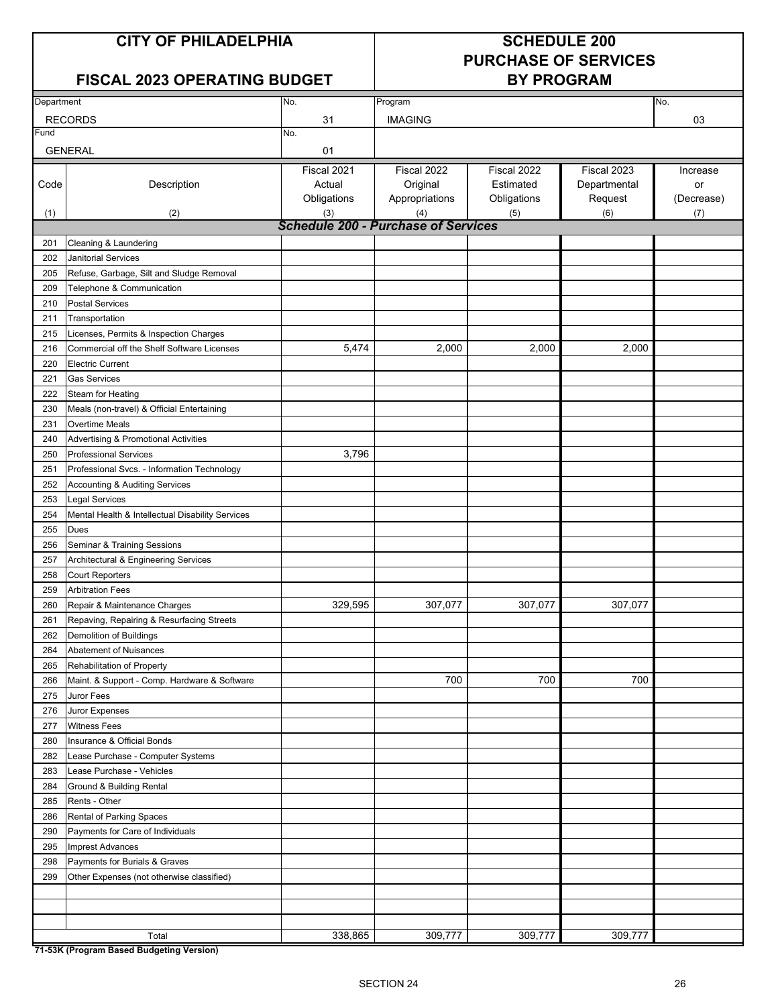# **PURCHASE OF SERVICES**

## **FISCAL 2023 OPERATING BUDGET BY PROGRAM**

| Department |                                                    | No.                                        | Program        |             |              | No.        |
|------------|----------------------------------------------------|--------------------------------------------|----------------|-------------|--------------|------------|
|            | <b>RECORDS</b>                                     | 31                                         | <b>IMAGING</b> |             |              | 03         |
| Fund       |                                                    | No.                                        |                |             |              |            |
|            | <b>GENERAL</b>                                     | 01                                         |                |             |              |            |
|            |                                                    | Fiscal 2021                                | Fiscal 2022    | Fiscal 2022 | Fiscal 2023  | Increase   |
| Code       | Description                                        | Actual                                     | Original       | Estimated   | Departmental | or         |
|            |                                                    | Obligations                                | Appropriations | Obligations | Request      | (Decrease) |
| (1)        | (2)                                                | (3)                                        | (4)            | (5)         | (6)          | (7)        |
|            |                                                    | <b>Schedule 200 - Purchase of Services</b> |                |             |              |            |
| 201        | Cleaning & Laundering                              |                                            |                |             |              |            |
| 202        | <b>Janitorial Services</b>                         |                                            |                |             |              |            |
| 205        | Refuse, Garbage, Silt and Sludge Removal           |                                            |                |             |              |            |
| 209        | Telephone & Communication                          |                                            |                |             |              |            |
| 210        | <b>Postal Services</b>                             |                                            |                |             |              |            |
| 211        | Transportation                                     |                                            |                |             |              |            |
| 215        | Licenses, Permits & Inspection Charges             |                                            |                |             |              |            |
| 216        | Commercial off the Shelf Software Licenses         | 5,474                                      | 2,000          | 2,000       | 2,000        |            |
| 220        | <b>Electric Current</b>                            |                                            |                |             |              |            |
| 221        | <b>Gas Services</b>                                |                                            |                |             |              |            |
| 222        | <b>Steam for Heating</b>                           |                                            |                |             |              |            |
| 230        | Meals (non-travel) & Official Entertaining         |                                            |                |             |              |            |
| 231        | <b>Overtime Meals</b>                              |                                            |                |             |              |            |
| 240        | Advertising & Promotional Activities               |                                            |                |             |              |            |
| 250        | <b>Professional Services</b>                       | 3,796                                      |                |             |              |            |
| 251        | Professional Svcs. - Information Technology        |                                            |                |             |              |            |
| 252        | Accounting & Auditing Services                     |                                            |                |             |              |            |
| 253        | <b>Legal Services</b>                              |                                            |                |             |              |            |
| 254        | Mental Health & Intellectual Disability Services   |                                            |                |             |              |            |
| 255        | <b>Dues</b>                                        |                                            |                |             |              |            |
| 256        | Seminar & Training Sessions                        |                                            |                |             |              |            |
| 257        | Architectural & Engineering Services               |                                            |                |             |              |            |
| 258        | <b>Court Reporters</b>                             |                                            |                |             |              |            |
| 259        | <b>Arbitration Fees</b>                            |                                            |                |             |              |            |
| 260        | Repair & Maintenance Charges                       | 329,595                                    | 307,077        | 307,077     | 307,077      |            |
| 261        | Repaving, Repairing & Resurfacing Streets          |                                            |                |             |              |            |
| 262        | <b>Demolition of Buildings</b>                     |                                            |                |             |              |            |
| 264        | Abatement of Nuisances                             |                                            |                |             |              |            |
| 265        | Rehabilitation of Property                         |                                            |                |             |              |            |
| 266        | Maint. & Support - Comp. Hardware & Software       |                                            | 700            | 700         | 700          |            |
| 275        | Juror Fees                                         |                                            |                |             |              |            |
| 276        | Juror Expenses                                     |                                            |                |             |              |            |
| 277        | <b>Witness Fees</b>                                |                                            |                |             |              |            |
| 280        | Insurance & Official Bonds                         |                                            |                |             |              |            |
| 282        | Lease Purchase - Computer Systems                  |                                            |                |             |              |            |
| 283        | Lease Purchase - Vehicles                          |                                            |                |             |              |            |
| 284        | Ground & Building Rental                           |                                            |                |             |              |            |
| 285        | Rents - Other                                      |                                            |                |             |              |            |
| 286        | Rental of Parking Spaces                           |                                            |                |             |              |            |
| 290        | Payments for Care of Individuals                   |                                            |                |             |              |            |
| 295        | <b>Imprest Advances</b>                            |                                            |                |             |              |            |
| 298        | Payments for Burials & Graves                      |                                            |                |             |              |            |
| 299        | Other Expenses (not otherwise classified)          |                                            |                |             |              |            |
|            |                                                    |                                            |                |             |              |            |
|            |                                                    |                                            |                |             |              |            |
|            |                                                    |                                            |                |             |              |            |
|            | Total<br>74 E2K (Drogram Depart Dudgeting Varaion) | 338,865                                    | 309,777        | 309,777     | 309,777      |            |

**71-53K (Program Based Budgeting Version)**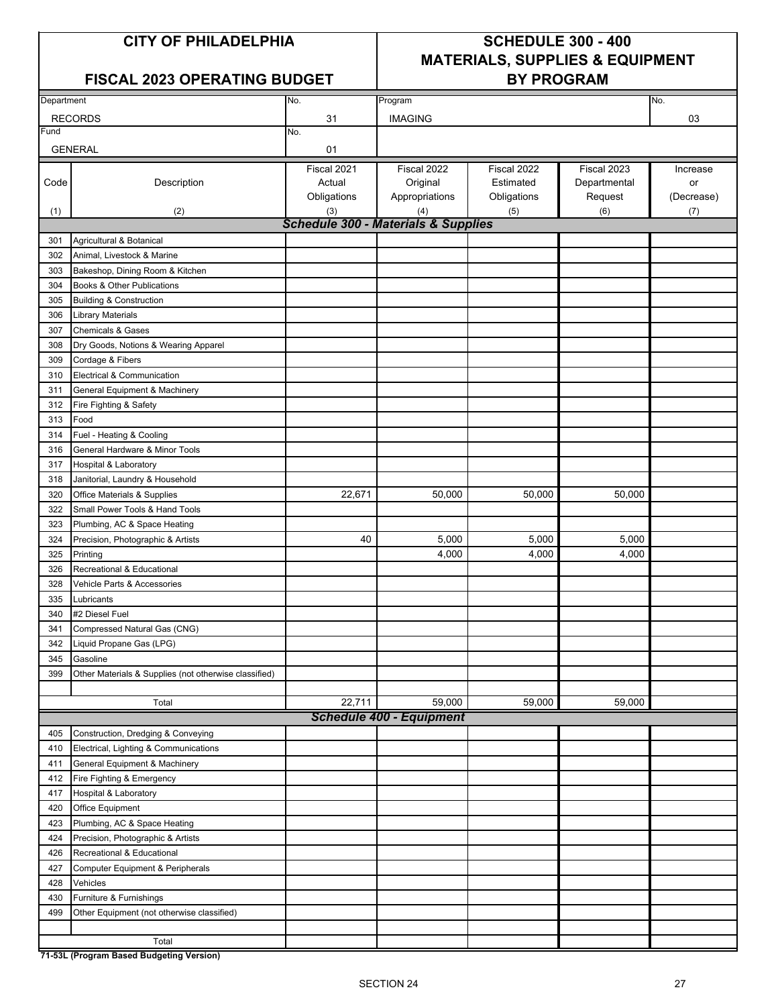### FISCAL 2023 OPERATING BUDGET | BY PROGRAM

## **CITY OF PHILADELPHIA SCHEDULE 300 - 400 MATERIALS, SUPPLIES & EQUIPMENT**

| Department |                                                       | No.                                            | Program                         |             |              | No.        |
|------------|-------------------------------------------------------|------------------------------------------------|---------------------------------|-------------|--------------|------------|
|            | <b>RECORDS</b>                                        | 31                                             | <b>IMAGING</b>                  |             |              | 03         |
| Fund       |                                                       | No.                                            |                                 |             |              |            |
|            | <b>GENERAL</b>                                        | 01                                             |                                 |             |              |            |
|            |                                                       | Fiscal 2021                                    | Fiscal 2022                     | Fiscal 2022 | Fiscal 2023  | Increase   |
| Code       | Description                                           | Actual                                         | Original                        | Estimated   | Departmental | or         |
|            |                                                       | Obligations                                    | Appropriations                  | Obligations | Request      | (Decrease) |
| (1)        | (2)                                                   | (3)                                            | (4)                             | (5)         | (6)          | (7)        |
|            |                                                       | <b>Schedule 300 - Materials &amp; Supplies</b> |                                 |             |              |            |
| 301        | Agricultural & Botanical                              |                                                |                                 |             |              |            |
| 302        | Animal, Livestock & Marine                            |                                                |                                 |             |              |            |
|            |                                                       |                                                |                                 |             |              |            |
| 303        | Bakeshop, Dining Room & Kitchen                       |                                                |                                 |             |              |            |
| 304        | Books & Other Publications                            |                                                |                                 |             |              |            |
| 305        | <b>Building &amp; Construction</b>                    |                                                |                                 |             |              |            |
| 306        | Library Materials                                     |                                                |                                 |             |              |            |
| 307        | <b>Chemicals &amp; Gases</b>                          |                                                |                                 |             |              |            |
| 308        | Dry Goods, Notions & Wearing Apparel                  |                                                |                                 |             |              |            |
| 309        | Cordage & Fibers                                      |                                                |                                 |             |              |            |
| 310        | Electrical & Communication                            |                                                |                                 |             |              |            |
| 311        | General Equipment & Machinery                         |                                                |                                 |             |              |            |
| 312        | Fire Fighting & Safety                                |                                                |                                 |             |              |            |
| 313        | Food                                                  |                                                |                                 |             |              |            |
| 314        | Fuel - Heating & Cooling                              |                                                |                                 |             |              |            |
| 316        | General Hardware & Minor Tools                        |                                                |                                 |             |              |            |
| 317        | Hospital & Laboratory                                 |                                                |                                 |             |              |            |
| 318        | Janitorial, Laundry & Household                       |                                                |                                 |             |              |            |
| 320        | Office Materials & Supplies                           | 22,671                                         | 50,000                          | 50,000      | 50,000       |            |
| 322        | Small Power Tools & Hand Tools                        |                                                |                                 |             |              |            |
|            |                                                       |                                                |                                 |             |              |            |
| 323        | Plumbing, AC & Space Heating                          |                                                |                                 |             |              |            |
| 324        | Precision, Photographic & Artists                     | 40                                             | 5,000                           | 5,000       | 5,000        |            |
| 325        | Printing                                              |                                                | 4,000                           | 4,000       | 4,000        |            |
| 326        | Recreational & Educational                            |                                                |                                 |             |              |            |
| 328        | Vehicle Parts & Accessories                           |                                                |                                 |             |              |            |
| 335        | Lubricants                                            |                                                |                                 |             |              |            |
| 340        | #2 Diesel Fuel                                        |                                                |                                 |             |              |            |
| 341        | Compressed Natural Gas (CNG)                          |                                                |                                 |             |              |            |
| 342        | Liquid Propane Gas (LPG)                              |                                                |                                 |             |              |            |
| 345        | Gasoline                                              |                                                |                                 |             |              |            |
| 399        | Other Materials & Supplies (not otherwise classified) |                                                |                                 |             |              |            |
|            |                                                       |                                                |                                 |             |              |            |
|            | Total                                                 | 22,711                                         | 59,000                          | 59,000      | 59,000       |            |
|            |                                                       |                                                | <b>Schedule 400 - Equipment</b> |             |              |            |
| 405        | Construction, Dredging & Conveying                    |                                                |                                 |             |              |            |
| 410        | Electrical, Lighting & Communications                 |                                                |                                 |             |              |            |
| 411        | General Equipment & Machinery                         |                                                |                                 |             |              |            |
| 412        | Fire Fighting & Emergency                             |                                                |                                 |             |              |            |
| 417        | <b>Hospital &amp; Laboratory</b>                      |                                                |                                 |             |              |            |
| 420        | Office Equipment                                      |                                                |                                 |             |              |            |
| 423        | Plumbing, AC & Space Heating                          |                                                |                                 |             |              |            |
|            | Precision, Photographic & Artists                     |                                                |                                 |             |              |            |
| 424        |                                                       |                                                |                                 |             |              |            |
| 426        | Recreational & Educational                            |                                                |                                 |             |              |            |
| 427        | Computer Equipment & Peripherals                      |                                                |                                 |             |              |            |
| 428        | Vehicles                                              |                                                |                                 |             |              |            |
| 430        | Furniture & Furnishings                               |                                                |                                 |             |              |            |
| 499        | Other Equipment (not otherwise classified)            |                                                |                                 |             |              |            |
|            |                                                       |                                                |                                 |             |              |            |
|            | Total                                                 |                                                |                                 |             |              |            |

**71-53L (Program Based Budgeting Version)**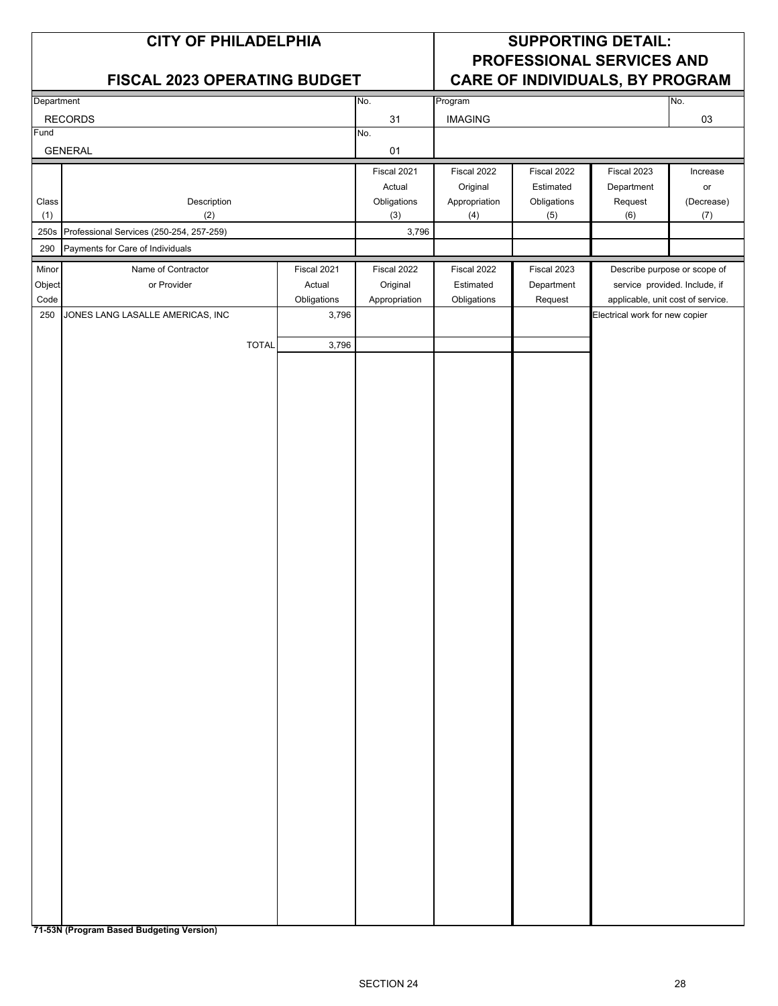| <b>CITY OF PHILADELPHIA</b><br><b>FISCAL 2023 OPERATING BUDGET</b>                                     | <b>SUPPORTING DETAIL:</b><br><b>PROFESSIONAL SERVICES AND</b><br>CARE OF INDIVIDUALS, BY PROGRAM |  |  |  |  |
|--------------------------------------------------------------------------------------------------------|--------------------------------------------------------------------------------------------------|--|--|--|--|
|                                                                                                        |                                                                                                  |  |  |  |  |
| No.<br>Department<br>Program                                                                           | No.                                                                                              |  |  |  |  |
| <b>IMAGING</b><br><b>RECORDS</b><br>31<br>Fund<br>No.                                                  | 03                                                                                               |  |  |  |  |
| <b>GENERAL</b><br>01                                                                                   |                                                                                                  |  |  |  |  |
| Fiscal 2021<br>Fiscal 2022<br>Fiscal 2022                                                              | Fiscal 2023<br>Increase                                                                          |  |  |  |  |
| Original<br>Estimated<br>Actual                                                                        | Department<br>or                                                                                 |  |  |  |  |
| Description<br>Appropriation<br>Obligations<br>Class<br>Obligations<br>(1)<br>(2)<br>(3)<br>(4)<br>(5) | Request<br>(Decrease)<br>(6)<br>(7)                                                              |  |  |  |  |
| 250s<br>Professional Services (250-254, 257-259)<br>3,796                                              |                                                                                                  |  |  |  |  |
| Payments for Care of Individuals<br>290                                                                |                                                                                                  |  |  |  |  |
| Minor<br>Name of Contractor<br>Fiscal 2021<br>Fiscal 2022<br>Fiscal 2022<br>Fiscal 2023                | Describe purpose or scope of                                                                     |  |  |  |  |
| Object<br>or Provider<br>Actual<br>Original<br>Estimated<br>Department                                 | service provided. Include, if                                                                    |  |  |  |  |
| Code<br>Appropriation<br>Obligations<br>Obligations<br>Request                                         | applicable, unit cost of service.                                                                |  |  |  |  |
| JONES LANG LASALLE AMERICAS, INC<br>3,796<br>250                                                       | Electrical work for new copier                                                                   |  |  |  |  |
| <b>TOTAL</b><br>3,796                                                                                  |                                                                                                  |  |  |  |  |
|                                                                                                        |                                                                                                  |  |  |  |  |
|                                                                                                        |                                                                                                  |  |  |  |  |
|                                                                                                        |                                                                                                  |  |  |  |  |
|                                                                                                        |                                                                                                  |  |  |  |  |
|                                                                                                        |                                                                                                  |  |  |  |  |
|                                                                                                        |                                                                                                  |  |  |  |  |
|                                                                                                        |                                                                                                  |  |  |  |  |
|                                                                                                        |                                                                                                  |  |  |  |  |
|                                                                                                        |                                                                                                  |  |  |  |  |
|                                                                                                        |                                                                                                  |  |  |  |  |
|                                                                                                        |                                                                                                  |  |  |  |  |
|                                                                                                        |                                                                                                  |  |  |  |  |
|                                                                                                        |                                                                                                  |  |  |  |  |
|                                                                                                        |                                                                                                  |  |  |  |  |
|                                                                                                        |                                                                                                  |  |  |  |  |
|                                                                                                        |                                                                                                  |  |  |  |  |
|                                                                                                        |                                                                                                  |  |  |  |  |
|                                                                                                        |                                                                                                  |  |  |  |  |
|                                                                                                        |                                                                                                  |  |  |  |  |
|                                                                                                        |                                                                                                  |  |  |  |  |
|                                                                                                        |                                                                                                  |  |  |  |  |
|                                                                                                        |                                                                                                  |  |  |  |  |
|                                                                                                        |                                                                                                  |  |  |  |  |
|                                                                                                        |                                                                                                  |  |  |  |  |
|                                                                                                        |                                                                                                  |  |  |  |  |
|                                                                                                        |                                                                                                  |  |  |  |  |
|                                                                                                        |                                                                                                  |  |  |  |  |
|                                                                                                        |                                                                                                  |  |  |  |  |
|                                                                                                        |                                                                                                  |  |  |  |  |
|                                                                                                        |                                                                                                  |  |  |  |  |
|                                                                                                        |                                                                                                  |  |  |  |  |
|                                                                                                        |                                                                                                  |  |  |  |  |

**71-53N (Program Based Budgeting Version)**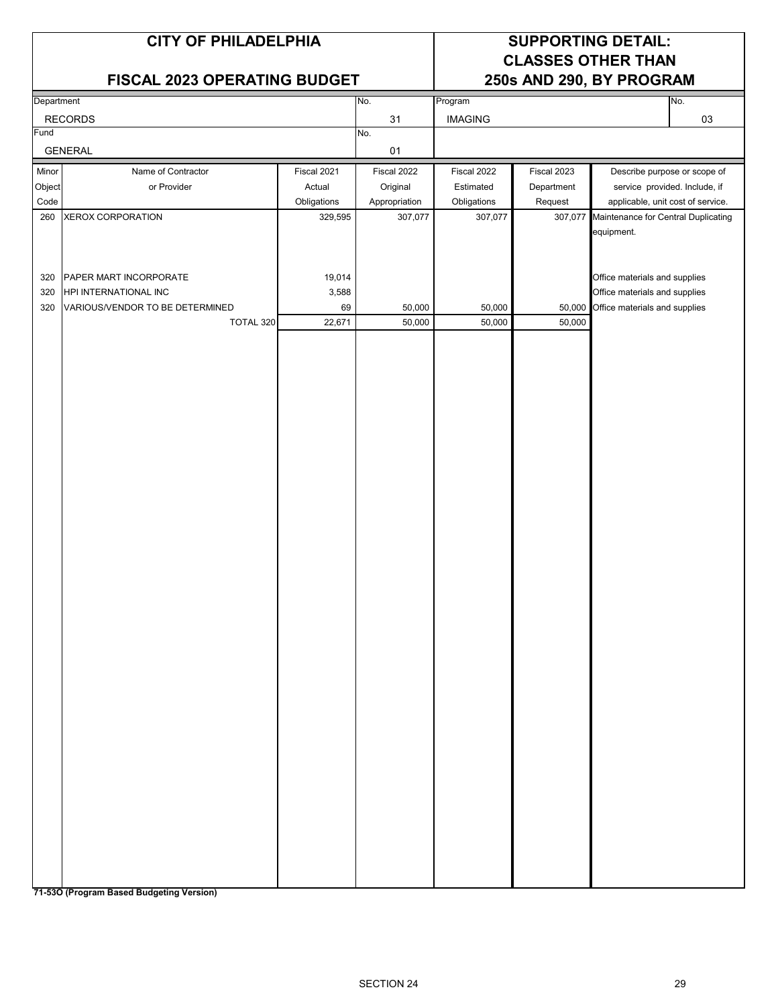## **FISCAL 2023 OPERATING BUDGET 250s AND 290, BY PROGRAM**

## **CITY OF PHILADELPHIA SUPPORTING DETAIL: CLASSES OTHER THAN**

| Department |                                 |             | No.           | Program        |             | No.                                         |
|------------|---------------------------------|-------------|---------------|----------------|-------------|---------------------------------------------|
|            | <b>RECORDS</b>                  |             | 31            | <b>IMAGING</b> |             | 03                                          |
| Fund       |                                 |             | No.           |                |             |                                             |
|            | <b>GENERAL</b>                  |             | 01            |                |             |                                             |
| Minor      | Name of Contractor              | Fiscal 2021 | Fiscal 2022   | Fiscal 2022    | Fiscal 2023 | Describe purpose or scope of                |
| Object     | or Provider                     | Actual      | Original      | Estimated      | Department  | service provided. Include, if               |
| Code       |                                 | Obligations | Appropriation | Obligations    | Request     | applicable, unit cost of service.           |
| 260        | XEROX CORPORATION               | 329,595     | 307,077       | 307,077        |             | 307,077 Maintenance for Central Duplicating |
|            |                                 |             |               |                |             | equipment.                                  |
|            |                                 |             |               |                |             |                                             |
|            |                                 |             |               |                |             |                                             |
| 320        | PAPER MART INCORPORATE          | 19,014      |               |                |             | Office materials and supplies               |
| 320        | HPI INTERNATIONAL INC           | 3,588       |               |                |             | Office materials and supplies               |
| 320        | VARIOUS/VENDOR TO BE DETERMINED | 69          | 50,000        | 50,000         |             | 50,000 Office materials and supplies        |
|            | TOTAL 320                       | 22,671      | 50,000        | 50,000         | 50,000      |                                             |
|            |                                 |             |               |                |             |                                             |
|            |                                 |             |               |                |             |                                             |
|            |                                 |             |               |                |             |                                             |
|            |                                 |             |               |                |             |                                             |
|            |                                 |             |               |                |             |                                             |
|            |                                 |             |               |                |             |                                             |
|            |                                 |             |               |                |             |                                             |
|            |                                 |             |               |                |             |                                             |
|            |                                 |             |               |                |             |                                             |
|            |                                 |             |               |                |             |                                             |
|            |                                 |             |               |                |             |                                             |
|            |                                 |             |               |                |             |                                             |
|            |                                 |             |               |                |             |                                             |
|            |                                 |             |               |                |             |                                             |
|            |                                 |             |               |                |             |                                             |
|            |                                 |             |               |                |             |                                             |
|            |                                 |             |               |                |             |                                             |
|            |                                 |             |               |                |             |                                             |
|            |                                 |             |               |                |             |                                             |
|            |                                 |             |               |                |             |                                             |
|            |                                 |             |               |                |             |                                             |
|            |                                 |             |               |                |             |                                             |
|            |                                 |             |               |                |             |                                             |
|            |                                 |             |               |                |             |                                             |
|            |                                 |             |               |                |             |                                             |
|            |                                 |             |               |                |             |                                             |
|            |                                 |             |               |                |             |                                             |
|            |                                 |             |               |                |             |                                             |
|            |                                 |             |               |                |             |                                             |
|            |                                 |             |               |                |             |                                             |
|            |                                 |             |               |                |             |                                             |
|            |                                 |             |               |                |             |                                             |
|            |                                 |             |               |                |             |                                             |
|            |                                 |             |               |                |             |                                             |

**71-53O (Program Based Budgeting Version)**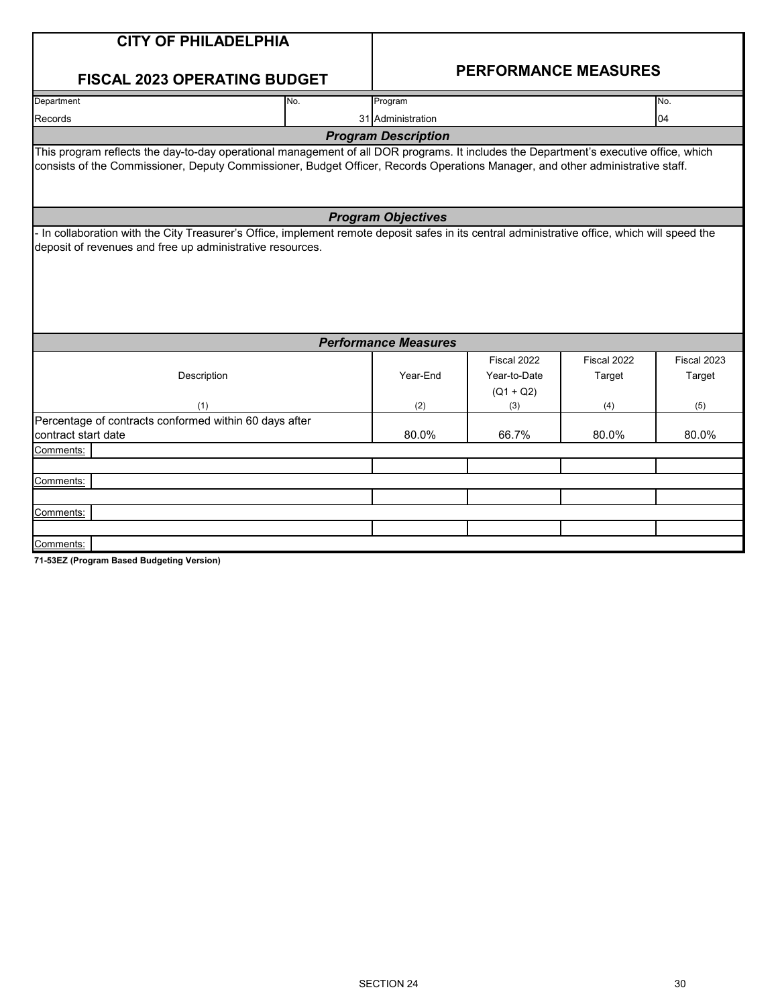| <b>CITY OF PHILADELPHIA</b>                                                                                                                                                                                                                                             |     |                             |                                                   |                              |                              |  |  |  |
|-------------------------------------------------------------------------------------------------------------------------------------------------------------------------------------------------------------------------------------------------------------------------|-----|-----------------------------|---------------------------------------------------|------------------------------|------------------------------|--|--|--|
| <b>FISCAL 2023 OPERATING BUDGET</b>                                                                                                                                                                                                                                     |     | <b>PERFORMANCE MEASURES</b> |                                                   |                              |                              |  |  |  |
| Department                                                                                                                                                                                                                                                              | No. | Program                     |                                                   |                              | No.                          |  |  |  |
| Records                                                                                                                                                                                                                                                                 |     | 31 Administration           |                                                   |                              | 04                           |  |  |  |
|                                                                                                                                                                                                                                                                         |     | <b>Program Description</b>  |                                                   |                              |                              |  |  |  |
| This program reflects the day-to-day operational management of all DOR programs. It includes the Department's executive office, which<br>consists of the Commissioner, Deputy Commissioner, Budget Officer, Records Operations Manager, and other administrative staff. |     |                             |                                                   |                              |                              |  |  |  |
| <b>Program Objectives</b>                                                                                                                                                                                                                                               |     |                             |                                                   |                              |                              |  |  |  |
| deposit of revenues and free up administrative resources.                                                                                                                                                                                                               |     |                             |                                                   |                              |                              |  |  |  |
|                                                                                                                                                                                                                                                                         |     | <b>Performance Measures</b> |                                                   |                              |                              |  |  |  |
| Description<br>(1)                                                                                                                                                                                                                                                      |     | Year-End<br>(2)             | Fiscal 2022<br>Year-to-Date<br>$(Q1 + Q2)$<br>(3) | Fiscal 2022<br>Target<br>(4) | Fiscal 2023<br>Target<br>(5) |  |  |  |
| Percentage of contracts conformed within 60 days after<br>contract start date                                                                                                                                                                                           |     | 80.0%                       | 66.7%                                             | 80.0%                        | 80.0%                        |  |  |  |
| Comments:                                                                                                                                                                                                                                                               |     |                             |                                                   |                              |                              |  |  |  |
|                                                                                                                                                                                                                                                                         |     |                             |                                                   |                              |                              |  |  |  |
| Comments:                                                                                                                                                                                                                                                               |     |                             |                                                   |                              |                              |  |  |  |
|                                                                                                                                                                                                                                                                         |     |                             |                                                   |                              |                              |  |  |  |
| Comments:                                                                                                                                                                                                                                                               |     |                             |                                                   |                              |                              |  |  |  |
|                                                                                                                                                                                                                                                                         |     |                             |                                                   |                              |                              |  |  |  |
| Comments:                                                                                                                                                                                                                                                               |     |                             |                                                   |                              |                              |  |  |  |

**71-53EZ (Program Based Budgeting Version)**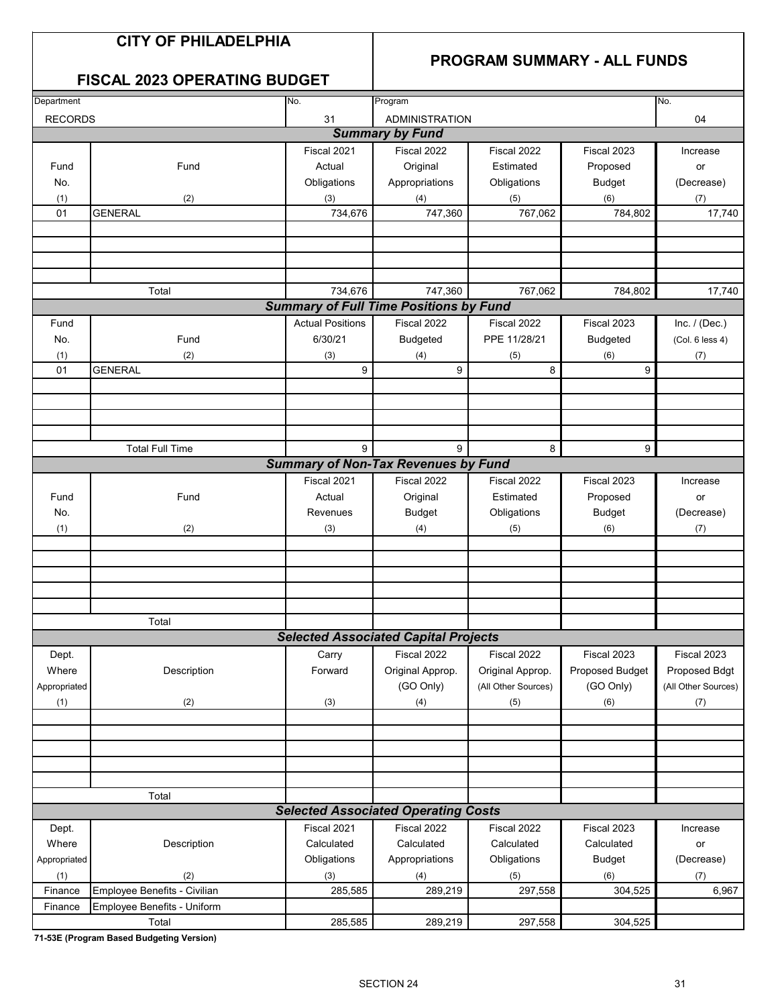## **CITY OF PHILADELPHIA**

## **PROGRAM SUMMARY - ALL FUNDS**

## **FISCAL 2023 OPERATING BUDGET**

| Department<br>No.<br>No.<br>Program        |                                     |                         |                                               |                     |                 |                     |  |  |
|--------------------------------------------|-------------------------------------|-------------------------|-----------------------------------------------|---------------------|-----------------|---------------------|--|--|
| <b>RECORDS</b>                             |                                     | 31                      | <b>ADMINISTRATION</b>                         |                     |                 | 04                  |  |  |
|                                            |                                     |                         | <b>Summary by Fund</b>                        |                     |                 |                     |  |  |
|                                            |                                     | Fiscal 2021             | Fiscal 2022                                   | Fiscal 2022         | Fiscal 2023     | Increase            |  |  |
| Fund                                       | Fund                                | Actual                  | Original                                      | Estimated           | Proposed        | or                  |  |  |
| No.                                        |                                     | Obligations             | Appropriations                                | Obligations         | <b>Budget</b>   | (Decrease)          |  |  |
| (1)                                        | (2)                                 | (3)                     | (4)                                           | (5)                 | (6)             | (7)                 |  |  |
| 01                                         | <b>GENERAL</b>                      | 734,676                 | 747,360                                       | 767,062             | 784,802         | 17,740              |  |  |
|                                            |                                     |                         |                                               |                     |                 |                     |  |  |
|                                            |                                     |                         |                                               |                     |                 |                     |  |  |
|                                            |                                     |                         |                                               |                     |                 |                     |  |  |
|                                            |                                     |                         |                                               |                     |                 |                     |  |  |
|                                            | Total                               | 734,676                 | 747,360                                       | 767,062             | 784,802         | 17,740              |  |  |
|                                            |                                     |                         | <b>Summary of Full Time Positions by Fund</b> |                     |                 |                     |  |  |
| Fund                                       |                                     | <b>Actual Positions</b> | Fiscal 2022                                   | Fiscal 2022         | Fiscal 2023     | Inc. $/$ (Dec.)     |  |  |
| No.                                        | Fund                                | 6/30/21                 | <b>Budgeted</b>                               | PPE 11/28/21        | <b>Budgeted</b> | (Col. 6 less 4)     |  |  |
| (1)                                        | (2)                                 | (3)                     | (4)                                           | (5)                 | (6)             | (7)                 |  |  |
| 01                                         | <b>GENERAL</b>                      | 9                       | 9                                             | 8                   | 9               |                     |  |  |
|                                            |                                     |                         |                                               |                     |                 |                     |  |  |
|                                            |                                     |                         |                                               |                     |                 |                     |  |  |
|                                            |                                     |                         |                                               |                     |                 |                     |  |  |
|                                            |                                     |                         |                                               |                     |                 |                     |  |  |
|                                            | <b>Total Full Time</b>              | 9                       | 9                                             | 8                   | 9               |                     |  |  |
| <b>Summary of Non-Tax Revenues by Fund</b> |                                     |                         |                                               |                     |                 |                     |  |  |
|                                            |                                     | Fiscal 2021             | Fiscal 2022                                   | Fiscal 2022         | Fiscal 2023     | Increase            |  |  |
| Fund                                       | Fund                                | Actual                  | Original                                      | Estimated           | Proposed        | or                  |  |  |
| No.                                        |                                     | Revenues                | <b>Budget</b>                                 | Obligations         | <b>Budget</b>   | (Decrease)          |  |  |
| (1)                                        | (2)                                 | (3)                     | (4)                                           | (5)                 | (6)             | (7)                 |  |  |
|                                            |                                     |                         |                                               |                     |                 |                     |  |  |
|                                            |                                     |                         |                                               |                     |                 |                     |  |  |
|                                            |                                     |                         |                                               |                     |                 |                     |  |  |
|                                            |                                     |                         |                                               |                     |                 |                     |  |  |
|                                            |                                     |                         |                                               |                     |                 |                     |  |  |
|                                            | Total                               |                         |                                               |                     |                 |                     |  |  |
|                                            |                                     |                         | <b>Selected Associated Capital Projects</b>   |                     |                 |                     |  |  |
| Dept.                                      |                                     | Carry                   | Fiscal 2022                                   | Fiscal 2022         | Fiscal 2023     | Fiscal 2023         |  |  |
| Where                                      | Description                         | Forward                 | Original Approp.                              | Original Approp.    | Proposed Budget | Proposed Bdgt       |  |  |
| Appropriated                               |                                     |                         | (GO Only)                                     | (All Other Sources) | (GO Only)       | (All Other Sources) |  |  |
| (1)                                        | (2)                                 | (3)                     | (4)                                           | (5)                 | (6)             | (7)                 |  |  |
|                                            |                                     |                         |                                               |                     |                 |                     |  |  |
|                                            |                                     |                         |                                               |                     |                 |                     |  |  |
|                                            |                                     |                         |                                               |                     |                 |                     |  |  |
|                                            |                                     |                         |                                               |                     |                 |                     |  |  |
|                                            | Total                               |                         |                                               |                     |                 |                     |  |  |
|                                            |                                     |                         | <b>Selected Associated Operating Costs</b>    |                     |                 |                     |  |  |
|                                            |                                     | Fiscal 2021             | Fiscal 2022                                   |                     |                 |                     |  |  |
| Dept.                                      |                                     |                         | Calculated                                    | Fiscal 2022         | Fiscal 2023     | Increase            |  |  |
| Where                                      | Description                         | Calculated              |                                               | Calculated          | Calculated      | or                  |  |  |
| Appropriated                               |                                     | Obligations             | Appropriations                                | Obligations         | <b>Budget</b>   | (Decrease)          |  |  |
| (1)<br>Finance                             | (2)<br>Employee Benefits - Civilian | (3)                     | (4)                                           | (5)                 | (6)             | (7)                 |  |  |
|                                            | Employee Benefits - Uniform         | 285,585                 | 289,219                                       | 297,558             | 304,525         | 6,967               |  |  |
| Finance                                    | Total                               | 285,585                 | 289,219                                       | 297,558             | 304,525         |                     |  |  |
|                                            |                                     |                         |                                               |                     |                 |                     |  |  |

**71-53E (Program Based Budgeting Version)**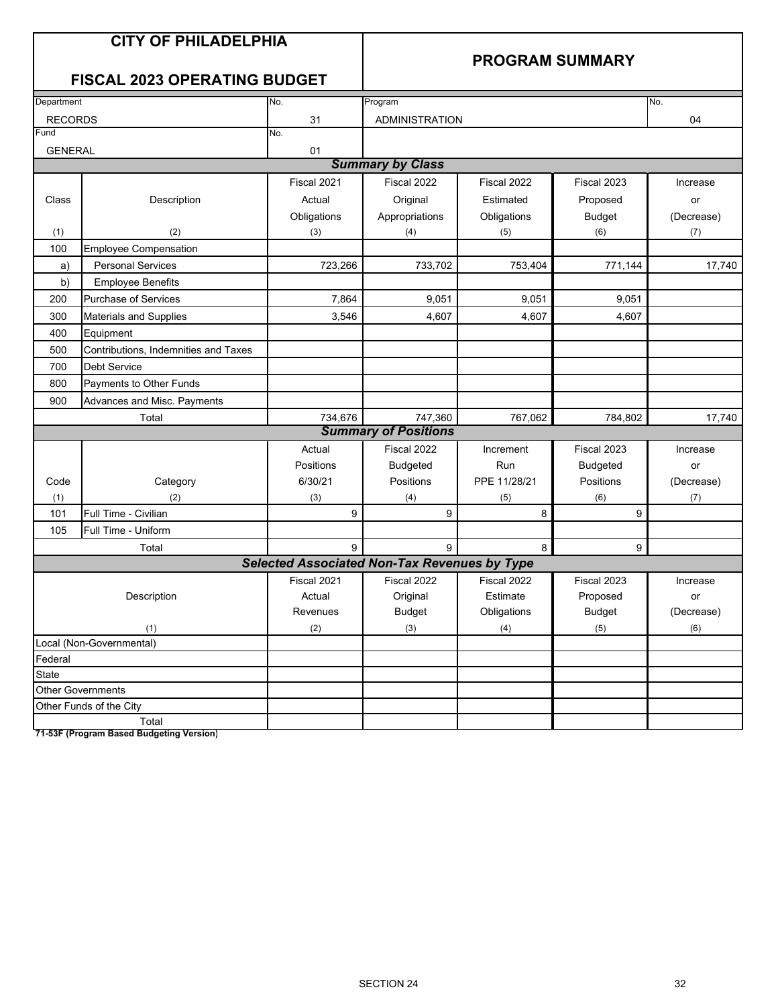## **CITY OF PHILADELPHIA**

## **PROGRAM SUMMARY**

## **FISCAL 2023 OPERATING BUDGET**

| Department     |                                      | No.                                                 | Program                     |              |                 | No.        |
|----------------|--------------------------------------|-----------------------------------------------------|-----------------------------|--------------|-----------------|------------|
| <b>RECORDS</b> |                                      | 31                                                  | ADMINISTRATION              |              |                 | 04         |
| Fund           |                                      | No.                                                 |                             |              |                 |            |
| <b>GENERAL</b> |                                      | 01                                                  |                             |              |                 |            |
|                |                                      |                                                     | <b>Summary by Class</b>     |              |                 |            |
|                |                                      | Fiscal 2021                                         | Fiscal 2022                 | Fiscal 2022  | Fiscal 2023     | Increase   |
| Class          | Description                          | Actual                                              | Original                    | Estimated    | Proposed        | or         |
|                |                                      | Obligations                                         | Appropriations              | Obligations  | <b>Budget</b>   | (Decrease) |
| (1)            | (2)                                  | (3)                                                 | (4)                         | (5)          | (6)             | (7)        |
| 100            | <b>Employee Compensation</b>         |                                                     |                             |              |                 |            |
| a)             | <b>Personal Services</b>             | 723,266                                             | 733,702                     | 753,404      | 771,144         | 17,740     |
| b)             | <b>Employee Benefits</b>             |                                                     |                             |              |                 |            |
| 200            | <b>Purchase of Services</b>          | 7,864                                               | 9,051                       | 9,051        | 9,051           |            |
| 300            | <b>Materials and Supplies</b>        | 3,546                                               | 4,607                       | 4,607        | 4,607           |            |
| 400            | Equipment                            |                                                     |                             |              |                 |            |
| 500            | Contributions, Indemnities and Taxes |                                                     |                             |              |                 |            |
| 700            | <b>Debt Service</b>                  |                                                     |                             |              |                 |            |
| 800            | Payments to Other Funds              |                                                     |                             |              |                 |            |
| 900            | Advances and Misc. Payments          |                                                     |                             |              |                 |            |
|                | Total                                | 734,676                                             | 747,360                     | 767,062      | 784,802         | 17,740     |
|                |                                      |                                                     | <b>Summary of Positions</b> |              |                 |            |
|                |                                      | Actual                                              | Fiscal 2022                 | Increment    | Fiscal 2023     | Increase   |
|                |                                      | Positions                                           | <b>Budgeted</b>             | Run          | <b>Budgeted</b> | or         |
| Code           | Category                             | 6/30/21                                             | Positions                   | PPE 11/28/21 | Positions       | (Decrease) |
| (1)            | (2)                                  | (3)                                                 | (4)                         | (5)          | (6)             | (7)        |
| 101            | Full Time - Civilian                 | 9                                                   | 9                           | 8            | 9               |            |
| 105            | Full Time - Uniform                  |                                                     |                             |              |                 |            |
|                | Total                                | 9                                                   | 9                           | 8            | 9               |            |
|                |                                      | <b>Selected Associated Non-Tax Revenues by Type</b> |                             |              |                 |            |
|                |                                      | Fiscal 2021                                         | Fiscal 2022                 | Fiscal 2022  | Fiscal 2023     | Increase   |
|                | Description                          | Actual                                              | Original                    | Estimate     | Proposed        | or         |
|                |                                      | Revenues                                            | <b>Budget</b>               | Obligations  | <b>Budget</b>   | (Decrease) |
|                | (1)                                  | (2)                                                 | (3)                         | (4)          | (5)             | (6)        |
|                | Local (Non-Governmental)             |                                                     |                             |              |                 |            |
| Federal        |                                      |                                                     |                             |              |                 |            |
| State          |                                      |                                                     |                             |              |                 |            |
|                | <b>Other Governments</b>             |                                                     |                             |              |                 |            |
|                | Other Funds of the City              |                                                     |                             |              |                 |            |
|                | Total                                |                                                     |                             |              |                 |            |

**71-53F (Program Based Budgeting Version)**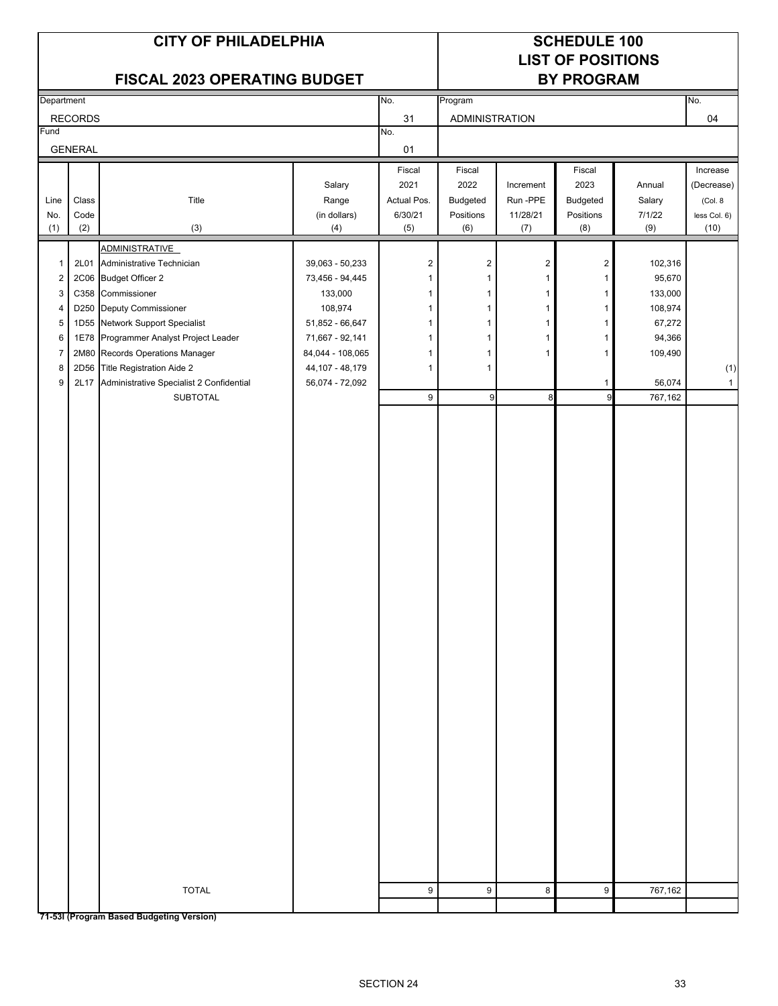## **LIST OF POSITIONS FISCAL 2023 OPERATING BUDGET BY PROGRAM**

|                |                | <b>FISCAL 2023 OPERATING BUDGET</b>                |                   |                | <b>BY PROGRAM</b>     |                         |                |         |                       |
|----------------|----------------|----------------------------------------------------|-------------------|----------------|-----------------------|-------------------------|----------------|---------|-----------------------|
| Department     |                |                                                    |                   | No.            | Program               |                         |                |         | No.                   |
|                | <b>RECORDS</b> |                                                    |                   | 31             | <b>ADMINISTRATION</b> |                         |                |         | 04                    |
| Fund           |                |                                                    |                   | No.            |                       |                         |                |         |                       |
|                | <b>GENERAL</b> |                                                    |                   | $01\,$         |                       |                         |                |         |                       |
|                |                |                                                    |                   | Fiscal         | Fiscal                |                         | Fiscal         |         | Increase              |
|                |                |                                                    | Salary            | 2021           | 2022                  | Increment               | 2023           | Annual  |                       |
| Line           | Class          | Title                                              | Range             | Actual Pos.    | Budgeted              | Run-PPE                 | Budgeted       | Salary  | (Decrease)<br>(Col. 8 |
| No.            | Code           |                                                    | (in dollars)      | 6/30/21        | Positions             | 11/28/21                | Positions      | 7/1/22  | less Col. 6)          |
| (1)            | (2)            | $(3)$                                              | (4)               | (5)            | (6)                   | (7)                     | (8)            | (9)     | (10)                  |
|                |                |                                                    |                   |                |                       |                         |                |         |                       |
| $\mathbf{1}$   | 2L01           | <b>ADMINISTRATIVE</b><br>Administrative Technician | 39,063 - 50,233   | $\overline{c}$ | $\sqrt{2}$            | $\overline{\mathbf{c}}$ | $\overline{2}$ | 102,316 |                       |
| $\overline{c}$ |                | 2C06 Budget Officer 2                              | 73,456 - 94,445   | $\mathbf{1}$   | $\mathbf{1}$          | $\mathbf{1}$            | $\mathbf{1}$   | 95,670  |                       |
| 3              |                | C358 Commissioner                                  | 133,000           | $\mathbf{1}$   | $\mathbf{1}$          | 1                       | 1              | 133,000 |                       |
|                |                |                                                    |                   |                |                       |                         |                |         |                       |
| $\overline{4}$ | D250           | Deputy Commissioner                                | 108,974           | $\mathbf{1}$   | $\mathbf{1}$          | 1                       | 1              | 108,974 |                       |
| 5              | 1D55           | Network Support Specialist                         | $51,852 - 66,647$ | $\mathbf{1}$   | $\mathbf{1}$          | 1                       | 1              | 67,272  |                       |
| 6              | 1E78           | Programmer Analyst Project Leader                  | 71,667 - 92,141   | $\mathbf{1}$   | $\mathbf 1$           | 1                       | $\mathbf{1}$   | 94,366  |                       |
| $\overline{7}$ | 2M80           | Records Operations Manager                         | 84,044 - 108,065  | $\mathbf{1}$   | 1                     | 1                       | 1              | 109,490 |                       |
| 8              |                | 2D56 Title Registration Aide 2                     | 44,107 - 48,179   | $\mathbf{1}$   | $\mathbf{1}$          |                         |                |         | (1)                   |
| 9              | 2L17           | Administrative Specialist 2 Confidential           | 56,074 - 72,092   |                |                       |                         | 1              | 56,074  | $\mathbf{1}$          |
|                |                | SUBTOTAL                                           |                   | 9              | $\boldsymbol{9}$      | 8                       | 9              | 767,162 |                       |
|                |                |                                                    |                   |                |                       |                         |                |         |                       |
|                |                |                                                    |                   |                |                       |                         |                |         |                       |
|                |                |                                                    |                   |                |                       |                         |                |         |                       |
|                |                |                                                    |                   |                |                       |                         |                |         |                       |
|                |                |                                                    |                   |                |                       |                         |                |         |                       |
|                |                |                                                    |                   |                |                       |                         |                |         |                       |
|                |                |                                                    |                   |                |                       |                         |                |         |                       |
|                |                |                                                    |                   |                |                       |                         |                |         |                       |
|                |                |                                                    |                   |                |                       |                         |                |         |                       |
|                |                |                                                    |                   |                |                       |                         |                |         |                       |
|                |                |                                                    |                   |                |                       |                         |                |         |                       |
|                |                |                                                    |                   |                |                       |                         |                |         |                       |
|                |                |                                                    |                   |                |                       |                         |                |         |                       |
|                |                |                                                    |                   |                |                       |                         |                |         |                       |
|                |                |                                                    |                   |                |                       |                         |                |         |                       |
|                |                |                                                    |                   |                |                       |                         |                |         |                       |
|                |                |                                                    |                   |                |                       |                         |                |         |                       |
|                |                |                                                    |                   |                |                       |                         |                |         |                       |
|                |                |                                                    |                   |                |                       |                         |                |         |                       |
|                |                | <b>TOTAL</b>                                       |                   | 9              | 9                     | 8                       | 9              | 767,162 |                       |
|                |                |                                                    |                   |                |                       |                         |                |         |                       |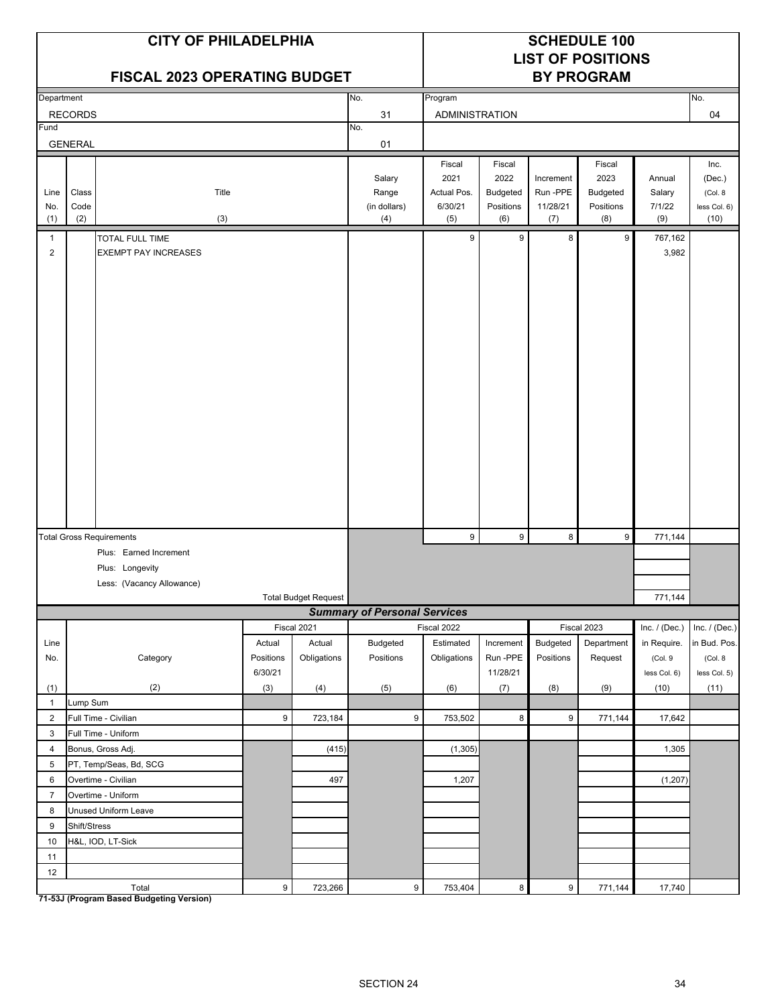|                     |                      | <b>CITY OF PHILADELPHIA</b><br><b>FISCAL 2023 OPERATING BUDGET</b> |                      |                       |                                        | <b>SCHEDULE 100</b><br><b>LIST OF POSITIONS</b><br><b>BY PROGRAM</b> |                                                |                                          |                                                |                                   |                                                    |
|---------------------|----------------------|--------------------------------------------------------------------|----------------------|-----------------------|----------------------------------------|----------------------------------------------------------------------|------------------------------------------------|------------------------------------------|------------------------------------------------|-----------------------------------|----------------------------------------------------|
| Department          |                      |                                                                    |                      |                       | No.                                    | Program                                                              |                                                |                                          |                                                |                                   | No.                                                |
|                     | <b>RECORDS</b>       |                                                                    |                      |                       | 31                                     | ADMINISTRATION                                                       |                                                |                                          |                                                |                                   | 04                                                 |
| Fund                |                      |                                                                    |                      |                       | No.                                    |                                                                      |                                                |                                          |                                                |                                   |                                                    |
|                     | <b>GENERAL</b>       |                                                                    |                      |                       | 01                                     |                                                                      |                                                |                                          |                                                |                                   |                                                    |
| Line<br>No.<br>(1)  | Class<br>Code<br>(2) | Title<br>(3)                                                       |                      |                       | Salary<br>Range<br>(in dollars)<br>(4) | Fiscal<br>2021<br>Actual Pos.<br>6/30/21<br>(5)                      | Fiscal<br>2022<br>Budgeted<br>Positions<br>(6) | Increment<br>Run -PPE<br>11/28/21<br>(7) | Fiscal<br>2023<br>Budgeted<br>Positions<br>(8) | Annual<br>Salary<br>7/1/22<br>(9) | Inc.<br>(Dec.)<br>(Col. 8)<br>less Col. 6)<br>(10) |
| $\mathbf{1}$        |                      | <b>TOTAL FULL TIME</b>                                             |                      |                       |                                        | 9                                                                    | 9                                              | 8                                        | 9                                              | 767,162                           |                                                    |
| $\overline{2}$      |                      | <b>EXEMPT PAY INCREASES</b>                                        |                      |                       |                                        |                                                                      |                                                |                                          |                                                | 3,982                             |                                                    |
|                     |                      | <b>Total Gross Requirements</b>                                    |                      |                       |                                        | 9                                                                    | 9                                              | 8                                        | $\boldsymbol{9}$                               | 771,144                           |                                                    |
|                     |                      | Plus: Earned Increment                                             |                      |                       |                                        |                                                                      |                                                |                                          |                                                |                                   |                                                    |
|                     |                      | Plus: Longevity                                                    |                      |                       |                                        |                                                                      |                                                |                                          |                                                |                                   |                                                    |
|                     |                      | Less: (Vacancy Allowance)                                          |                      |                       |                                        |                                                                      |                                                |                                          |                                                |                                   |                                                    |
|                     |                      |                                                                    |                      | Total Budget Request  |                                        |                                                                      |                                                |                                          |                                                | 771,144                           |                                                    |
|                     |                      |                                                                    |                      |                       | <b>Summary of Personal Services</b>    |                                                                      |                                                |                                          |                                                |                                   |                                                    |
| Line                |                      |                                                                    | Actual               | Fiscal 2021<br>Actual | <b>Budgeted</b>                        | Fiscal 2022<br>Estimated                                             | Increment                                      | Budgeted                                 | Fiscal 2023<br>Department                      | Inc. $/$ (Dec.)<br>in Require.    | Inc. $/$ (Dec.)<br>in Bud. Pos.                    |
| No.                 |                      | Category                                                           | Positions<br>6/30/21 | Obligations           | Positions                              | Obligations                                                          | Run-PPE<br>11/28/21                            | Positions                                | Request                                        | (Col. 9<br>less Col. 6)           | (Col. 8<br>less Col. 5)                            |
| (1)                 |                      | (2)                                                                | (3)                  | (4)                   | (5)                                    | (6)                                                                  | (7)                                            | (8)                                      | (9)                                            | (10)                              | (11)                                               |
| $\mathbf{1}$        | Lump Sum             |                                                                    |                      |                       |                                        |                                                                      |                                                |                                          |                                                |                                   |                                                    |
| $\overline{2}$      |                      | Full Time - Civilian                                               | 9                    | 723,184               | 9                                      | 753,502                                                              | 8                                              | 9                                        | 771,144                                        | 17,642                            |                                                    |
| 3                   |                      | Full Time - Uniform                                                |                      |                       |                                        |                                                                      |                                                |                                          |                                                |                                   |                                                    |
| $\overline{4}$      |                      | Bonus, Gross Adj.                                                  |                      | (415)                 |                                        | (1, 305)                                                             |                                                |                                          |                                                | 1,305                             |                                                    |
| 5                   |                      | PT, Temp/Seas, Bd, SCG                                             |                      |                       |                                        |                                                                      |                                                |                                          |                                                |                                   |                                                    |
| 6<br>$\overline{7}$ |                      | Overtime - Civilian<br>Overtime - Uniform                          |                      | 497                   |                                        | 1,207                                                                |                                                |                                          |                                                | (1, 207)                          |                                                    |
| 8                   |                      | Unused Uniform Leave                                               |                      |                       |                                        |                                                                      |                                                |                                          |                                                |                                   |                                                    |
| 9                   | Shift/Stress         |                                                                    |                      |                       |                                        |                                                                      |                                                |                                          |                                                |                                   |                                                    |
| $10$                |                      | H&L, IOD, LT-Sick                                                  |                      |                       |                                        |                                                                      |                                                |                                          |                                                |                                   |                                                    |
| 11                  |                      |                                                                    |                      |                       |                                        |                                                                      |                                                |                                          |                                                |                                   |                                                    |
| 12                  |                      |                                                                    |                      |                       |                                        |                                                                      |                                                |                                          |                                                |                                   |                                                    |
|                     |                      | Total                                                              | $\boldsymbol{9}$     | 723,266               | $\boldsymbol{9}$                       | 753,404                                                              | $\bf 8$                                        | $\boldsymbol{9}$                         | 771,144                                        | 17,740                            |                                                    |

**71-53J (Program Based Budgeting Version)**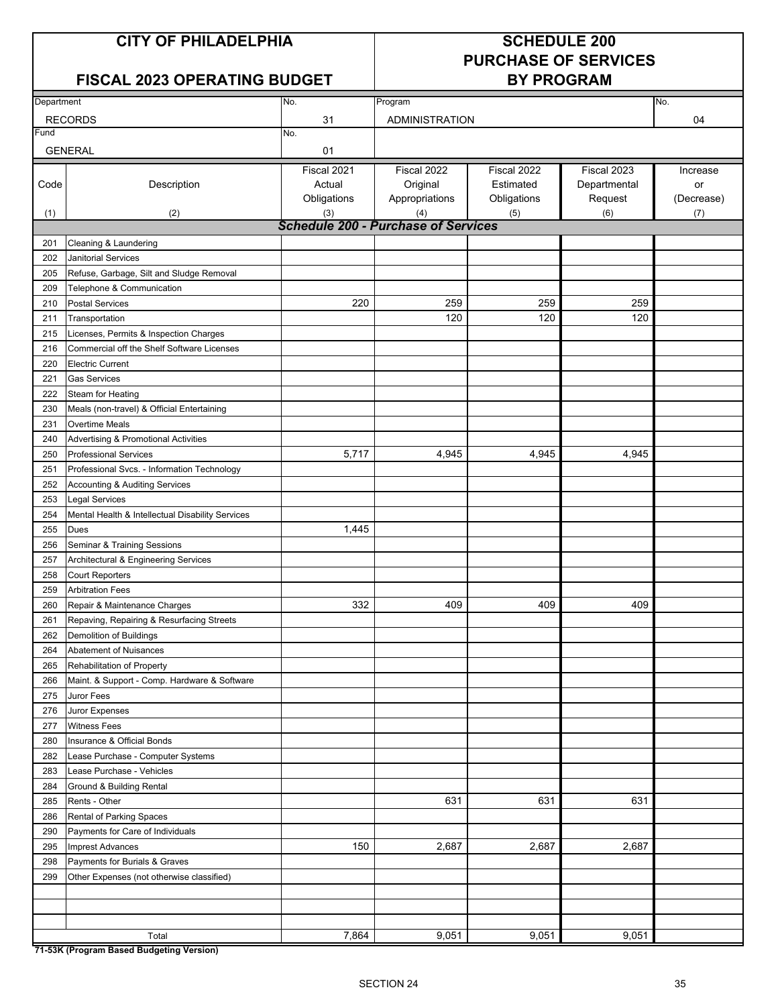## **FISCAL 2023 OPERATING BUDGET BY PROGRAM**

# **PURCHASE OF SERVICES**

| Department |                                                  | No.                                        | Program               |             |              | No.        |
|------------|--------------------------------------------------|--------------------------------------------|-----------------------|-------------|--------------|------------|
|            | <b>RECORDS</b>                                   | 31                                         | <b>ADMINISTRATION</b> |             |              | 04         |
| Fund       |                                                  | No.                                        |                       |             |              |            |
|            | <b>GENERAL</b>                                   | 01                                         |                       |             |              |            |
|            |                                                  | Fiscal 2021                                | Fiscal 2022           | Fiscal 2022 | Fiscal 2023  | Increase   |
| Code       | Description                                      | Actual                                     | Original              | Estimated   | Departmental | or         |
|            |                                                  | Obligations                                | Appropriations        | Obligations | Request      | (Decrease) |
| (1)        | (2)                                              | (3)                                        | (4)                   | (5)         | (6)          | (7)        |
|            |                                                  | <b>Schedule 200 - Purchase of Services</b> |                       |             |              |            |
| 201        | Cleaning & Laundering                            |                                            |                       |             |              |            |
| 202        | <b>Janitorial Services</b>                       |                                            |                       |             |              |            |
| 205        | Refuse, Garbage, Silt and Sludge Removal         |                                            |                       |             |              |            |
| 209        | Telephone & Communication                        |                                            |                       |             |              |            |
| 210        | <b>Postal Services</b>                           | 220                                        | 259                   | 259         | 259          |            |
| 211        | Transportation                                   |                                            | 120                   | 120         | 120          |            |
| 215        | Licenses, Permits & Inspection Charges           |                                            |                       |             |              |            |
| 216        | Commercial off the Shelf Software Licenses       |                                            |                       |             |              |            |
| 220        | <b>Electric Current</b>                          |                                            |                       |             |              |            |
| 221        | <b>Gas Services</b>                              |                                            |                       |             |              |            |
| 222        | Steam for Heating                                |                                            |                       |             |              |            |
| 230        | Meals (non-travel) & Official Entertaining       |                                            |                       |             |              |            |
| 231        | Overtime Meals                                   |                                            |                       |             |              |            |
| 240        | <b>Advertising &amp; Promotional Activities</b>  |                                            |                       |             |              |            |
| 250        | <b>Professional Services</b>                     | 5,717                                      | 4,945                 | 4,945       | 4,945        |            |
| 251        | Professional Svcs. - Information Technology      |                                            |                       |             |              |            |
| 252        | Accounting & Auditing Services                   |                                            |                       |             |              |            |
| 253        | <b>Legal Services</b>                            |                                            |                       |             |              |            |
| 254        | Mental Health & Intellectual Disability Services |                                            |                       |             |              |            |
| 255        | Dues                                             | 1,445                                      |                       |             |              |            |
| 256        | Seminar & Training Sessions                      |                                            |                       |             |              |            |
| 257        | Architectural & Engineering Services             |                                            |                       |             |              |            |
| 258        | <b>Court Reporters</b>                           |                                            |                       |             |              |            |
| 259        | <b>Arbitration Fees</b>                          |                                            |                       |             |              |            |
| 260        | Repair & Maintenance Charges                     | 332                                        | 409                   | 409         | 409          |            |
| 261        | Repaving, Repairing & Resurfacing Streets        |                                            |                       |             |              |            |
| 262        | Demolition of Buildings                          |                                            |                       |             |              |            |
| 264        | Abatement of Nuisances                           |                                            |                       |             |              |            |
| 265        | Rehabilitation of Property                       |                                            |                       |             |              |            |
| 266        | Maint. & Support - Comp. Hardware & Software     |                                            |                       |             |              |            |
| 275        | Juror Fees                                       |                                            |                       |             |              |            |
| 276        | Juror Expenses                                   |                                            |                       |             |              |            |
| 277        | <b>Witness Fees</b>                              |                                            |                       |             |              |            |
| 280        | Insurance & Official Bonds                       |                                            |                       |             |              |            |
| 282        | Lease Purchase - Computer Systems                |                                            |                       |             |              |            |
| 283        | Lease Purchase - Vehicles                        |                                            |                       |             |              |            |
| 284        | Ground & Building Rental                         |                                            |                       |             |              |            |
| 285        | Rents - Other                                    |                                            | 631                   | 631         | 631          |            |
| 286        | Rental of Parking Spaces                         |                                            |                       |             |              |            |
| 290        | Payments for Care of Individuals                 |                                            |                       |             |              |            |
| 295        | Imprest Advances                                 | 150                                        | 2,687                 | 2,687       | 2,687        |            |
| 298        | Payments for Burials & Graves                    |                                            |                       |             |              |            |
| 299        | Other Expenses (not otherwise classified)        |                                            |                       |             |              |            |
|            |                                                  |                                            |                       |             |              |            |
|            |                                                  |                                            |                       |             |              |            |
|            | Total                                            | 7,864                                      | 9,051                 | 9,051       | 9,051        |            |
|            |                                                  |                                            |                       |             |              |            |

**71-53K (Program Based Budgeting Version)**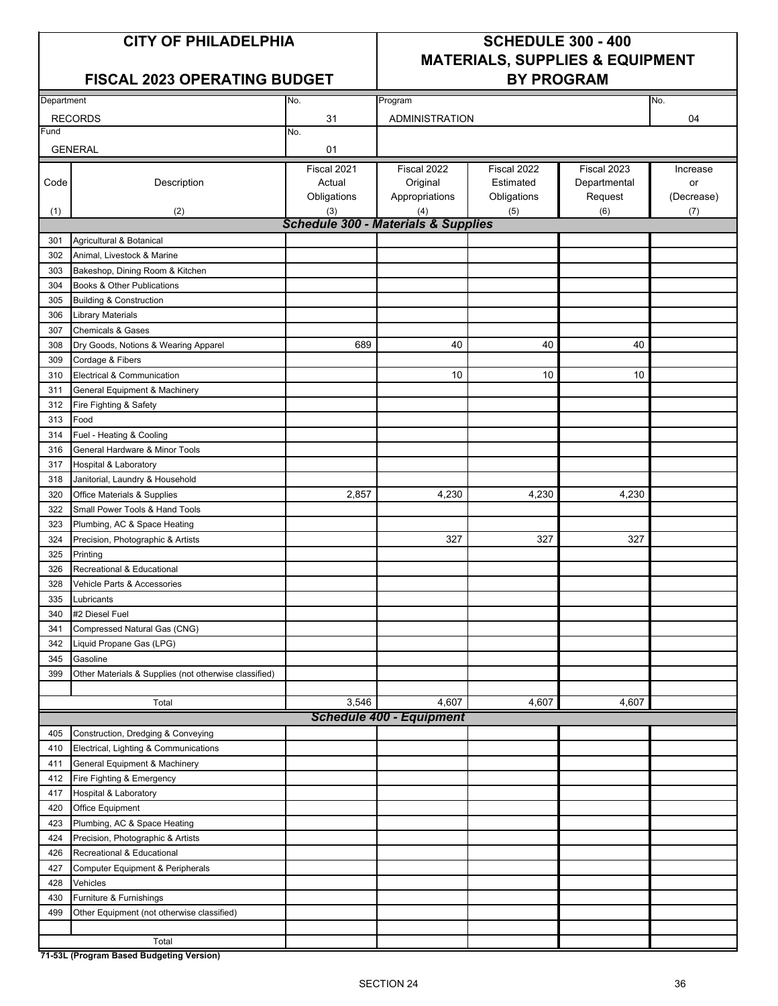### FISCAL 2023 OPERATING BUDGET | BY PROGRAM

## **CITY OF PHILADELPHIA SCHEDULE 300 - 400 MATERIALS, SUPPLIES & EQUIPMENT**

| Department |                                                       | No.                                            | Program                         |             |              | No.        |
|------------|-------------------------------------------------------|------------------------------------------------|---------------------------------|-------------|--------------|------------|
|            |                                                       |                                                |                                 |             |              |            |
|            | <b>RECORDS</b>                                        | 31                                             | <b>ADMINISTRATION</b>           |             |              | 04         |
| Fund       |                                                       | No.                                            |                                 |             |              |            |
|            | <b>GENERAL</b>                                        | 01                                             |                                 |             |              |            |
|            |                                                       | Fiscal 2021                                    | Fiscal 2022                     | Fiscal 2022 | Fiscal 2023  | Increase   |
| Code       | Description                                           | Actual                                         | Original                        | Estimated   | Departmental | or         |
|            |                                                       | Obligations                                    | Appropriations                  | Obligations | Request      | (Decrease) |
| (1)        | (2)                                                   | (3)                                            | (4)                             | (5)         | (6)          | (7)        |
|            |                                                       | <b>Schedule 300 - Materials &amp; Supplies</b> |                                 |             |              |            |
| 301        | Agricultural & Botanical                              |                                                |                                 |             |              |            |
| 302        | Animal, Livestock & Marine                            |                                                |                                 |             |              |            |
| 303        | Bakeshop, Dining Room & Kitchen                       |                                                |                                 |             |              |            |
| 304        | Books & Other Publications                            |                                                |                                 |             |              |            |
| 305        | <b>Building &amp; Construction</b>                    |                                                |                                 |             |              |            |
| 306        | <b>Library Materials</b>                              |                                                |                                 |             |              |            |
| 307        | <b>Chemicals &amp; Gases</b>                          |                                                |                                 |             |              |            |
| 308        | Dry Goods, Notions & Wearing Apparel                  | 689                                            | 40                              | 40          | 40           |            |
| 309        | Cordage & Fibers                                      |                                                |                                 |             |              |            |
| 310        | Electrical & Communication                            |                                                | 10                              | 10          | 10           |            |
| 311        | General Equipment & Machinery                         |                                                |                                 |             |              |            |
| 312        | Fire Fighting & Safety                                |                                                |                                 |             |              |            |
| 313        | Food                                                  |                                                |                                 |             |              |            |
| 314        | Fuel - Heating & Cooling                              |                                                |                                 |             |              |            |
| 316        | General Hardware & Minor Tools                        |                                                |                                 |             |              |            |
| 317        | <b>Hospital &amp; Laboratory</b>                      |                                                |                                 |             |              |            |
| 318        | Janitorial, Laundry & Household                       |                                                |                                 |             |              |            |
| 320        | Office Materials & Supplies                           | 2,857                                          | 4,230                           | 4,230       | 4,230        |            |
| 322        | Small Power Tools & Hand Tools                        |                                                |                                 |             |              |            |
| 323        | Plumbing, AC & Space Heating                          |                                                |                                 |             |              |            |
| 324        | Precision, Photographic & Artists                     |                                                | 327                             | 327         | 327          |            |
| 325        | Printing                                              |                                                |                                 |             |              |            |
| 326        | Recreational & Educational                            |                                                |                                 |             |              |            |
| 328        | Vehicle Parts & Accessories                           |                                                |                                 |             |              |            |
| 335        | Lubricants                                            |                                                |                                 |             |              |            |
| 340        | #2 Diesel Fuel                                        |                                                |                                 |             |              |            |
| 341        | Compressed Natural Gas (CNG)                          |                                                |                                 |             |              |            |
| 342        | Liquid Propane Gas (LPG)                              |                                                |                                 |             |              |            |
| 345        | Gasoline                                              |                                                |                                 |             |              |            |
| 399        | Other Materials & Supplies (not otherwise classified) |                                                |                                 |             |              |            |
|            |                                                       |                                                |                                 |             |              |            |
|            | Total                                                 | 3,546                                          | 4,607                           | 4,607       | 4,607        |            |
|            |                                                       |                                                | <b>Schedule 400 - Equipment</b> |             |              |            |
| 405        | Construction, Dredging & Conveying                    |                                                |                                 |             |              |            |
| 410        | Electrical, Lighting & Communications                 |                                                |                                 |             |              |            |
| 411        | General Equipment & Machinery                         |                                                |                                 |             |              |            |
| 412        | Fire Fighting & Emergency                             |                                                |                                 |             |              |            |
| 417        | Hospital & Laboratory                                 |                                                |                                 |             |              |            |
| 420        | <b>Office Equipment</b>                               |                                                |                                 |             |              |            |
| 423        | Plumbing, AC & Space Heating                          |                                                |                                 |             |              |            |
| 424        | Precision, Photographic & Artists                     |                                                |                                 |             |              |            |
| 426        | Recreational & Educational                            |                                                |                                 |             |              |            |
| 427        | Computer Equipment & Peripherals                      |                                                |                                 |             |              |            |
| 428        | Vehicles                                              |                                                |                                 |             |              |            |
| 430        | Furniture & Furnishings                               |                                                |                                 |             |              |            |
| 499        | Other Equipment (not otherwise classified)            |                                                |                                 |             |              |            |
|            |                                                       |                                                |                                 |             |              |            |
|            | Total                                                 |                                                |                                 |             |              |            |

**71-53L (Program Based Budgeting Version)**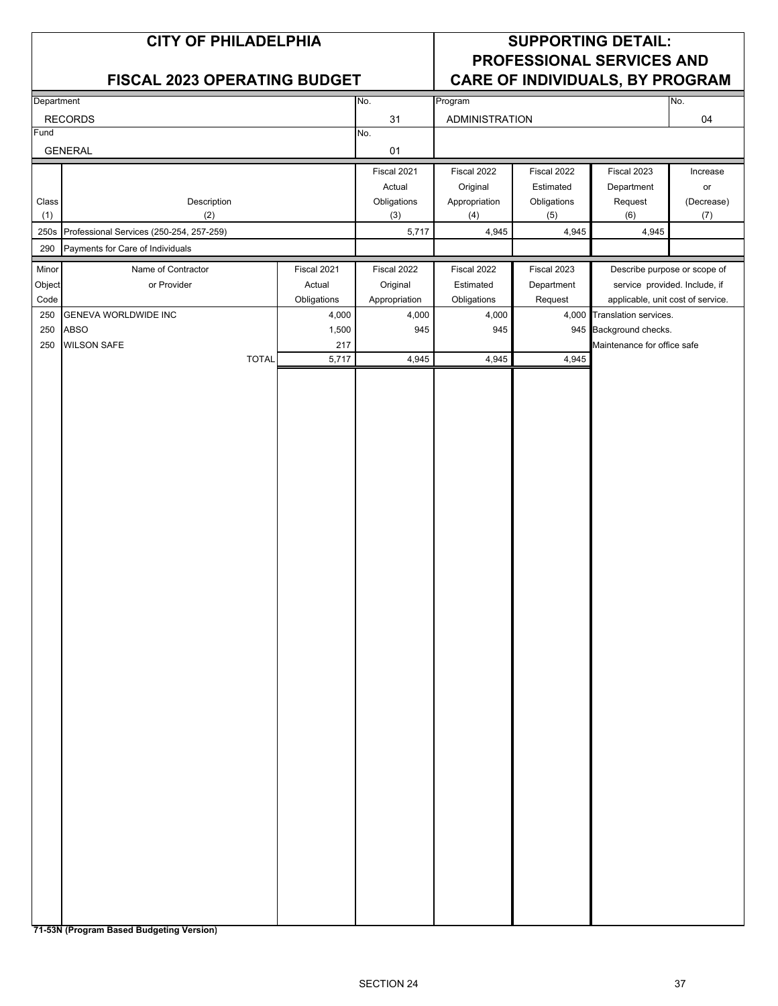|                | <b>CITY OF PHILADELPHIA</b><br><b>FISCAL 2023 OPERATING BUDGET</b> |              | <b>SUPPORTING DETAIL:</b><br><b>PROFESSIONAL SERVICES AND</b><br>CARE OF INDIVIDUALS, BY PROGRAM |                           |                          |                       |                                                                    |            |
|----------------|--------------------------------------------------------------------|--------------|--------------------------------------------------------------------------------------------------|---------------------------|--------------------------|-----------------------|--------------------------------------------------------------------|------------|
| Department     |                                                                    |              |                                                                                                  | No.                       | Program                  |                       |                                                                    | No.        |
|                | <b>RECORDS</b>                                                     |              |                                                                                                  | 31                        | <b>ADMINISTRATION</b>    |                       |                                                                    | 04         |
| Fund           |                                                                    |              |                                                                                                  | No.                       |                          |                       |                                                                    |            |
|                | <b>GENERAL</b>                                                     |              |                                                                                                  | 01                        |                          |                       |                                                                    |            |
|                |                                                                    |              |                                                                                                  | Fiscal 2021               | Fiscal 2022              | Fiscal 2022           | Fiscal 2023                                                        | Increase   |
|                |                                                                    |              |                                                                                                  | Actual                    | Original                 | Estimated             | Department                                                         | or         |
| Class          | Description                                                        |              |                                                                                                  | Obligations               | Appropriation            | Obligations           | Request                                                            | (Decrease) |
| (1)            | (2)                                                                |              |                                                                                                  | (3)                       | (4)                      | (5)                   | (6)                                                                | (7)        |
| 250s<br>290    | Professional Services (250-254, 257-259)                           |              |                                                                                                  | 5,717                     | 4,945                    | 4,945                 | 4,945                                                              |            |
|                | Payments for Care of Individuals                                   |              |                                                                                                  |                           |                          |                       |                                                                    |            |
| Minor          | Name of Contractor                                                 |              | Fiscal 2021                                                                                      | Fiscal 2022               | Fiscal 2022              | Fiscal 2023           | Describe purpose or scope of                                       |            |
| Object<br>Code | or Provider                                                        |              | Actual<br>Obligations                                                                            | Original<br>Appropriation | Estimated<br>Obligations | Department<br>Request | service provided. Include, if<br>applicable, unit cost of service. |            |
| 250            | <b>GENEVA WORLDWIDE INC</b>                                        |              | 4,000                                                                                            | 4,000                     | 4,000                    |                       | 4,000 Translation services.                                        |            |
| 250            | <b>ABSO</b>                                                        |              | 1,500                                                                                            | 945                       | 945                      |                       | 945 Background checks.                                             |            |
| 250            | <b>WILSON SAFE</b>                                                 |              | 217                                                                                              |                           |                          |                       | Maintenance for office safe                                        |            |
|                |                                                                    | <b>TOTAL</b> | 5,717                                                                                            | 4,945                     | 4,945                    | 4,945                 |                                                                    |            |
|                |                                                                    |              |                                                                                                  |                           |                          |                       |                                                                    |            |

**71-53N (Program Based Budgeting Version)**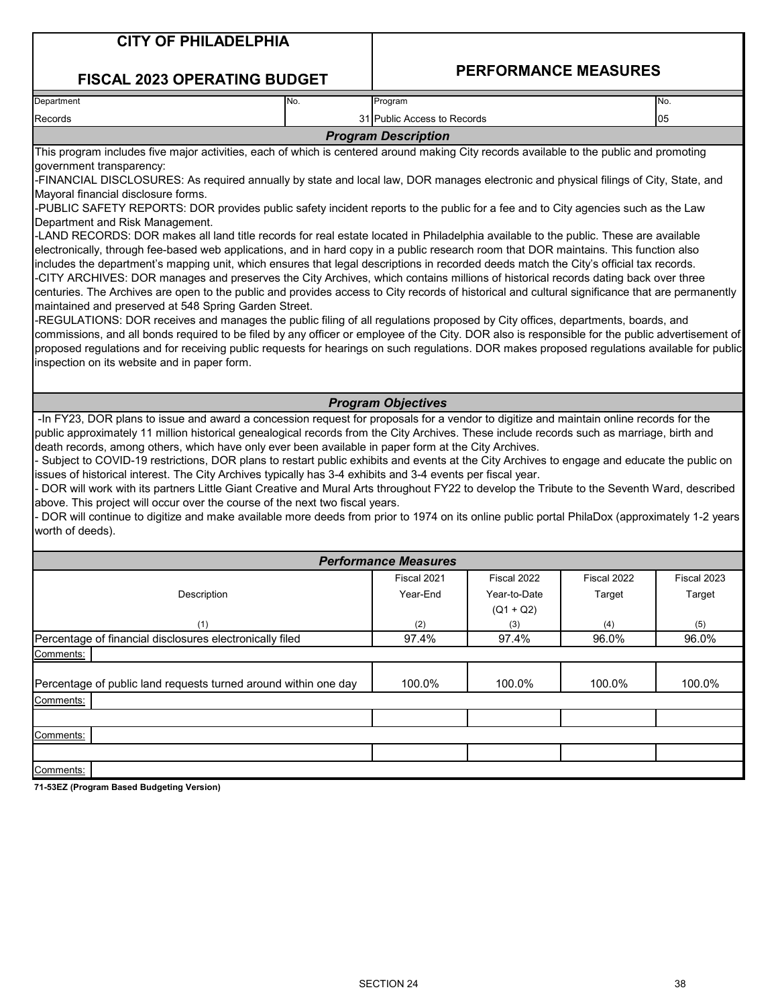| <b>CITY OF PHILADELPHIA</b> |
|-----------------------------|
|-----------------------------|

### **FISCAL 2023 OPERATING BUDGET**

### **PERFORMANCE MEASURES**

| Department | INo. | Program                     | No. |
|------------|------|-----------------------------|-----|
| Records    |      | 31 Public Access to Records | 105 |
|            |      | <b>Program Description</b>  |     |

This program includes five major activities, each of which is centered around making City records available to the public and promoting government transparency:

-FINANCIAL DISCLOSURES: As required annually by state and local law, DOR manages electronic and physical filings of City, State, and Mayoral financial disclosure forms.

-PUBLIC SAFETY REPORTS: DOR provides public safety incident reports to the public for a fee and to City agencies such as the Law Department and Risk Management.

-LAND RECORDS: DOR makes all land title records for real estate located in Philadelphia available to the public. These are available electronically, through fee-based web applications, and in hard copy in a public research room that DOR maintains. This function also includes the department's mapping unit, which ensures that legal descriptions in recorded deeds match the City's official tax records. -CITY ARCHIVES: DOR manages and preserves the City Archives, which contains millions of historical records dating back over three centuries. The Archives are open to the public and provides access to City records of historical and cultural significance that are permanently

maintained and preserved at 548 Spring Garden Street. -REGULATIONS: DOR receives and manages the public filing of all regulations proposed by City offices, departments, boards, and commissions, and all bonds required to be filed by any officer or employee of the City. DOR also is responsible for the public advertisement of proposed regulations and for receiving public requests for hearings on such regulations. DOR makes proposed regulations available for public inspection on its website and in paper form.

### *Program Objectives*

 -In FY23, DOR plans to issue and award a concession request for proposals for a vendor to digitize and maintain online records for the public approximately 11 million historical genealogical records from the City Archives. These include records such as marriage, birth and death records, among others, which have only ever been available in paper form at the City Archives.

- Subject to COVID-19 restrictions, DOR plans to restart public exhibits and events at the City Archives to engage and educate the public on issues of historical interest. The City Archives typically has 3-4 exhibits and 3-4 events per fiscal year.

- DOR will work with its partners Little Giant Creative and Mural Arts throughout FY22 to develop the Tribute to the Seventh Ward, described above. This project will occur over the course of the next two fiscal years.

- DOR will continue to digitize and make available more deeds from prior to 1974 on its online public portal PhilaDox (approximately 1-2 years worth of deeds).

|                                                                 | <b>Performance Measures</b> |              |             |             |
|-----------------------------------------------------------------|-----------------------------|--------------|-------------|-------------|
|                                                                 | Fiscal 2021                 | Fiscal 2022  | Fiscal 2022 | Fiscal 2023 |
| Description                                                     | Year-End                    | Year-to-Date | Target      | Target      |
|                                                                 |                             | $(Q1 + Q2)$  |             |             |
| (1)                                                             | (2)                         | (3)          | (4)         | (5)         |
| Percentage of financial disclosures electronically filed        | 97.4%                       | 97.4%        | 96.0%       | 96.0%       |
| Comments:                                                       |                             |              |             |             |
| Percentage of public land requests turned around within one day | 100.0%                      | 100.0%       | 100.0%      | 100.0%      |
| Comments:                                                       |                             |              |             |             |
|                                                                 |                             |              |             |             |
| Comments:                                                       |                             |              |             |             |
|                                                                 |                             |              |             |             |
| Comments:                                                       |                             |              |             |             |

**71-53EZ (Program Based Budgeting Version)**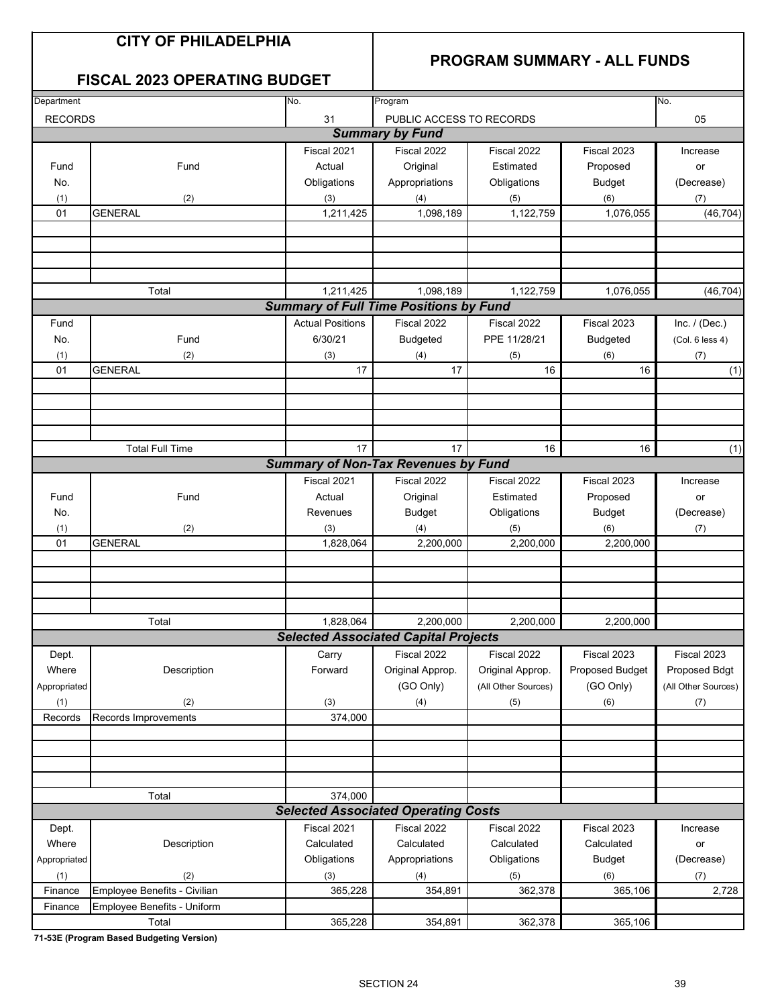## **CITY OF PHILADELPHIA**

## **PROGRAM SUMMARY - ALL FUNDS**

## **FISCAL 2023 OPERATING BUDGET**

| Department     |                              | No.                     | Program                                       |                     |                 | No.                 |
|----------------|------------------------------|-------------------------|-----------------------------------------------|---------------------|-----------------|---------------------|
| <b>RECORDS</b> |                              | 31                      | PUBLIC ACCESS TO RECORDS                      |                     |                 | 05                  |
|                |                              |                         | <b>Summary by Fund</b>                        |                     |                 |                     |
|                |                              | Fiscal 2021             | Fiscal 2022                                   | Fiscal 2022         | Fiscal 2023     | Increase            |
| Fund           | Fund                         | Actual                  | Original                                      | Estimated           | Proposed        | or                  |
| No.            |                              | Obligations             | Appropriations                                | Obligations         | <b>Budget</b>   | (Decrease)          |
| (1)            | (2)                          | (3)                     | (4)                                           | (5)                 | (6)             | (7)                 |
| 01             | <b>GENERAL</b>               | 1,211,425               | 1,098,189                                     | 1,122,759           | 1,076,055       | (46, 704)           |
|                |                              |                         |                                               |                     |                 |                     |
|                |                              |                         |                                               |                     |                 |                     |
|                |                              |                         |                                               |                     |                 |                     |
|                |                              |                         |                                               |                     |                 |                     |
|                | Total                        | 1,211,425               | 1,098,189                                     | 1,122,759           | 1,076,055       | (46, 704)           |
|                |                              |                         | <b>Summary of Full Time Positions by Fund</b> |                     |                 |                     |
| Fund           |                              | <b>Actual Positions</b> | Fiscal 2022                                   | Fiscal 2022         | Fiscal 2023     | Inc. $/$ (Dec.)     |
| No.            | Fund                         | 6/30/21                 | <b>Budgeted</b>                               | PPE 11/28/21        | <b>Budgeted</b> | (Col. 6 less 4)     |
| (1)            | (2)                          | (3)                     | (4)                                           | (5)                 | (6)             | (7)                 |
| 01             | <b>GENERAL</b>               | 17                      | 17                                            | 16                  | 16              | (1)                 |
|                |                              |                         |                                               |                     |                 |                     |
|                |                              |                         |                                               |                     |                 |                     |
|                |                              |                         |                                               |                     |                 |                     |
|                |                              |                         |                                               |                     |                 |                     |
|                | <b>Total Full Time</b>       | 17                      | 17                                            | 16                  | 16              | (1)                 |
|                |                              |                         | <b>Summary of Non-Tax Revenues by Fund</b>    |                     |                 |                     |
|                |                              | Fiscal 2021             | Fiscal 2022                                   | Fiscal 2022         | Fiscal 2023     | Increase            |
| Fund           | Fund                         | Actual                  | Original                                      | Estimated           | Proposed        | or                  |
| No.            |                              | Revenues                | <b>Budget</b>                                 | Obligations         | <b>Budget</b>   | (Decrease)          |
| (1)            | (2)                          | (3)                     | (4)                                           | (5)                 | (6)             | (7)                 |
| 01             | <b>GENERAL</b>               | 1,828,064               | 2,200,000                                     | 2,200,000           | 2,200,000       |                     |
|                |                              |                         |                                               |                     |                 |                     |
|                |                              |                         |                                               |                     |                 |                     |
|                |                              |                         |                                               |                     |                 |                     |
|                |                              |                         |                                               |                     |                 |                     |
|                | Total                        | 1,828,064               | 2,200,000                                     | 2,200,000           | 2,200,000       |                     |
|                |                              |                         | <b>Selected Associated Capital Projects</b>   |                     |                 |                     |
| Dept.          |                              | Carry                   | Fiscal 2022                                   | Fiscal 2022         | Fiscal 2023     | Fiscal 2023         |
| Where          | Description                  | Forward                 | Original Approp.                              | Original Approp.    | Proposed Budget | Proposed Bdgt       |
| Appropriated   |                              |                         | (GO Only)                                     | (All Other Sources) | (GO Only)       | (All Other Sources) |
| (1)            | (2)                          | (3)                     | (4)                                           | (5)                 | (6)             | (7)                 |
| Records        | Records Improvements         | 374,000                 |                                               |                     |                 |                     |
|                |                              |                         |                                               |                     |                 |                     |
|                |                              |                         |                                               |                     |                 |                     |
|                |                              |                         |                                               |                     |                 |                     |
|                |                              |                         |                                               |                     |                 |                     |
|                | Total                        | 374,000                 |                                               |                     |                 |                     |
|                |                              |                         | <b>Selected Associated Operating Costs</b>    |                     |                 |                     |
| Dept.          |                              | Fiscal 2021             | Fiscal 2022                                   | Fiscal 2022         | Fiscal 2023     | Increase            |
| Where          | Description                  | Calculated              | Calculated                                    | Calculated          | Calculated      | or                  |
| Appropriated   |                              | Obligations             | Appropriations                                | Obligations         | <b>Budget</b>   | (Decrease)          |
| (1)            | (2)                          | (3)                     | (4)                                           | (5)                 | (6)             | (7)                 |
| Finance        | Employee Benefits - Civilian | 365,228                 | 354,891                                       | 362,378             | 365,106         | 2,728               |
| Finance        | Employee Benefits - Uniform  |                         |                                               |                     |                 |                     |
|                | Total                        | 365,228                 | 354,891                                       | 362,378             | 365,106         |                     |

**71-53E (Program Based Budgeting Version)**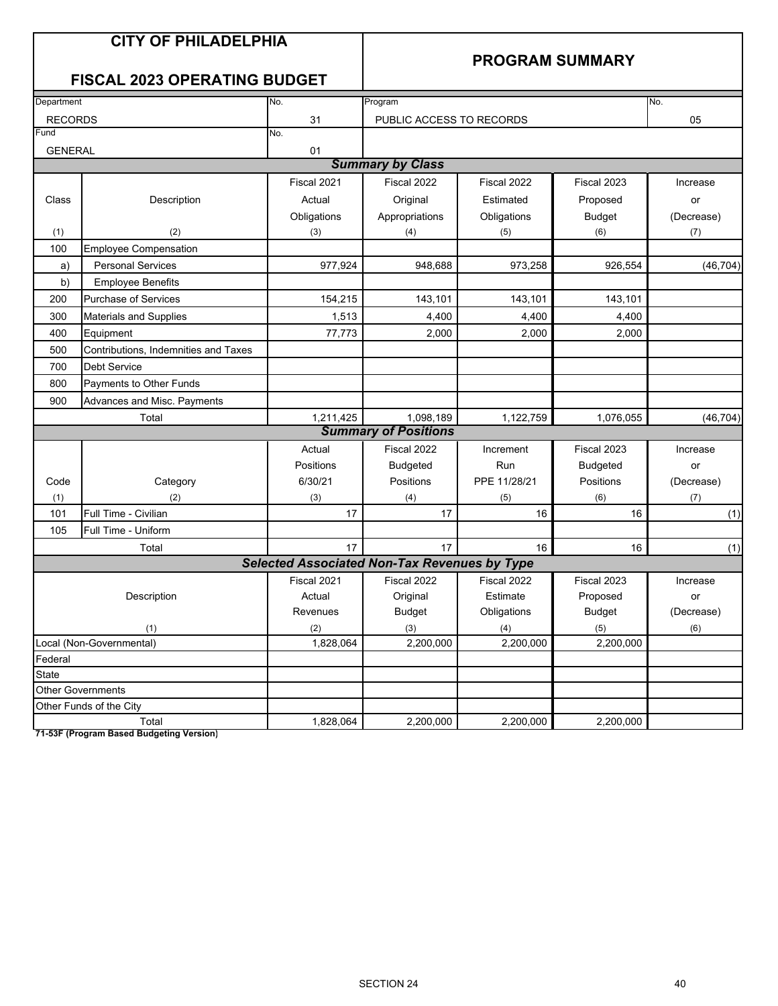|                | <b>CITY OF PHILADELPHIA</b><br><b>FISCAL 2023 OPERATING BUDGET</b> |                                                     | <b>PROGRAM SUMMARY</b>      |                  |                  |            |
|----------------|--------------------------------------------------------------------|-----------------------------------------------------|-----------------------------|------------------|------------------|------------|
| Department     |                                                                    | No.                                                 | Program                     |                  |                  | No.        |
| <b>RECORDS</b> |                                                                    | 31                                                  | PUBLIC ACCESS TO RECORDS    |                  |                  | 05         |
| Fund           |                                                                    | No.                                                 |                             |                  |                  |            |
| <b>GENERAL</b> |                                                                    | 01                                                  | <b>Summary by Class</b>     |                  |                  |            |
|                |                                                                    | Fiscal 2021                                         | Fiscal 2022                 | Fiscal 2022      | Fiscal 2023      | Increase   |
| Class          | Description                                                        | Actual                                              | Original                    | Estimated        | Proposed         | or         |
|                |                                                                    | Obligations                                         | Appropriations              | Obligations      | <b>Budget</b>    | (Decrease) |
| (1)            | (2)                                                                | (3)                                                 | (4)                         | (5)              | (6)              | (7)        |
| 100            | <b>Employee Compensation</b>                                       |                                                     |                             |                  |                  |            |
| a)             | <b>Personal Services</b>                                           | 977,924                                             | 948,688                     | 973,258          | 926,554          | (46, 704)  |
| b)             | <b>Employee Benefits</b>                                           |                                                     |                             |                  |                  |            |
| 200            | Purchase of Services                                               | 154,215                                             | 143,101                     | 143,101          | 143,101          |            |
| 300            | <b>Materials and Supplies</b>                                      | 1,513                                               | 4,400                       | 4,400            | 4,400            |            |
| 400            | Equipment                                                          | 77,773                                              | 2,000                       | 2,000            | 2,000            |            |
| 500            | Contributions, Indemnities and Taxes                               |                                                     |                             |                  |                  |            |
| 700            | <b>Debt Service</b>                                                |                                                     |                             |                  |                  |            |
| 800            | Payments to Other Funds                                            |                                                     |                             |                  |                  |            |
| 900            | Advances and Misc. Payments                                        |                                                     |                             |                  |                  |            |
|                | Total                                                              | 1,211,425                                           | 1,098,189                   | 1,122,759        | 1,076,055        | (46, 704)  |
|                |                                                                    |                                                     | <b>Summary of Positions</b> |                  |                  |            |
|                |                                                                    | Actual                                              | Fiscal 2022                 | Increment        | Fiscal 2023      | Increase   |
|                |                                                                    | Positions                                           | <b>Budgeted</b>             | Run              | <b>Budgeted</b>  | or         |
| Code           | Category                                                           | 6/30/21                                             | Positions                   | PPE 11/28/21     | Positions        | (Decrease) |
| (1)            | (2)                                                                | (3)                                                 | (4)                         | (5)              | (6)              | (7)        |
| 101            | Full Time - Civilian                                               | 17                                                  | 17                          | 16               | 16               | (1)        |
| 105            | Full Time - Uniform                                                |                                                     |                             |                  |                  |            |
|                | Total                                                              | 17                                                  | 17                          | 16               | 16               | (1)        |
|                |                                                                    | <b>Selected Associated Non-Tax Revenues by Type</b> |                             |                  |                  |            |
|                |                                                                    | Fiscal 2021                                         | Fiscal 2022                 | Fiscal 2022      | Fiscal 2023      | Increase   |
|                | Description                                                        | Actual                                              | Original                    | Estimate         | Proposed         | or         |
|                |                                                                    | Revenues                                            | <b>Budget</b>               | Obligations      | <b>Budget</b>    | (Decrease) |
|                | (1)<br>Local (Non-Governmental)                                    | (2)<br>1,828,064                                    | (3)<br>2,200,000            | (4)<br>2,200,000 | (5)<br>2,200,000 | (6)        |
| Federal        |                                                                    |                                                     |                             |                  |                  |            |
| State          |                                                                    |                                                     |                             |                  |                  |            |
|                | <b>Other Governments</b>                                           |                                                     |                             |                  |                  |            |
|                | Other Funds of the City                                            |                                                     |                             |                  |                  |            |
|                | Total                                                              | 1,828,064                                           | 2,200,000                   | 2,200,000        | 2,200,000        |            |

**71-53F (Program Based Budgeting Version)**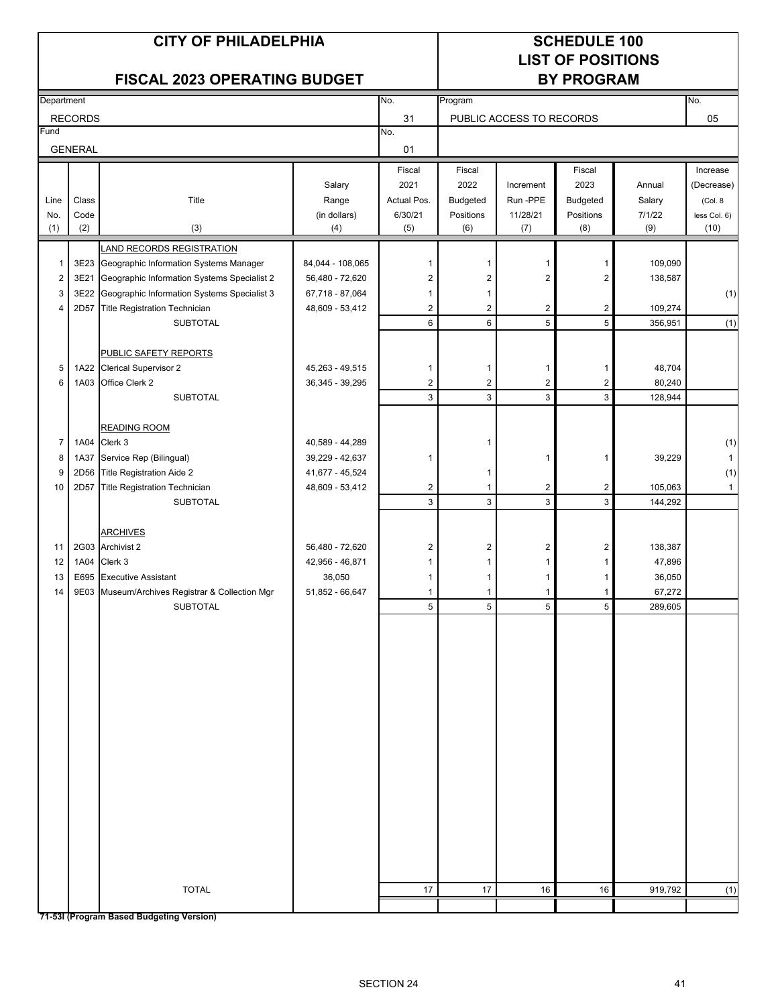# **LIST OF POSITIONS**

## FISCAL 2023 OPERATING BUDGET **BY PROGRAM**

| 31<br><b>RECORDS</b><br>05<br>PUBLIC ACCESS TO RECORDS<br>Fund<br>No.<br><b>GENERAL</b><br>01<br>Fiscal<br>Fiscal<br>Fiscal<br>Increase<br>Salary<br>2021<br>2022<br>Increment<br>2023<br>Annual<br>Class<br>Actual Pos.<br>Run-PPE<br>Budgeted<br>Title<br>Range<br><b>Budgeted</b><br>Salary<br>(Col. 8)<br>Line<br>Code<br>(in dollars)<br>6/30/21<br>11/28/21<br>Positions<br>7/1/22<br>No.<br>Positions<br>(2)<br>(1)<br>(3)<br>(5)<br>(6)<br>(7)<br>(8)<br>(9)<br>(10)<br>(4)<br><b>LAND RECORDS REGISTRATION</b><br>3E23 Geographic Information Systems Manager<br>84,044 - 108,065<br>109,090<br>$\mathbf{1}$<br>1<br>1<br>1<br>1<br>$\boldsymbol{2}$<br>$\overline{c}$<br>$\overline{2}$<br>3E21<br>Geographic Information Systems Specialist 2<br>56,480 - 72,620<br>$\overline{\mathbf{c}}$<br>2<br>138,587<br>3<br>3E22 Geographic Information Systems Specialist 3<br>67,718 - 87,064<br>1<br>1<br>2D57 Title Registration Technician<br>$\overline{2}$<br>$\overline{2}$<br>$\overline{c}$<br>$\overline{c}$<br>48,609 - 53,412<br>109,274<br>4<br>5<br>6<br>5<br><b>SUBTOTAL</b><br>6<br>356,951<br>PUBLIC SAFETY REPORTS<br>1A22 Clerical Supervisor 2<br>48,704<br>5<br>45,263 - 49,515<br>1<br>1<br>$\mathbf 1$<br>1<br>$\overline{c}$<br>$\overline{2}$<br>Office Clerk 2<br>$\overline{c}$<br>$\sqrt{2}$<br>80,240<br>6<br>1A03<br>36,345 - 39,295<br>$\mathbf{3}$<br>3<br>3<br>$\mathbf{3}$<br><b>SUBTOTAL</b><br>128,944<br><b>READING ROOM</b><br>$\overline{7}$<br>1A04 Clerk 3<br>40,589 - 44,289<br>1<br>Service Rep (Bilingual)<br>8<br>39,229<br>1A37<br>39,229 - 42,637<br>1<br>$\mathbf{1}$<br>1<br>2D56 Title Registration Aide 2<br>41,677 - 45,524<br>9<br>1<br>10<br><b>Title Registration Technician</b><br>$\overline{2}$<br>$\mathbf{1}$<br>$\overline{c}$<br>$\overline{c}$<br>2D57<br>48,609 - 53,412<br>105,063<br>3<br>3<br>$\mathbf{3}$<br>3<br><b>SUBTOTAL</b><br>144,292<br><b>ARCHIVES</b><br>2G03 Archivist 2<br>11<br>56,480 - 72,620<br>2<br>$\overline{\mathbf{c}}$<br>$\overline{\mathbf{c}}$<br>$\overline{\mathbf{c}}$<br>138,387<br>12<br>1A04 Clerk 3<br>42,956 - 46,871<br>47,896<br>1<br>$\mathbf{1}$<br>1<br>1<br>36,050<br>13<br>E695 Executive Assistant<br>36,050<br>$\mathbf{1}$<br>1<br>$\mathbf{1}$<br>1<br>67,272<br>14<br>9E03 Museum/Archives Registrar & Collection Mgr<br>51,852 - 66,647<br>$\mathbf{1}$<br>$\mathbf{1}$<br>$\mathbf{1}$<br>1<br>5<br>5<br>5<br>5<br><b>SUBTOTAL</b><br>289,605<br><b>TOTAL</b><br>17<br>17<br>16<br>16<br>919,792<br>71-531 (Program Based Budgeting Version) | Department |  | No. | Program |  | No.          |
|---------------------------------------------------------------------------------------------------------------------------------------------------------------------------------------------------------------------------------------------------------------------------------------------------------------------------------------------------------------------------------------------------------------------------------------------------------------------------------------------------------------------------------------------------------------------------------------------------------------------------------------------------------------------------------------------------------------------------------------------------------------------------------------------------------------------------------------------------------------------------------------------------------------------------------------------------------------------------------------------------------------------------------------------------------------------------------------------------------------------------------------------------------------------------------------------------------------------------------------------------------------------------------------------------------------------------------------------------------------------------------------------------------------------------------------------------------------------------------------------------------------------------------------------------------------------------------------------------------------------------------------------------------------------------------------------------------------------------------------------------------------------------------------------------------------------------------------------------------------------------------------------------------------------------------------------------------------------------------------------------------------------------------------------------------------------------------------------------------------------------------------------------------------------------------------------------------------------------------------------------------------------------------------------------------------------------------------------------------------------------------------------------------------------------------------------------------------------------------------------------------------------------------------------------------------------|------------|--|-----|---------|--|--------------|
|                                                                                                                                                                                                                                                                                                                                                                                                                                                                                                                                                                                                                                                                                                                                                                                                                                                                                                                                                                                                                                                                                                                                                                                                                                                                                                                                                                                                                                                                                                                                                                                                                                                                                                                                                                                                                                                                                                                                                                                                                                                                                                                                                                                                                                                                                                                                                                                                                                                                                                                                                                     |            |  |     |         |  |              |
|                                                                                                                                                                                                                                                                                                                                                                                                                                                                                                                                                                                                                                                                                                                                                                                                                                                                                                                                                                                                                                                                                                                                                                                                                                                                                                                                                                                                                                                                                                                                                                                                                                                                                                                                                                                                                                                                                                                                                                                                                                                                                                                                                                                                                                                                                                                                                                                                                                                                                                                                                                     |            |  |     |         |  |              |
|                                                                                                                                                                                                                                                                                                                                                                                                                                                                                                                                                                                                                                                                                                                                                                                                                                                                                                                                                                                                                                                                                                                                                                                                                                                                                                                                                                                                                                                                                                                                                                                                                                                                                                                                                                                                                                                                                                                                                                                                                                                                                                                                                                                                                                                                                                                                                                                                                                                                                                                                                                     |            |  |     |         |  |              |
|                                                                                                                                                                                                                                                                                                                                                                                                                                                                                                                                                                                                                                                                                                                                                                                                                                                                                                                                                                                                                                                                                                                                                                                                                                                                                                                                                                                                                                                                                                                                                                                                                                                                                                                                                                                                                                                                                                                                                                                                                                                                                                                                                                                                                                                                                                                                                                                                                                                                                                                                                                     |            |  |     |         |  |              |
|                                                                                                                                                                                                                                                                                                                                                                                                                                                                                                                                                                                                                                                                                                                                                                                                                                                                                                                                                                                                                                                                                                                                                                                                                                                                                                                                                                                                                                                                                                                                                                                                                                                                                                                                                                                                                                                                                                                                                                                                                                                                                                                                                                                                                                                                                                                                                                                                                                                                                                                                                                     |            |  |     |         |  | (Decrease)   |
|                                                                                                                                                                                                                                                                                                                                                                                                                                                                                                                                                                                                                                                                                                                                                                                                                                                                                                                                                                                                                                                                                                                                                                                                                                                                                                                                                                                                                                                                                                                                                                                                                                                                                                                                                                                                                                                                                                                                                                                                                                                                                                                                                                                                                                                                                                                                                                                                                                                                                                                                                                     |            |  |     |         |  |              |
|                                                                                                                                                                                                                                                                                                                                                                                                                                                                                                                                                                                                                                                                                                                                                                                                                                                                                                                                                                                                                                                                                                                                                                                                                                                                                                                                                                                                                                                                                                                                                                                                                                                                                                                                                                                                                                                                                                                                                                                                                                                                                                                                                                                                                                                                                                                                                                                                                                                                                                                                                                     |            |  |     |         |  | less Col. 6) |
|                                                                                                                                                                                                                                                                                                                                                                                                                                                                                                                                                                                                                                                                                                                                                                                                                                                                                                                                                                                                                                                                                                                                                                                                                                                                                                                                                                                                                                                                                                                                                                                                                                                                                                                                                                                                                                                                                                                                                                                                                                                                                                                                                                                                                                                                                                                                                                                                                                                                                                                                                                     |            |  |     |         |  |              |
|                                                                                                                                                                                                                                                                                                                                                                                                                                                                                                                                                                                                                                                                                                                                                                                                                                                                                                                                                                                                                                                                                                                                                                                                                                                                                                                                                                                                                                                                                                                                                                                                                                                                                                                                                                                                                                                                                                                                                                                                                                                                                                                                                                                                                                                                                                                                                                                                                                                                                                                                                                     |            |  |     |         |  |              |
|                                                                                                                                                                                                                                                                                                                                                                                                                                                                                                                                                                                                                                                                                                                                                                                                                                                                                                                                                                                                                                                                                                                                                                                                                                                                                                                                                                                                                                                                                                                                                                                                                                                                                                                                                                                                                                                                                                                                                                                                                                                                                                                                                                                                                                                                                                                                                                                                                                                                                                                                                                     |            |  |     |         |  |              |
|                                                                                                                                                                                                                                                                                                                                                                                                                                                                                                                                                                                                                                                                                                                                                                                                                                                                                                                                                                                                                                                                                                                                                                                                                                                                                                                                                                                                                                                                                                                                                                                                                                                                                                                                                                                                                                                                                                                                                                                                                                                                                                                                                                                                                                                                                                                                                                                                                                                                                                                                                                     |            |  |     |         |  |              |
|                                                                                                                                                                                                                                                                                                                                                                                                                                                                                                                                                                                                                                                                                                                                                                                                                                                                                                                                                                                                                                                                                                                                                                                                                                                                                                                                                                                                                                                                                                                                                                                                                                                                                                                                                                                                                                                                                                                                                                                                                                                                                                                                                                                                                                                                                                                                                                                                                                                                                                                                                                     |            |  |     |         |  | (1)          |
|                                                                                                                                                                                                                                                                                                                                                                                                                                                                                                                                                                                                                                                                                                                                                                                                                                                                                                                                                                                                                                                                                                                                                                                                                                                                                                                                                                                                                                                                                                                                                                                                                                                                                                                                                                                                                                                                                                                                                                                                                                                                                                                                                                                                                                                                                                                                                                                                                                                                                                                                                                     |            |  |     |         |  |              |
|                                                                                                                                                                                                                                                                                                                                                                                                                                                                                                                                                                                                                                                                                                                                                                                                                                                                                                                                                                                                                                                                                                                                                                                                                                                                                                                                                                                                                                                                                                                                                                                                                                                                                                                                                                                                                                                                                                                                                                                                                                                                                                                                                                                                                                                                                                                                                                                                                                                                                                                                                                     |            |  |     |         |  | (1)          |
|                                                                                                                                                                                                                                                                                                                                                                                                                                                                                                                                                                                                                                                                                                                                                                                                                                                                                                                                                                                                                                                                                                                                                                                                                                                                                                                                                                                                                                                                                                                                                                                                                                                                                                                                                                                                                                                                                                                                                                                                                                                                                                                                                                                                                                                                                                                                                                                                                                                                                                                                                                     |            |  |     |         |  |              |
|                                                                                                                                                                                                                                                                                                                                                                                                                                                                                                                                                                                                                                                                                                                                                                                                                                                                                                                                                                                                                                                                                                                                                                                                                                                                                                                                                                                                                                                                                                                                                                                                                                                                                                                                                                                                                                                                                                                                                                                                                                                                                                                                                                                                                                                                                                                                                                                                                                                                                                                                                                     |            |  |     |         |  |              |
|                                                                                                                                                                                                                                                                                                                                                                                                                                                                                                                                                                                                                                                                                                                                                                                                                                                                                                                                                                                                                                                                                                                                                                                                                                                                                                                                                                                                                                                                                                                                                                                                                                                                                                                                                                                                                                                                                                                                                                                                                                                                                                                                                                                                                                                                                                                                                                                                                                                                                                                                                                     |            |  |     |         |  |              |
|                                                                                                                                                                                                                                                                                                                                                                                                                                                                                                                                                                                                                                                                                                                                                                                                                                                                                                                                                                                                                                                                                                                                                                                                                                                                                                                                                                                                                                                                                                                                                                                                                                                                                                                                                                                                                                                                                                                                                                                                                                                                                                                                                                                                                                                                                                                                                                                                                                                                                                                                                                     |            |  |     |         |  |              |
|                                                                                                                                                                                                                                                                                                                                                                                                                                                                                                                                                                                                                                                                                                                                                                                                                                                                                                                                                                                                                                                                                                                                                                                                                                                                                                                                                                                                                                                                                                                                                                                                                                                                                                                                                                                                                                                                                                                                                                                                                                                                                                                                                                                                                                                                                                                                                                                                                                                                                                                                                                     |            |  |     |         |  |              |
|                                                                                                                                                                                                                                                                                                                                                                                                                                                                                                                                                                                                                                                                                                                                                                                                                                                                                                                                                                                                                                                                                                                                                                                                                                                                                                                                                                                                                                                                                                                                                                                                                                                                                                                                                                                                                                                                                                                                                                                                                                                                                                                                                                                                                                                                                                                                                                                                                                                                                                                                                                     |            |  |     |         |  |              |
|                                                                                                                                                                                                                                                                                                                                                                                                                                                                                                                                                                                                                                                                                                                                                                                                                                                                                                                                                                                                                                                                                                                                                                                                                                                                                                                                                                                                                                                                                                                                                                                                                                                                                                                                                                                                                                                                                                                                                                                                                                                                                                                                                                                                                                                                                                                                                                                                                                                                                                                                                                     |            |  |     |         |  |              |
|                                                                                                                                                                                                                                                                                                                                                                                                                                                                                                                                                                                                                                                                                                                                                                                                                                                                                                                                                                                                                                                                                                                                                                                                                                                                                                                                                                                                                                                                                                                                                                                                                                                                                                                                                                                                                                                                                                                                                                                                                                                                                                                                                                                                                                                                                                                                                                                                                                                                                                                                                                     |            |  |     |         |  | (1)          |
|                                                                                                                                                                                                                                                                                                                                                                                                                                                                                                                                                                                                                                                                                                                                                                                                                                                                                                                                                                                                                                                                                                                                                                                                                                                                                                                                                                                                                                                                                                                                                                                                                                                                                                                                                                                                                                                                                                                                                                                                                                                                                                                                                                                                                                                                                                                                                                                                                                                                                                                                                                     |            |  |     |         |  | $\mathbf{1}$ |
|                                                                                                                                                                                                                                                                                                                                                                                                                                                                                                                                                                                                                                                                                                                                                                                                                                                                                                                                                                                                                                                                                                                                                                                                                                                                                                                                                                                                                                                                                                                                                                                                                                                                                                                                                                                                                                                                                                                                                                                                                                                                                                                                                                                                                                                                                                                                                                                                                                                                                                                                                                     |            |  |     |         |  | (1)          |
|                                                                                                                                                                                                                                                                                                                                                                                                                                                                                                                                                                                                                                                                                                                                                                                                                                                                                                                                                                                                                                                                                                                                                                                                                                                                                                                                                                                                                                                                                                                                                                                                                                                                                                                                                                                                                                                                                                                                                                                                                                                                                                                                                                                                                                                                                                                                                                                                                                                                                                                                                                     |            |  |     |         |  | $\mathbf{1}$ |
|                                                                                                                                                                                                                                                                                                                                                                                                                                                                                                                                                                                                                                                                                                                                                                                                                                                                                                                                                                                                                                                                                                                                                                                                                                                                                                                                                                                                                                                                                                                                                                                                                                                                                                                                                                                                                                                                                                                                                                                                                                                                                                                                                                                                                                                                                                                                                                                                                                                                                                                                                                     |            |  |     |         |  |              |
|                                                                                                                                                                                                                                                                                                                                                                                                                                                                                                                                                                                                                                                                                                                                                                                                                                                                                                                                                                                                                                                                                                                                                                                                                                                                                                                                                                                                                                                                                                                                                                                                                                                                                                                                                                                                                                                                                                                                                                                                                                                                                                                                                                                                                                                                                                                                                                                                                                                                                                                                                                     |            |  |     |         |  |              |
|                                                                                                                                                                                                                                                                                                                                                                                                                                                                                                                                                                                                                                                                                                                                                                                                                                                                                                                                                                                                                                                                                                                                                                                                                                                                                                                                                                                                                                                                                                                                                                                                                                                                                                                                                                                                                                                                                                                                                                                                                                                                                                                                                                                                                                                                                                                                                                                                                                                                                                                                                                     |            |  |     |         |  |              |
|                                                                                                                                                                                                                                                                                                                                                                                                                                                                                                                                                                                                                                                                                                                                                                                                                                                                                                                                                                                                                                                                                                                                                                                                                                                                                                                                                                                                                                                                                                                                                                                                                                                                                                                                                                                                                                                                                                                                                                                                                                                                                                                                                                                                                                                                                                                                                                                                                                                                                                                                                                     |            |  |     |         |  |              |
|                                                                                                                                                                                                                                                                                                                                                                                                                                                                                                                                                                                                                                                                                                                                                                                                                                                                                                                                                                                                                                                                                                                                                                                                                                                                                                                                                                                                                                                                                                                                                                                                                                                                                                                                                                                                                                                                                                                                                                                                                                                                                                                                                                                                                                                                                                                                                                                                                                                                                                                                                                     |            |  |     |         |  |              |
|                                                                                                                                                                                                                                                                                                                                                                                                                                                                                                                                                                                                                                                                                                                                                                                                                                                                                                                                                                                                                                                                                                                                                                                                                                                                                                                                                                                                                                                                                                                                                                                                                                                                                                                                                                                                                                                                                                                                                                                                                                                                                                                                                                                                                                                                                                                                                                                                                                                                                                                                                                     |            |  |     |         |  |              |
|                                                                                                                                                                                                                                                                                                                                                                                                                                                                                                                                                                                                                                                                                                                                                                                                                                                                                                                                                                                                                                                                                                                                                                                                                                                                                                                                                                                                                                                                                                                                                                                                                                                                                                                                                                                                                                                                                                                                                                                                                                                                                                                                                                                                                                                                                                                                                                                                                                                                                                                                                                     |            |  |     |         |  |              |
|                                                                                                                                                                                                                                                                                                                                                                                                                                                                                                                                                                                                                                                                                                                                                                                                                                                                                                                                                                                                                                                                                                                                                                                                                                                                                                                                                                                                                                                                                                                                                                                                                                                                                                                                                                                                                                                                                                                                                                                                                                                                                                                                                                                                                                                                                                                                                                                                                                                                                                                                                                     |            |  |     |         |  |              |
|                                                                                                                                                                                                                                                                                                                                                                                                                                                                                                                                                                                                                                                                                                                                                                                                                                                                                                                                                                                                                                                                                                                                                                                                                                                                                                                                                                                                                                                                                                                                                                                                                                                                                                                                                                                                                                                                                                                                                                                                                                                                                                                                                                                                                                                                                                                                                                                                                                                                                                                                                                     |            |  |     |         |  |              |
|                                                                                                                                                                                                                                                                                                                                                                                                                                                                                                                                                                                                                                                                                                                                                                                                                                                                                                                                                                                                                                                                                                                                                                                                                                                                                                                                                                                                                                                                                                                                                                                                                                                                                                                                                                                                                                                                                                                                                                                                                                                                                                                                                                                                                                                                                                                                                                                                                                                                                                                                                                     |            |  |     |         |  |              |
|                                                                                                                                                                                                                                                                                                                                                                                                                                                                                                                                                                                                                                                                                                                                                                                                                                                                                                                                                                                                                                                                                                                                                                                                                                                                                                                                                                                                                                                                                                                                                                                                                                                                                                                                                                                                                                                                                                                                                                                                                                                                                                                                                                                                                                                                                                                                                                                                                                                                                                                                                                     |            |  |     |         |  |              |
|                                                                                                                                                                                                                                                                                                                                                                                                                                                                                                                                                                                                                                                                                                                                                                                                                                                                                                                                                                                                                                                                                                                                                                                                                                                                                                                                                                                                                                                                                                                                                                                                                                                                                                                                                                                                                                                                                                                                                                                                                                                                                                                                                                                                                                                                                                                                                                                                                                                                                                                                                                     |            |  |     |         |  |              |
|                                                                                                                                                                                                                                                                                                                                                                                                                                                                                                                                                                                                                                                                                                                                                                                                                                                                                                                                                                                                                                                                                                                                                                                                                                                                                                                                                                                                                                                                                                                                                                                                                                                                                                                                                                                                                                                                                                                                                                                                                                                                                                                                                                                                                                                                                                                                                                                                                                                                                                                                                                     |            |  |     |         |  |              |
|                                                                                                                                                                                                                                                                                                                                                                                                                                                                                                                                                                                                                                                                                                                                                                                                                                                                                                                                                                                                                                                                                                                                                                                                                                                                                                                                                                                                                                                                                                                                                                                                                                                                                                                                                                                                                                                                                                                                                                                                                                                                                                                                                                                                                                                                                                                                                                                                                                                                                                                                                                     |            |  |     |         |  |              |
|                                                                                                                                                                                                                                                                                                                                                                                                                                                                                                                                                                                                                                                                                                                                                                                                                                                                                                                                                                                                                                                                                                                                                                                                                                                                                                                                                                                                                                                                                                                                                                                                                                                                                                                                                                                                                                                                                                                                                                                                                                                                                                                                                                                                                                                                                                                                                                                                                                                                                                                                                                     |            |  |     |         |  |              |
|                                                                                                                                                                                                                                                                                                                                                                                                                                                                                                                                                                                                                                                                                                                                                                                                                                                                                                                                                                                                                                                                                                                                                                                                                                                                                                                                                                                                                                                                                                                                                                                                                                                                                                                                                                                                                                                                                                                                                                                                                                                                                                                                                                                                                                                                                                                                                                                                                                                                                                                                                                     |            |  |     |         |  |              |
|                                                                                                                                                                                                                                                                                                                                                                                                                                                                                                                                                                                                                                                                                                                                                                                                                                                                                                                                                                                                                                                                                                                                                                                                                                                                                                                                                                                                                                                                                                                                                                                                                                                                                                                                                                                                                                                                                                                                                                                                                                                                                                                                                                                                                                                                                                                                                                                                                                                                                                                                                                     |            |  |     |         |  |              |
|                                                                                                                                                                                                                                                                                                                                                                                                                                                                                                                                                                                                                                                                                                                                                                                                                                                                                                                                                                                                                                                                                                                                                                                                                                                                                                                                                                                                                                                                                                                                                                                                                                                                                                                                                                                                                                                                                                                                                                                                                                                                                                                                                                                                                                                                                                                                                                                                                                                                                                                                                                     |            |  |     |         |  |              |
|                                                                                                                                                                                                                                                                                                                                                                                                                                                                                                                                                                                                                                                                                                                                                                                                                                                                                                                                                                                                                                                                                                                                                                                                                                                                                                                                                                                                                                                                                                                                                                                                                                                                                                                                                                                                                                                                                                                                                                                                                                                                                                                                                                                                                                                                                                                                                                                                                                                                                                                                                                     |            |  |     |         |  |              |
|                                                                                                                                                                                                                                                                                                                                                                                                                                                                                                                                                                                                                                                                                                                                                                                                                                                                                                                                                                                                                                                                                                                                                                                                                                                                                                                                                                                                                                                                                                                                                                                                                                                                                                                                                                                                                                                                                                                                                                                                                                                                                                                                                                                                                                                                                                                                                                                                                                                                                                                                                                     |            |  |     |         |  |              |
|                                                                                                                                                                                                                                                                                                                                                                                                                                                                                                                                                                                                                                                                                                                                                                                                                                                                                                                                                                                                                                                                                                                                                                                                                                                                                                                                                                                                                                                                                                                                                                                                                                                                                                                                                                                                                                                                                                                                                                                                                                                                                                                                                                                                                                                                                                                                                                                                                                                                                                                                                                     |            |  |     |         |  |              |
|                                                                                                                                                                                                                                                                                                                                                                                                                                                                                                                                                                                                                                                                                                                                                                                                                                                                                                                                                                                                                                                                                                                                                                                                                                                                                                                                                                                                                                                                                                                                                                                                                                                                                                                                                                                                                                                                                                                                                                                                                                                                                                                                                                                                                                                                                                                                                                                                                                                                                                                                                                     |            |  |     |         |  |              |
|                                                                                                                                                                                                                                                                                                                                                                                                                                                                                                                                                                                                                                                                                                                                                                                                                                                                                                                                                                                                                                                                                                                                                                                                                                                                                                                                                                                                                                                                                                                                                                                                                                                                                                                                                                                                                                                                                                                                                                                                                                                                                                                                                                                                                                                                                                                                                                                                                                                                                                                                                                     |            |  |     |         |  |              |
|                                                                                                                                                                                                                                                                                                                                                                                                                                                                                                                                                                                                                                                                                                                                                                                                                                                                                                                                                                                                                                                                                                                                                                                                                                                                                                                                                                                                                                                                                                                                                                                                                                                                                                                                                                                                                                                                                                                                                                                                                                                                                                                                                                                                                                                                                                                                                                                                                                                                                                                                                                     |            |  |     |         |  |              |
|                                                                                                                                                                                                                                                                                                                                                                                                                                                                                                                                                                                                                                                                                                                                                                                                                                                                                                                                                                                                                                                                                                                                                                                                                                                                                                                                                                                                                                                                                                                                                                                                                                                                                                                                                                                                                                                                                                                                                                                                                                                                                                                                                                                                                                                                                                                                                                                                                                                                                                                                                                     |            |  |     |         |  |              |
|                                                                                                                                                                                                                                                                                                                                                                                                                                                                                                                                                                                                                                                                                                                                                                                                                                                                                                                                                                                                                                                                                                                                                                                                                                                                                                                                                                                                                                                                                                                                                                                                                                                                                                                                                                                                                                                                                                                                                                                                                                                                                                                                                                                                                                                                                                                                                                                                                                                                                                                                                                     |            |  |     |         |  |              |
|                                                                                                                                                                                                                                                                                                                                                                                                                                                                                                                                                                                                                                                                                                                                                                                                                                                                                                                                                                                                                                                                                                                                                                                                                                                                                                                                                                                                                                                                                                                                                                                                                                                                                                                                                                                                                                                                                                                                                                                                                                                                                                                                                                                                                                                                                                                                                                                                                                                                                                                                                                     |            |  |     |         |  | (1)          |
|                                                                                                                                                                                                                                                                                                                                                                                                                                                                                                                                                                                                                                                                                                                                                                                                                                                                                                                                                                                                                                                                                                                                                                                                                                                                                                                                                                                                                                                                                                                                                                                                                                                                                                                                                                                                                                                                                                                                                                                                                                                                                                                                                                                                                                                                                                                                                                                                                                                                                                                                                                     |            |  |     |         |  |              |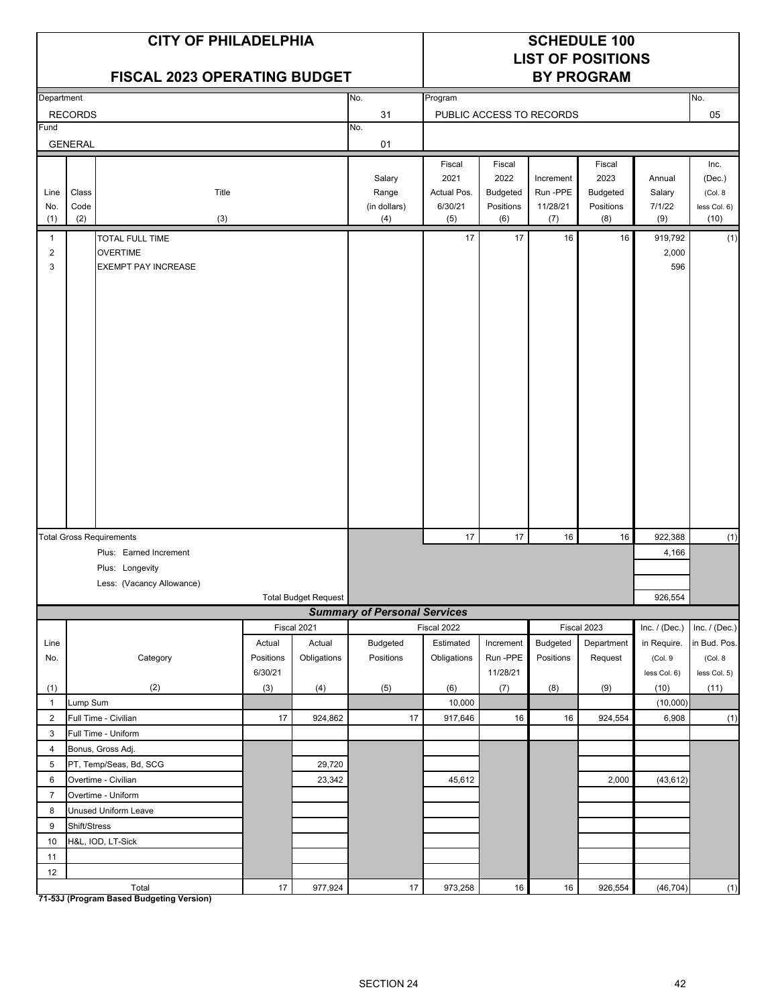|                          |                      | <b>CITY OF PHILADELPHIA</b><br><b>FISCAL 2023 OPERATING BUDGET</b> |                     |                       |                                        |                                       |                                      |                                          | <b>SCHEDULE 100</b><br><b>LIST OF POSITIONS</b><br><b>BY PROGRAM</b> |                                   |                                            |
|--------------------------|----------------------|--------------------------------------------------------------------|---------------------|-----------------------|----------------------------------------|---------------------------------------|--------------------------------------|------------------------------------------|----------------------------------------------------------------------|-----------------------------------|--------------------------------------------|
| Department               |                      |                                                                    |                     |                       | No.                                    | Program                               |                                      |                                          |                                                                      |                                   | No.                                        |
|                          | <b>RECORDS</b>       |                                                                    |                     |                       | 31                                     |                                       |                                      | PUBLIC ACCESS TO RECORDS                 |                                                                      |                                   | 05                                         |
| Fund                     | <b>GENERAL</b>       |                                                                    |                     |                       | No.<br>01                              |                                       |                                      |                                          |                                                                      |                                   |                                            |
|                          |                      |                                                                    |                     |                       |                                        | Fiscal                                | Fiscal                               |                                          | Fiscal                                                               |                                   | Inc.                                       |
| Line<br>No.<br>(1)       | Class<br>Code<br>(2) | Title<br>(3)                                                       |                     |                       | Salary<br>Range<br>(in dollars)<br>(4) | 2021<br>Actual Pos.<br>6/30/21<br>(5) | 2022<br>Budgeted<br>Positions<br>(6) | Increment<br>Run -PPE<br>11/28/21<br>(7) | 2023<br><b>Budgeted</b><br>Positions<br>(8)                          | Annual<br>Salary<br>7/1/22<br>(9) | (Dec.)<br>(Col. 8)<br>less Col. 6)<br>(10) |
| 1<br>$\overline{2}$<br>3 |                      | TOTAL FULL TIME<br><b>OVERTIME</b><br><b>EXEMPT PAY INCREASE</b>   |                     |                       |                                        | 17                                    | 17                                   | 16                                       | 16                                                                   | 919,792<br>2,000<br>596           | (1)                                        |
|                          |                      |                                                                    |                     |                       |                                        |                                       |                                      |                                          |                                                                      |                                   |                                            |
|                          |                      | <b>Total Gross Requirements</b><br>Plus: Earned Increment          |                     |                       |                                        | 17                                    | 17                                   | 16                                       | 16                                                                   | 922,388<br>4,166                  | (1)                                        |
|                          |                      | Plus: Longevity                                                    |                     |                       |                                        |                                       |                                      |                                          |                                                                      |                                   |                                            |
|                          |                      | Less: (Vacancy Allowance)                                          |                     |                       |                                        |                                       |                                      |                                          |                                                                      |                                   |                                            |
|                          |                      |                                                                    |                     | Total Budget Request  |                                        |                                       |                                      |                                          |                                                                      | 926,554                           |                                            |
|                          |                      |                                                                    |                     |                       | <b>Summary of Personal Services</b>    |                                       |                                      |                                          |                                                                      |                                   |                                            |
|                          |                      |                                                                    |                     | Fiscal 2021           |                                        | Fiscal 2022<br>Estimated              |                                      |                                          | Fiscal 2023                                                          | Inc. $/$ (Dec.)                   | Inc. / (Dec.)                              |
| Line<br>No.              |                      | Category                                                           | Actual<br>Positions | Actual<br>Obligations | <b>Budgeted</b><br>Positions           | Obligations                           | Increment<br>Run-PPE                 | Budgeted<br>Positions                    | Department<br>Request                                                | in Require.<br>(Col.9             | in Bud. Pos.<br>(Col. 8                    |
|                          |                      |                                                                    | 6/30/21             |                       |                                        |                                       | 11/28/21                             |                                          |                                                                      | less Col. 6)                      | less Col. 5)                               |
| (1)                      |                      | (2)                                                                | (3)                 | (4)                   | (5)                                    | (6)                                   | (7)                                  | (8)                                      | (9)                                                                  | (10)                              | (11)                                       |
| $\mathbf{1}$             | Lump Sum             |                                                                    |                     |                       |                                        | 10,000                                |                                      |                                          |                                                                      | (10,000)                          |                                            |
| $\overline{2}$           |                      | Full Time - Civilian                                               | 17                  | 924,862               | 17                                     | 917,646                               | 16                                   | 16                                       | 924,554                                                              | 6,908                             | (1)                                        |
| 3                        |                      | Full Time - Uniform                                                |                     |                       |                                        |                                       |                                      |                                          |                                                                      |                                   |                                            |
| 4                        |                      | Bonus, Gross Adj.                                                  |                     |                       |                                        |                                       |                                      |                                          |                                                                      |                                   |                                            |
| 5                        |                      | PT, Temp/Seas, Bd, SCG                                             |                     | 29,720                |                                        |                                       |                                      |                                          |                                                                      |                                   |                                            |
| 6                        |                      | Overtime - Civilian                                                |                     | 23,342                |                                        | 45,612                                |                                      |                                          | 2,000                                                                | (43, 612)                         |                                            |
| $\overline{7}$<br>8      |                      | Overtime - Uniform<br>Unused Uniform Leave                         |                     |                       |                                        |                                       |                                      |                                          |                                                                      |                                   |                                            |
| 9                        | Shift/Stress         |                                                                    |                     |                       |                                        |                                       |                                      |                                          |                                                                      |                                   |                                            |
| 10                       |                      | H&L, IOD, LT-Sick                                                  |                     |                       |                                        |                                       |                                      |                                          |                                                                      |                                   |                                            |
| 11                       |                      |                                                                    |                     |                       |                                        |                                       |                                      |                                          |                                                                      |                                   |                                            |
| 12                       |                      |                                                                    |                     |                       |                                        |                                       |                                      |                                          |                                                                      |                                   |                                            |
|                          |                      | Total                                                              | $17\,$              | 977,924               | $17\,$                                 | 973,258                               | $16\,$                               | $16\,$                                   | 926,554                                                              | (46, 704)                         | (1)                                        |

**71-53J (Program Based Budgeting Version)**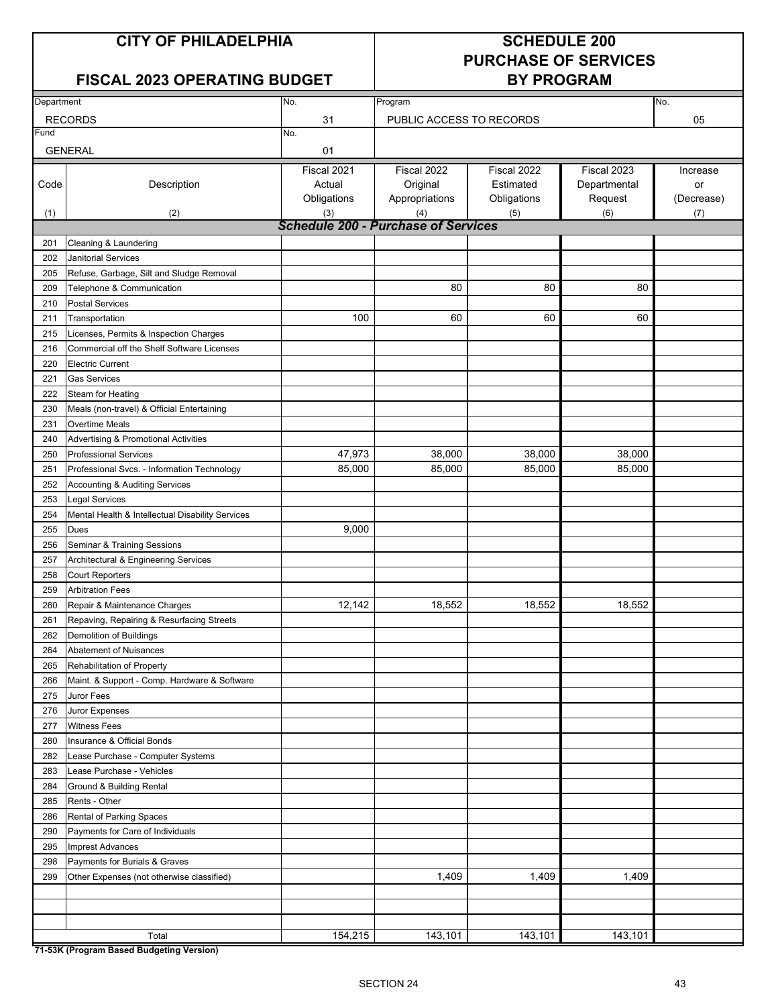## **FISCAL 2023 OPERATING BUDGET BY PROGRAM**

# **PURCHASE OF SERVICES**

| Department |                                                   | No.                                               | No.<br>Program           |             |              |            |  |
|------------|---------------------------------------------------|---------------------------------------------------|--------------------------|-------------|--------------|------------|--|
|            | <b>RECORDS</b>                                    | 31                                                | PUBLIC ACCESS TO RECORDS |             |              | 05         |  |
| Fund       |                                                   | No.                                               |                          |             |              |            |  |
|            | <b>GENERAL</b>                                    | 01                                                |                          |             |              |            |  |
|            |                                                   | Fiscal 2021                                       | Fiscal 2022              | Fiscal 2022 | Fiscal 2023  | Increase   |  |
| Code       | Description                                       | Actual                                            | Original                 | Estimated   | Departmental | or         |  |
|            |                                                   | Obligations                                       | Appropriations           | Obligations | Request      | (Decrease) |  |
| (1)        | (2)                                               | (3)<br><b>Schedule 200 - Purchase of Services</b> | (4)                      | (5)         | (6)          | (7)        |  |
| 201        | Cleaning & Laundering                             |                                                   |                          |             |              |            |  |
| 202        | <b>Janitorial Services</b>                        |                                                   |                          |             |              |            |  |
| 205        | Refuse, Garbage, Silt and Sludge Removal          |                                                   |                          |             |              |            |  |
| 209        | Telephone & Communication                         |                                                   | 80                       | 80          | 80           |            |  |
| 210        | <b>Postal Services</b>                            |                                                   |                          |             |              |            |  |
| 211        | Transportation                                    | 100                                               | 60                       | 60          | 60           |            |  |
| 215        | Licenses, Permits & Inspection Charges            |                                                   |                          |             |              |            |  |
| 216        | Commercial off the Shelf Software Licenses        |                                                   |                          |             |              |            |  |
| 220        | <b>Electric Current</b>                           |                                                   |                          |             |              |            |  |
| 221        | <b>Gas Services</b>                               |                                                   |                          |             |              |            |  |
| 222        | Steam for Heating                                 |                                                   |                          |             |              |            |  |
| 230        | Meals (non-travel) & Official Entertaining        |                                                   |                          |             |              |            |  |
| 231        | <b>Overtime Meals</b>                             |                                                   |                          |             |              |            |  |
| 240        | Advertising & Promotional Activities              |                                                   |                          |             |              |            |  |
| 250        | <b>Professional Services</b>                      | 47,973                                            | 38,000                   | 38,000      | 38,000       |            |  |
| 251        | Professional Svcs. - Information Technology       | 85,000                                            | 85,000                   | 85,000      | 85,000       |            |  |
| 252        | Accounting & Auditing Services                    |                                                   |                          |             |              |            |  |
| 253        | <b>Legal Services</b>                             |                                                   |                          |             |              |            |  |
| 254        | Mental Health & Intellectual Disability Services  |                                                   |                          |             |              |            |  |
| 255        | <b>Dues</b>                                       | 9,000                                             |                          |             |              |            |  |
| 256        | Seminar & Training Sessions                       |                                                   |                          |             |              |            |  |
| 257        | Architectural & Engineering Services              |                                                   |                          |             |              |            |  |
| 258        | <b>Court Reporters</b>                            |                                                   |                          |             |              |            |  |
| 259        | <b>Arbitration Fees</b>                           |                                                   |                          |             |              |            |  |
| 260        | Repair & Maintenance Charges                      | 12,142                                            | 18,552                   | 18,552      | 18,552       |            |  |
| 261        | Repaving, Repairing & Resurfacing Streets         |                                                   |                          |             |              |            |  |
| 262        | Demolition of Buildings                           |                                                   |                          |             |              |            |  |
| 264        | <b>Abatement of Nuisances</b>                     |                                                   |                          |             |              |            |  |
| 265        | Rehabilitation of Property                        |                                                   |                          |             |              |            |  |
| 266        | Maint. & Support - Comp. Hardware & Software      |                                                   |                          |             |              |            |  |
| 275        | Juror Fees                                        |                                                   |                          |             |              |            |  |
| 276        | Juror Expenses                                    |                                                   |                          |             |              |            |  |
| 277        | <b>Witness Fees</b><br>Insurance & Official Bonds |                                                   |                          |             |              |            |  |
| 280<br>282 | Lease Purchase - Computer Systems                 |                                                   |                          |             |              |            |  |
| 283        | Lease Purchase - Vehicles                         |                                                   |                          |             |              |            |  |
| 284        | <b>Ground &amp; Building Rental</b>               |                                                   |                          |             |              |            |  |
| 285        | Rents - Other                                     |                                                   |                          |             |              |            |  |
| 286        | Rental of Parking Spaces                          |                                                   |                          |             |              |            |  |
| 290        | Payments for Care of Individuals                  |                                                   |                          |             |              |            |  |
| 295        | <b>Imprest Advances</b>                           |                                                   |                          |             |              |            |  |
| 298        | Payments for Burials & Graves                     |                                                   |                          |             |              |            |  |
| 299        | Other Expenses (not otherwise classified)         |                                                   | 1,409                    | 1,409       | 1,409        |            |  |
|            |                                                   |                                                   |                          |             |              |            |  |
|            |                                                   |                                                   |                          |             |              |            |  |
|            |                                                   |                                                   |                          |             |              |            |  |
|            | Total                                             | 154,215                                           | 143,101                  | 143,101     | 143,101      |            |  |

**71-53K (Program Based Budgeting Version)**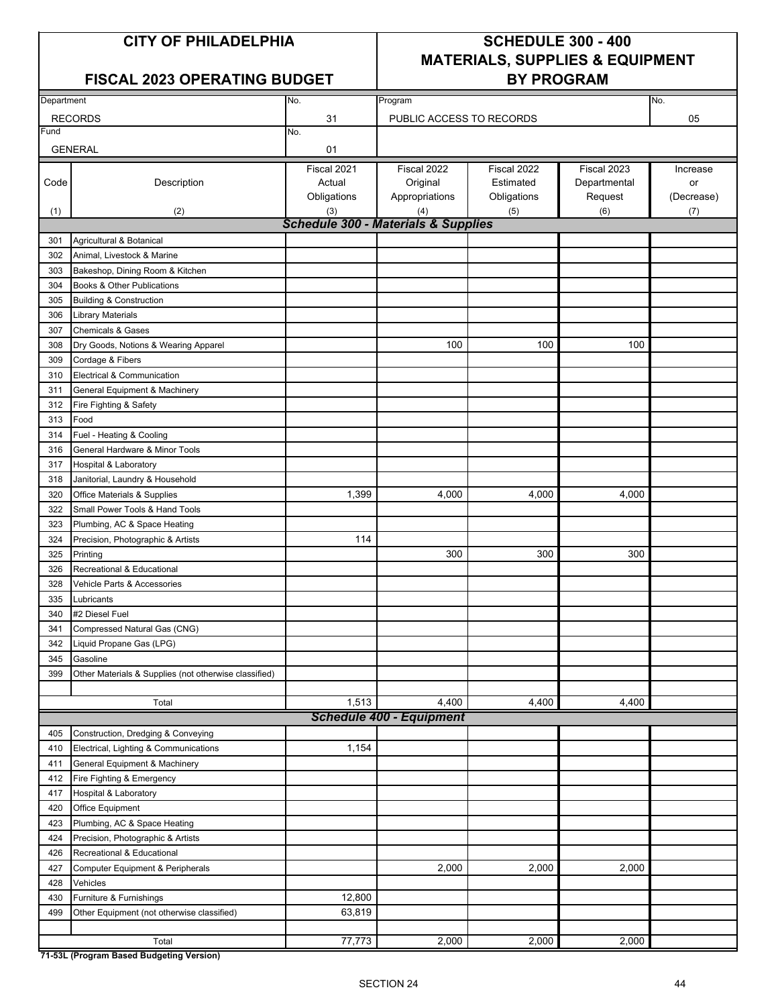## FISCAL 2023 OPERATING BUDGET **BY PROGRAM**

## **CITY OF PHILADELPHIA SCHEDULE 300 - 400 MATERIALS, SUPPLIES & EQUIPMENT**

| Department |                                                       | No.                                            | Program<br>No.                  |             |              |            |  |  |
|------------|-------------------------------------------------------|------------------------------------------------|---------------------------------|-------------|--------------|------------|--|--|
|            | <b>RECORDS</b>                                        | 31                                             | PUBLIC ACCESS TO RECORDS        |             |              | 05         |  |  |
| Fund       |                                                       | No.                                            |                                 |             |              |            |  |  |
|            | <b>GENERAL</b>                                        | 01                                             |                                 |             |              |            |  |  |
|            |                                                       | Fiscal 2021                                    | Fiscal 2022                     | Fiscal 2022 | Fiscal 2023  | Increase   |  |  |
| Code       | Description                                           | Actual                                         | Original                        | Estimated   | Departmental | or         |  |  |
|            |                                                       | Obligations                                    | Appropriations                  | Obligations | Request      | (Decrease) |  |  |
| (1)        | (2)                                                   | (3)                                            | (4)                             | (5)         | (6)          | (7)        |  |  |
|            |                                                       | <b>Schedule 300 - Materials &amp; Supplies</b> |                                 |             |              |            |  |  |
| 301        | Agricultural & Botanical                              |                                                |                                 |             |              |            |  |  |
| 302        | Animal, Livestock & Marine                            |                                                |                                 |             |              |            |  |  |
| 303        | Bakeshop, Dining Room & Kitchen                       |                                                |                                 |             |              |            |  |  |
| 304        | Books & Other Publications                            |                                                |                                 |             |              |            |  |  |
| 305        | <b>Building &amp; Construction</b>                    |                                                |                                 |             |              |            |  |  |
| 306        | <b>Library Materials</b>                              |                                                |                                 |             |              |            |  |  |
| 307        | <b>Chemicals &amp; Gases</b>                          |                                                |                                 |             |              |            |  |  |
| 308        | Dry Goods, Notions & Wearing Apparel                  |                                                | 100                             | 100         | 100          |            |  |  |
| 309        | Cordage & Fibers                                      |                                                |                                 |             |              |            |  |  |
| 310        | Electrical & Communication                            |                                                |                                 |             |              |            |  |  |
| 311        | <b>General Equipment &amp; Machinery</b>              |                                                |                                 |             |              |            |  |  |
| 312        | Fire Fighting & Safety                                |                                                |                                 |             |              |            |  |  |
| 313        | Food                                                  |                                                |                                 |             |              |            |  |  |
| 314        | Fuel - Heating & Cooling                              |                                                |                                 |             |              |            |  |  |
| 316        | General Hardware & Minor Tools                        |                                                |                                 |             |              |            |  |  |
| 317        | Hospital & Laboratory                                 |                                                |                                 |             |              |            |  |  |
| 318        | Janitorial, Laundry & Household                       |                                                |                                 |             |              |            |  |  |
| 320        | Office Materials & Supplies                           | 1,399                                          | 4,000                           | 4,000       | 4,000        |            |  |  |
| 322        | Small Power Tools & Hand Tools                        |                                                |                                 |             |              |            |  |  |
| 323        | Plumbing, AC & Space Heating                          |                                                |                                 |             |              |            |  |  |
| 324        | Precision, Photographic & Artists                     | 114                                            |                                 |             |              |            |  |  |
| 325        | Printing                                              |                                                | 300                             | 300         | 300          |            |  |  |
| 326        | Recreational & Educational                            |                                                |                                 |             |              |            |  |  |
| 328        | Vehicle Parts & Accessories                           |                                                |                                 |             |              |            |  |  |
| 335        | Lubricants                                            |                                                |                                 |             |              |            |  |  |
| 340        | #2 Diesel Fuel                                        |                                                |                                 |             |              |            |  |  |
| 341        | Compressed Natural Gas (CNG)                          |                                                |                                 |             |              |            |  |  |
| 342        | Liquid Propane Gas (LPG)                              |                                                |                                 |             |              |            |  |  |
| 345        | Gasoline                                              |                                                |                                 |             |              |            |  |  |
| 399        | Other Materials & Supplies (not otherwise classified) |                                                |                                 |             |              |            |  |  |
|            |                                                       |                                                |                                 |             |              |            |  |  |
|            | Total                                                 | 1,513                                          | 4,400                           | 4,400       | 4,400        |            |  |  |
|            |                                                       |                                                | <b>Schedule 400 - Equipment</b> |             |              |            |  |  |
| 405        | Construction, Dredging & Conveying                    |                                                |                                 |             |              |            |  |  |
| 410        | Electrical, Lighting & Communications                 | 1,154                                          |                                 |             |              |            |  |  |
| 411        | <b>General Equipment &amp; Machinery</b>              |                                                |                                 |             |              |            |  |  |
| 412        | Fire Fighting & Emergency                             |                                                |                                 |             |              |            |  |  |
| 417        | Hospital & Laboratory                                 |                                                |                                 |             |              |            |  |  |
| 420        | Office Equipment                                      |                                                |                                 |             |              |            |  |  |
| 423        | Plumbing, AC & Space Heating                          |                                                |                                 |             |              |            |  |  |
| 424        | Precision, Photographic & Artists                     |                                                |                                 |             |              |            |  |  |
| 426        | Recreational & Educational                            |                                                |                                 |             |              |            |  |  |
| 427        | Computer Equipment & Peripherals                      |                                                | 2,000                           | 2,000       | 2,000        |            |  |  |
| 428        | Vehicles                                              |                                                |                                 |             |              |            |  |  |
| 430        | Furniture & Furnishings                               | 12,800                                         |                                 |             |              |            |  |  |
| 499        | Other Equipment (not otherwise classified)            | 63,819                                         |                                 |             |              |            |  |  |
|            | Total                                                 | 77,773                                         | 2,000                           | 2,000       | 2,000        |            |  |  |
|            |                                                       |                                                |                                 |             |              |            |  |  |

**71-53L (Program Based Budgeting Version)**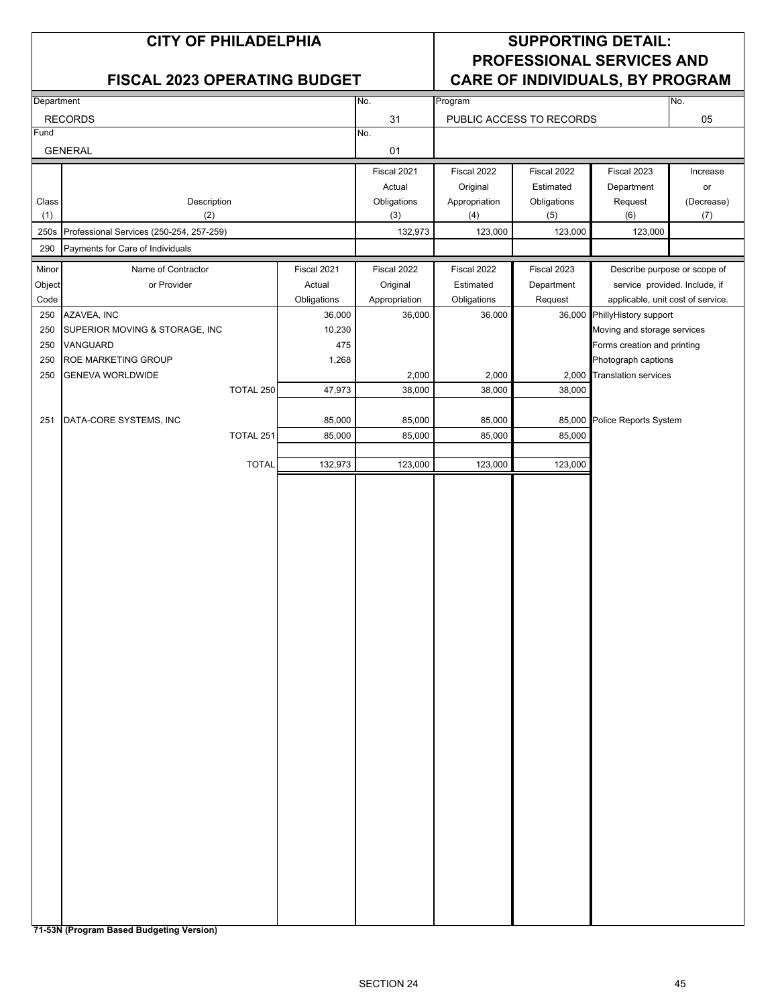|              |                                               |              | <b>CITY OF PHILADELPHIA</b> |                    |                      |                          |                                                                     |                   |
|--------------|-----------------------------------------------|--------------|-----------------------------|--------------------|----------------------|--------------------------|---------------------------------------------------------------------|-------------------|
|              | <b>FISCAL 2023 OPERATING BUDGET</b>           |              |                             |                    |                      |                          | <b>PROFESSIONAL SERVICES AND</b><br>CARE OF INDIVIDUALS, BY PROGRAM |                   |
| Department   |                                               |              |                             | No.                | Program              |                          |                                                                     | No.               |
|              | <b>RECORDS</b>                                |              |                             | 31                 |                      | PUBLIC ACCESS TO RECORDS |                                                                     | 05                |
| Fund         | <b>GENERAL</b>                                |              |                             | No.<br>01          |                      |                          |                                                                     |                   |
|              |                                               |              |                             | Fiscal 2021        | Fiscal 2022          | Fiscal 2022              | Fiscal 2023                                                         | Increase          |
|              |                                               |              |                             | Actual             | Original             | Estimated                | Department                                                          | or                |
| Class<br>(1) | Description<br>(2)                            |              |                             | Obligations<br>(3) | Appropriation<br>(4) | Obligations<br>(5)       | Request<br>(6)                                                      | (Decrease)<br>(7) |
| 250s         | Professional Services (250-254, 257-259)      |              |                             | 132,973            | 123,000              | 123,000                  | 123,000                                                             |                   |
| 290          | Payments for Care of Individuals              |              |                             |                    |                      |                          |                                                                     |                   |
| Minor        | Name of Contractor                            |              | Fiscal 2021                 | Fiscal 2022        | Fiscal 2022          | Fiscal 2023              | Describe purpose or scope of                                        |                   |
| Object       | or Provider                                   |              | Actual                      | Original           | Estimated            | Department               | service provided. Include, if                                       |                   |
| Code         |                                               |              | Obligations                 | Appropriation      | Obligations          | Request                  | applicable, unit cost of service.                                   |                   |
| 250<br>250   | AZAVEA, INC<br>SUPERIOR MOVING & STORAGE, INC |              | 36,000<br>10,230            | 36,000             | 36,000               |                          | 36,000 PhillyHistory support<br>Moving and storage services         |                   |
| 250          | VANGUARD                                      |              | 475                         |                    |                      |                          | Forms creation and printing                                         |                   |
| 250          | ROE MARKETING GROUP                           |              | 1,268                       |                    |                      |                          | Photograph captions                                                 |                   |
| 250          | <b>GENEVA WORLDWIDE</b>                       |              |                             | 2,000              | 2,000                |                          | 2.000 Translation services                                          |                   |
|              |                                               | TOTAL 250    | 47,973                      | 38,000             | 38,000               | 38,000                   |                                                                     |                   |
|              |                                               |              |                             |                    |                      |                          |                                                                     |                   |
| 251          | DATA-CORE SYSTEMS, INC                        | TOTAL 251    | 85,000<br>85,000            | 85,000<br>85,000   | 85,000<br>85,000     | 85,000                   | 85,000 Police Reports System                                        |                   |
|              |                                               |              |                             |                    |                      |                          |                                                                     |                   |
|              |                                               | <b>TOTAL</b> | 132,973                     | 123,000            | 123,000              | 123,000                  |                                                                     |                   |
|              |                                               |              |                             |                    |                      |                          |                                                                     |                   |
|              |                                               |              |                             |                    |                      |                          |                                                                     |                   |
|              |                                               |              |                             |                    |                      |                          |                                                                     |                   |
|              |                                               |              |                             |                    |                      |                          |                                                                     |                   |
|              |                                               |              |                             |                    |                      |                          |                                                                     |                   |
|              |                                               |              |                             |                    |                      |                          |                                                                     |                   |
|              |                                               |              |                             |                    |                      |                          |                                                                     |                   |
|              |                                               |              |                             |                    |                      |                          |                                                                     |                   |
|              |                                               |              |                             |                    |                      |                          |                                                                     |                   |
|              |                                               |              |                             |                    |                      |                          |                                                                     |                   |
|              |                                               |              |                             |                    |                      |                          |                                                                     |                   |
|              |                                               |              |                             |                    |                      |                          |                                                                     |                   |
|              |                                               |              |                             |                    |                      |                          |                                                                     |                   |
|              |                                               |              |                             |                    |                      |                          |                                                                     |                   |
|              |                                               |              |                             |                    |                      |                          |                                                                     |                   |
|              |                                               |              |                             |                    |                      |                          |                                                                     |                   |
|              |                                               |              |                             |                    |                      |                          |                                                                     |                   |
|              |                                               |              |                             |                    |                      |                          |                                                                     |                   |
|              |                                               |              |                             |                    |                      |                          |                                                                     |                   |
|              |                                               |              |                             |                    |                      |                          |                                                                     |                   |
|              |                                               |              |                             |                    |                      |                          |                                                                     |                   |
|              |                                               |              |                             |                    |                      |                          |                                                                     |                   |
|              |                                               |              |                             |                    |                      |                          |                                                                     |                   |
|              |                                               |              |                             |                    |                      |                          |                                                                     |                   |
|              |                                               |              |                             |                    |                      |                          |                                                                     |                   |
|              |                                               |              |                             |                    |                      |                          |                                                                     |                   |

**71-53N (Program Based Budgeting Version)**